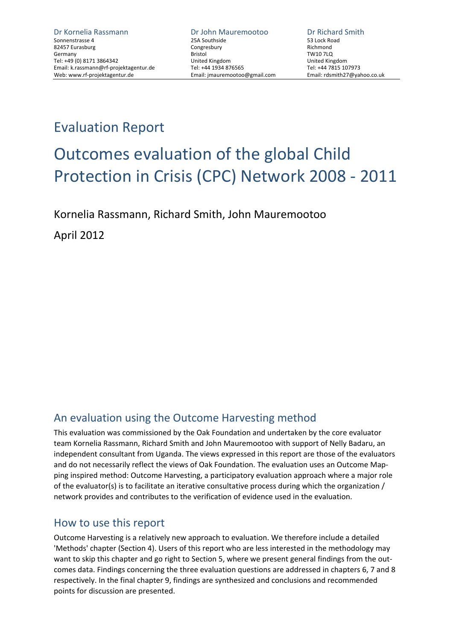## Evaluation Report

# Outcomes evaluation of the global Child Protection in Crisis (CPC) Network 2008 ‐ 2011

Kornelia Rassmann, Richard Smith, John Mauremootoo

April 2012

## An evaluation using the Outcome Harvesting method

This evaluation was commissioned by the Oak Foundation and undertaken by the core evaluator team Kornelia Rassmann, Richard Smith and John Mauremootoo with support of Nelly Badaru, an independent consultant from Uganda. The views expressed in this report are those of the evaluators and do not necessarily reflect the views of Oak Foundation. The evaluation uses an Outcome Map‐ ping inspired method: Outcome Harvesting, a participatory evaluation approach where a major role of the evaluator(s) is to facilitate an iterative consultative process during which the organization / network provides and contributes to the verification of evidence used in the evaluation.

## How to use this report

Outcome Harvesting is a relatively new approach to evaluation. We therefore include a detailed 'Methods' chapter (Section 4). Users of this report who are less interested in the methodology may want to skip this chapter and go right to Section 5, where we present general findings from the outcomes data. Findings concerning the three evaluation questions are addressed in chapters 6, 7 and 8 respectively. In the final chapter 9, findings are synthesized and conclusions and recommended points for discussion are presented.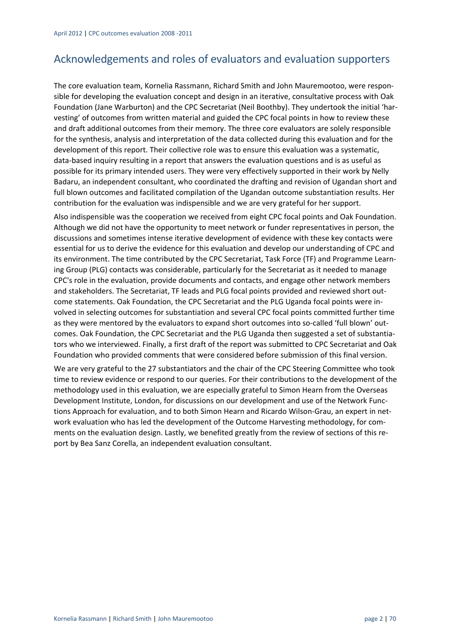## Acknowledgements and roles of evaluators and evaluation supporters

The core evaluation team, Kornelia Rassmann, Richard Smith and John Mauremootoo, were respon‐ sible for developing the evaluation concept and design in an iterative, consultative process with Oak Foundation (Jane Warburton) and the CPC Secretariat (Neil Boothby). They undertook the initial 'har‐ vesting' of outcomes from written material and guided the CPC focal points in how to review these and draft additional outcomes from their memory. The three core evaluators are solely responsible for the synthesis, analysis and interpretation of the data collected during this evaluation and for the development of this report. Their collective role was to ensure this evaluation was a systematic, data-based inquiry resulting in a report that answers the evaluation questions and is as useful as possible for its primary intended users. They were very effectively supported in their work by Nelly Badaru, an independent consultant, who coordinated the drafting and revision of Ugandan short and full blown outcomes and facilitated compilation of the Ugandan outcome substantiation results. Her contribution for the evaluation was indispensible and we are very grateful for her support.

Also indispensible was the cooperation we received from eight CPC focal points and Oak Foundation. Although we did not have the opportunity to meet network or funder representatives in person, the discussions and sometimes intense iterative development of evidence with these key contacts were essential for us to derive the evidence for this evaluation and develop our understanding of CPC and its environment. The time contributed by the CPC Secretariat, Task Force (TF) and Programme Learn‐ ing Group (PLG) contacts was considerable, particularly for the Secretariat as it needed to manage CPC's role in the evaluation, provide documents and contacts, and engage other network members and stakeholders. The Secretariat, TF leads and PLG focal points provided and reviewed short outcome statements. Oak Foundation, the CPC Secretariat and the PLG Uganda focal points were in‐ volved in selecting outcomes for substantiation and several CPC focal points committed further time as they were mentored by the evaluators to expand short outcomes into so-called 'full blown' outcomes. Oak Foundation, the CPC Secretariat and the PLG Uganda then suggested a set of substantia‐ tors who we interviewed. Finally, a first draft of the report was submitted to CPC Secretariat and Oak Foundation who provided comments that were considered before submission of this final version.

We are very grateful to the 27 substantiators and the chair of the CPC Steering Committee who took time to review evidence or respond to our queries. For their contributions to the development of the methodology used in this evaluation, we are especially grateful to Simon Hearn from the Overseas Development Institute, London, for discussions on our development and use of the Network Func‐ tions Approach for evaluation, and to both Simon Hearn and Ricardo Wilson‐Grau, an expert in net‐ work evaluation who has led the development of the Outcome Harvesting methodology, for com‐ ments on the evaluation design. Lastly, we benefited greatly from the review of sections of this report by Bea Sanz Corella, an independent evaluation consultant.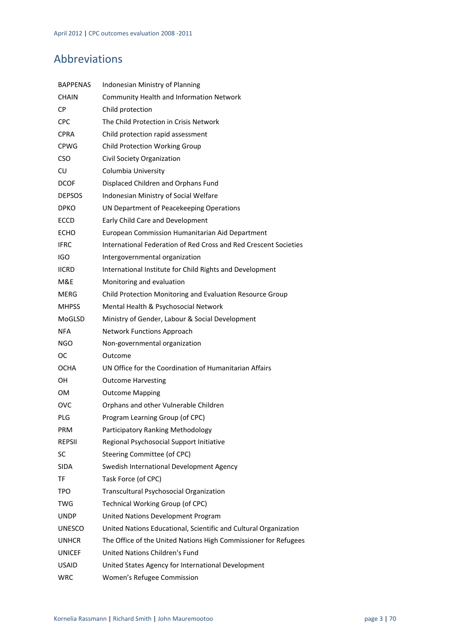## Abbreviations

| <b>BAPPENAS</b> | Indonesian Ministry of Planning                                  |
|-----------------|------------------------------------------------------------------|
| <b>CHAIN</b>    | Community Health and Information Network                         |
| <b>CP</b>       | Child protection                                                 |
| CPC             | The Child Protection in Crisis Network                           |
| <b>CPRA</b>     | Child protection rapid assessment                                |
| <b>CPWG</b>     | Child Protection Working Group                                   |
| <b>CSO</b>      | Civil Society Organization                                       |
| CU              | Columbia University                                              |
| <b>DCOF</b>     | Displaced Children and Orphans Fund                              |
| <b>DEPSOS</b>   | Indonesian Ministry of Social Welfare                            |
| DPKO            | UN Department of Peacekeeping Operations                         |
| <b>ECCD</b>     | Early Child Care and Development                                 |
| ECHO            | European Commission Humanitarian Aid Department                  |
| <b>IFRC</b>     | International Federation of Red Cross and Red Crescent Societies |
| IGO             | Intergovernmental organization                                   |
| <b>IICRD</b>    | International Institute for Child Rights and Development         |
| M&E             | Monitoring and evaluation                                        |
| MERG            | Child Protection Monitoring and Evaluation Resource Group        |
| <b>MHPSS</b>    | Mental Health & Psychosocial Network                             |
| MoGLSD          | Ministry of Gender, Labour & Social Development                  |
| NFA             | Network Functions Approach                                       |
| NGO             | Non-governmental organization                                    |
| oc              | Outcome                                                          |
| OCHA            | UN Office for the Coordination of Humanitarian Affairs           |
| OН              | <b>Outcome Harvesting</b>                                        |
| ом              | <b>Outcome Mapping</b>                                           |
| ovc             | Orphans and other Vulnerable Children                            |
| PLG             | Program Learning Group (of CPC)                                  |
| <b>PRM</b>      | Participatory Ranking Methodology                                |
| <b>REPSII</b>   | Regional Psychosocial Support Initiative                         |
| SC              | Steering Committee (of CPC)                                      |
| <b>SIDA</b>     | Swedish International Development Agency                         |
| ΤF              | Task Force (of CPC)                                              |
| TPO             | Transcultural Psychosocial Organization                          |
| TWG             | Technical Working Group (of CPC)                                 |
| <b>UNDP</b>     | United Nations Development Program                               |
| UNESCO          | United Nations Educational, Scientific and Cultural Organization |
| <b>UNHCR</b>    | The Office of the United Nations High Commissioner for Refugees  |
| <b>UNICEF</b>   | United Nations Children's Fund                                   |
| <b>USAID</b>    | United States Agency for International Development               |
| WRC             | Women's Refugee Commission                                       |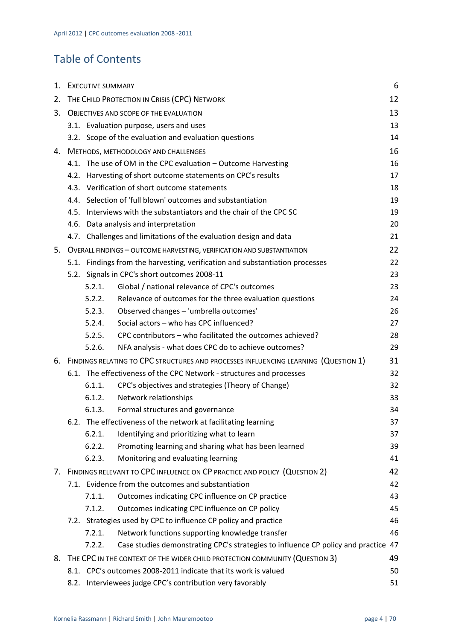## Table of Contents

| 1. | 6<br><b>EXECUTIVE SUMMARY</b>                 |        |                                                                                        |    |
|----|-----------------------------------------------|--------|----------------------------------------------------------------------------------------|----|
| 2. | THE CHILD PROTECTION IN CRISIS (CPC) NETWORK  |        |                                                                                        | 12 |
| 3. | <b>OBJECTIVES AND SCOPE OF THE EVALUATION</b> |        |                                                                                        | 13 |
|    |                                               |        | 3.1. Evaluation purpose, users and uses                                                | 13 |
|    |                                               |        | 3.2. Scope of the evaluation and evaluation questions                                  | 14 |
|    |                                               |        | 4. METHODS, METHODOLOGY AND CHALLENGES                                                 | 16 |
|    |                                               |        | 4.1. The use of OM in the CPC evaluation - Outcome Harvesting                          | 16 |
|    |                                               |        | 4.2. Harvesting of short outcome statements on CPC's results                           | 17 |
|    |                                               |        | 4.3. Verification of short outcome statements                                          | 18 |
|    |                                               |        | 4.4. Selection of 'full blown' outcomes and substantiation                             | 19 |
|    |                                               |        | 4.5. Interviews with the substantiators and the chair of the CPC SC                    | 19 |
|    |                                               |        | 4.6. Data analysis and interpretation                                                  | 20 |
|    |                                               |        | 4.7. Challenges and limitations of the evaluation design and data                      | 21 |
| 5. |                                               |        | OVERALL FINDINGS - OUTCOME HARVESTING, VERIFICATION AND SUBSTANTIATION                 | 22 |
|    |                                               |        | 5.1. Findings from the harvesting, verification and substantiation processes           | 22 |
|    |                                               |        | 5.2. Signals in CPC's short outcomes 2008-11                                           | 23 |
|    |                                               | 5.2.1. | Global / national relevance of CPC's outcomes                                          | 23 |
|    |                                               | 5.2.2. | Relevance of outcomes for the three evaluation questions                               | 24 |
|    |                                               | 5.2.3. | Observed changes - 'umbrella outcomes'                                                 | 26 |
|    |                                               | 5.2.4. | Social actors - who has CPC influenced?                                                | 27 |
|    |                                               | 5.2.5. | CPC contributors - who facilitated the outcomes achieved?                              | 28 |
|    |                                               | 5.2.6. | NFA analysis - what does CPC do to achieve outcomes?                                   | 29 |
|    |                                               |        | 6. FINDINGS RELATING TO CPC STRUCTURES AND PROCESSES INFLUENCING LEARNING (QUESTION 1) | 31 |
|    |                                               |        | 6.1. The effectiveness of the CPC Network - structures and processes                   | 32 |
|    |                                               | 6.1.1. | CPC's objectives and strategies (Theory of Change)                                     | 32 |
|    |                                               | 6.1.2. | Network relationships                                                                  | 33 |
|    |                                               | 6.1.3. | Formal structures and governance                                                       | 34 |
|    |                                               |        | 6.2. The effectiveness of the network at facilitating learning                         | 37 |
|    |                                               | 6.2.1. | Identifying and prioritizing what to learn                                             | 37 |
|    |                                               | 6.2.2. | Promoting learning and sharing what has been learned                                   | 39 |
|    |                                               | 6.2.3. | Monitoring and evaluating learning                                                     | 41 |
| 7. |                                               |        | FINDINGS RELEVANT TO CPC INFLUENCE ON CP PRACTICE AND POLICY (QUESTION 2)              | 42 |
|    |                                               |        | 7.1. Evidence from the outcomes and substantiation                                     | 42 |
|    |                                               | 7.1.1. | Outcomes indicating CPC influence on CP practice                                       | 43 |
|    |                                               | 7.1.2. | Outcomes indicating CPC influence on CP policy                                         | 45 |
|    |                                               |        | 7.2. Strategies used by CPC to influence CP policy and practice                        | 46 |
|    |                                               | 7.2.1. | Network functions supporting knowledge transfer                                        | 46 |
|    |                                               | 7.2.2. | Case studies demonstrating CPC's strategies to influence CP policy and practice 47     |    |
| 8. |                                               |        | THE CPC IN THE CONTEXT OF THE WIDER CHILD PROTECTION COMMUNITY (QUESTION 3)            | 49 |
|    |                                               |        | 8.1. CPC's outcomes 2008-2011 indicate that its work is valued                         | 50 |
|    | 8.2.                                          |        | Interviewees judge CPC's contribution very favorably                                   | 51 |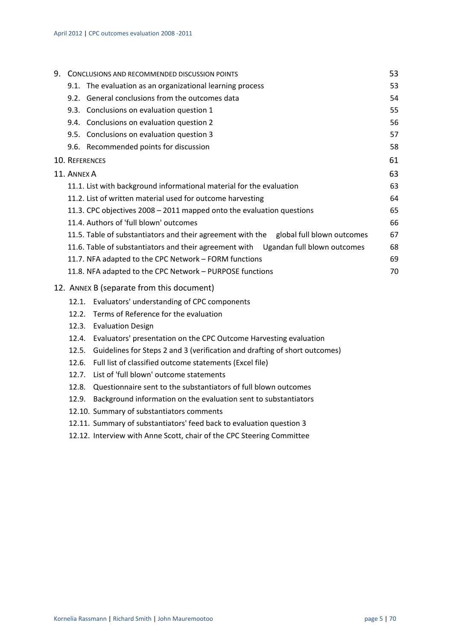|                | 9. CONCLUSIONS AND RECOMMENDED DISCUSSION POINTS                                      | 53 |
|----------------|---------------------------------------------------------------------------------------|----|
|                | 9.1. The evaluation as an organizational learning process                             | 53 |
|                | 9.2. General conclusions from the outcomes data                                       | 54 |
|                | 9.3. Conclusions on evaluation question 1                                             | 55 |
|                | 9.4. Conclusions on evaluation question 2                                             | 56 |
|                | 9.5. Conclusions on evaluation question 3                                             | 57 |
|                | 9.6. Recommended points for discussion                                                | 58 |
| 10. REFERENCES |                                                                                       | 61 |
| 11. ANNEX A    |                                                                                       | 63 |
|                | 11.1. List with background informational material for the evaluation                  | 63 |
|                | 11.2. List of written material used for outcome harvesting                            | 64 |
|                | 11.3. CPC objectives 2008 - 2011 mapped onto the evaluation questions                 | 65 |
|                | 11.4. Authors of 'full blown' outcomes                                                | 66 |
|                | 11.5. Table of substantiators and their agreement with the global full blown outcomes | 67 |
|                | 11.6. Table of substantiators and their agreement with Ugandan full blown outcomes    | 68 |
|                | 11.7. NFA adapted to the CPC Network - FORM functions                                 | 69 |
|                | 11.8. NFA adapted to the CPC Network - PURPOSE functions                              | 70 |
|                | 12. ANNEX B (separate from this document)                                             |    |
|                | 12.1. Evaluators' understanding of CPC components                                     |    |
|                | 12.2. Terms of Reference for the evaluation                                           |    |
|                | 12.3. Evaluation Design                                                               |    |
| 12.4.          | Evaluators' presentation on the CPC Outcome Harvesting evaluation                     |    |
|                | 12.5. Guidelines for Steps 2 and 3 (verification and drafting of short outcomes)      |    |
| 12.6.          | Full list of classified outcome statements (Excel file)                               |    |
| 12.7.          | List of 'full blown' outcome statements                                               |    |
|                | 12.8. Questionnaire sent to the substantiators of full blown outcomes                 |    |
| 12.9.          | Background information on the evaluation sent to substantiators                       |    |
|                | 12.10. Summary of substantiators comments                                             |    |

- 12.11. Summary of substantiators' feed back to evaluation question 3
- 12.12. Interview with Anne Scott, chair of the CPC Steering Committee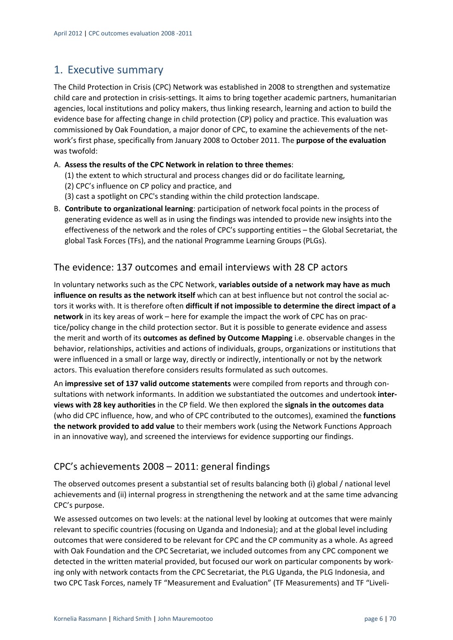## 1. Executive summary

The Child Protection in Crisis (CPC) Network was established in 2008 to strengthen and systematize child care and protection in crisis‐settings. It aims to bring together academic partners, humanitarian agencies, local institutions and policy makers, thus linking research, learning and action to build the evidence base for affecting change in child protection (CP) policy and practice. This evaluation was commissioned by Oak Foundation, a major donor of CPC, to examine the achievements of the net‐ work's first phase, specifically from January 2008 to October 2011. The **purpose of the evaluation** was twofold:

#### A. **Assess the results of the CPC Network in relation to three themes**:

- (1) the extent to which structural and process changes did or do facilitate learning,
- (2) CPC's influence on CP policy and practice, and
- (3) cast a spotlight on CPC's standing within the child protection landscape.
- B. **Contribute to organizational learning**: participation of network focal points in the process of generating evidence as well as in using the findings was intended to provide new insights into the effectiveness of the network and the roles of CPC's supporting entities – the Global Secretariat, the global Task Forces (TFs), and the national Programme Learning Groups (PLGs).

#### The evidence: 137 outcomes and email interviews with 28 CP actors

In voluntary networks such as the CPC Network, **variables outside of a network may have as much influence on results as the network itself** which can at best influence but not control the social ac‐ tors it works with. It is therefore often **difficult if not impossible to determine the direct impact of a network** in its key areas of work – here for example the impact the work of CPC has on prac‐ tice/policy change in the child protection sector. But it is possible to generate evidence and assess the merit and worth of its **outcomes as defined by Outcome Mapping** i.e. observable changes in the behavior, relationships, activities and actions of individuals, groups, organizations or institutions that were influenced in a small or large way, directly or indirectly, intentionally or not by the network actors. This evaluation therefore considers results formulated as such outcomes.

An **impressive set of 137 valid outcome statements** were compiled from reports and through con‐ sultations with network informants. In addition we substantiated the outcomes and undertook **inter‐ views with 28 key authorities** in the CP field. We then explored the **signals in the outcomes data** (who did CPC influence, how, and who of CPC contributed to the outcomes), examined the **functions the network provided to add value** to their members work (using the Network Functions Approach in an innovative way), and screened the interviews for evidence supporting our findings.

## CPC's achievements 2008 – 2011: general findings

The observed outcomes present a substantial set of results balancing both (i) global / national level achievements and (ii) internal progress in strengthening the network and at the same time advancing CPC's purpose.

We assessed outcomes on two levels: at the national level by looking at outcomes that were mainly relevant to specific countries (focusing on Uganda and Indonesia); and at the global level including outcomes that were considered to be relevant for CPC and the CP community as a whole. As agreed with Oak Foundation and the CPC Secretariat, we included outcomes from any CPC component we detected in the written material provided, but focused our work on particular components by working only with network contacts from the CPC Secretariat, the PLG Uganda, the PLG Indonesia, and two CPC Task Forces, namely TF "Measurement and Evaluation" (TF Measurements) and TF "Liveli‐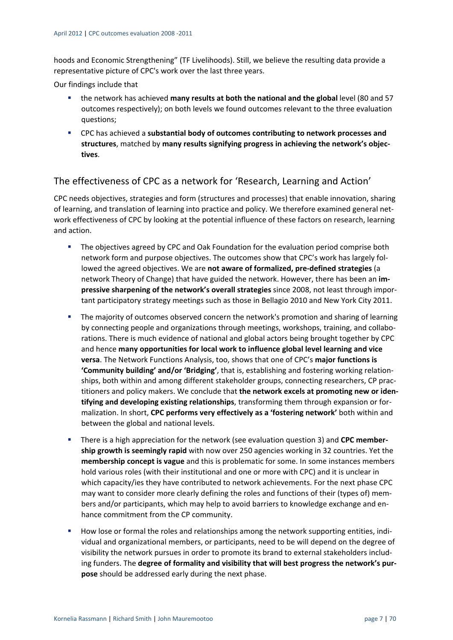hoods and Economic Strengthening" (TF Livelihoods). Still, we believe the resulting data provide a representative picture of CPC's work over the last three years.

Our findings include that

- the network has achieved **many results at both the national and the global** level (80 and 57 outcomes respectively); on both levels we found outcomes relevant to the three evaluation questions;
- CPC has achieved a **substantial body of outcomes contributing to network processes and structures**, matched by **many results signifying progress in achieving the network's objec‐ tives**.

### The effectiveness of CPC as a network for 'Research, Learning and Action'

CPC needs objectives, strategies and form (structures and processes) that enable innovation, sharing of learning, and translation of learning into practice and policy. We therefore examined general net‐ work effectiveness of CPC by looking at the potential influence of these factors on research, learning and action.

- The objectives agreed by CPC and Oak Foundation for the evaluation period comprise both network form and purpose objectives. The outcomes show that CPC's work has largely fol‐ lowed the agreed objectives. We are **not aware of formalized, pre‐defined strategies** (a network Theory of Change) that have guided the network. However, there has been an **im‐ pressive sharpening of the network's overall strategies** since 2008, not least through impor‐ tant participatory strategy meetings such as those in Bellagio 2010 and New York City 2011.
- **The majority of outcomes observed concern the network's promotion and sharing of learning** by connecting people and organizations through meetings, workshops, training, and collabo‐ rations. There is much evidence of national and global actors being brought together by CPC and hence **many opportunities for local work to influence global level learning and vice versa**. The Network Functions Analysis, too, shows that one of CPC's **major functions is 'Community building' and/or 'Bridging'**, that is, establishing and fostering working relation‐ ships, both within and among different stakeholder groups, connecting researchers, CP prac‐ titioners and policy makers. We conclude that **the network excels at promoting new or iden‐ tifying and developing existing relationships**, transforming them through expansion or for‐ malization. In short, **CPC performs very effectively as a 'fostering network'** both within and between the global and national levels.
- There is a high appreciation for the network (see evaluation question 3) and **CPC member‐ ship growth is seemingly rapid** with now over 250 agencies working in 32 countries. Yet the **membership concept is vague** and this is problematic for some. In some instances members hold various roles (with their institutional and one or more with CPC) and it is unclear in which capacity/ies they have contributed to network achievements. For the next phase CPC may want to consider more clearly defining the roles and functions of their (types of) members and/or participants, which may help to avoid barriers to knowledge exchange and en‐ hance commitment from the CP community.
- How lose or formal the roles and relationships among the network supporting entities, indi‐ vidual and organizational members, or participants, need to be will depend on the degree of visibility the network pursues in order to promote its brand to external stakeholders includ‐ ing funders. The **degree of formality and visibility that will best progress the network's pur‐ pose** should be addressed early during the next phase.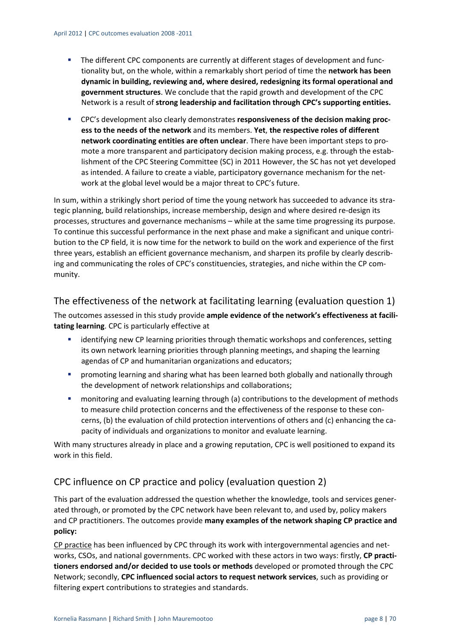- The different CPC components are currently at different stages of development and functionality but, on the whole, within a remarkably short period of time the **network has been dynamic in building, reviewing and, where desired, redesigning its formal operational and government structures**. We conclude that the rapid growth and development of the CPC Network is a result of **strong leadership and facilitation through CPC's supporting entities.**
- CPC's development also clearly demonstrates **responsiveness of the decision making proc‐ ess to the needs of the network** and its members. **Yet**, **the respective roles of different network coordinating entities are often unclear**. There have been important steps to pro‐ mote a more transparent and participatory decision making process, e.g. through the establishment of the CPC Steering Committee (SC) in 2011 However, the SC has not yet developed as intended. A failure to create a viable, participatory governance mechanism for the net‐ work at the global level would be a major threat to CPC's future.

In sum, within a strikingly short period of time the young network has succeeded to advance its strategic planning, build relationships, increase membership, design and where desired re‐design its processes, structures and governance mechanisms – while at the same time progressing its purpose. To continue this successful performance in the next phase and make a significant and unique contri‐ bution to the CP field, it is now time for the network to build on the work and experience of the first three years, establish an efficient governance mechanism, and sharpen its profile by clearly describ‐ ing and communicating the roles of CPC's constituencies, strategies, and niche within the CP community.

### The effectiveness of the network at facilitating learning (evaluation question 1)

The outcomes assessed in this study provide **ample evidence of the network's effectiveness at facili‐ tating learning**. CPC is particularly effective at

- **EXEDENTIFY** identifying new CP learning priorities through thematic workshops and conferences, setting its own network learning priorities through planning meetings, and shaping the learning agendas of CP and humanitarian organizations and educators;
- **•** promoting learning and sharing what has been learned both globally and nationally through the development of network relationships and collaborations;
- monitoring and evaluating learning through (a) contributions to the development of methods to measure child protection concerns and the effectiveness of the response to these con‐ cerns, (b) the evaluation of child protection interventions of others and (c) enhancing the ca‐ pacity of individuals and organizations to monitor and evaluate learning.

With many structures already in place and a growing reputation, CPC is well positioned to expand its work in this field.

## CPC influence on CP practice and policy (evaluation question 2)

This part of the evaluation addressed the question whether the knowledge, tools and services gener‐ ated through, or promoted by the CPC network have been relevant to, and used by, policy makers and CP practitioners. The outcomes provide **many examples of the network shaping CP practice and policy:**

CP practice has been influenced by CPC through its work with intergovernmental agencies and net‐ works, CSOs, and national governments. CPC worked with these actors in two ways: firstly, **CP practi‐ tioners endorsed and/or decided to use tools or methods** developed or promoted through the CPC Network; secondly, **CPC influenced social actors to request network services**, such as providing or filtering expert contributions to strategies and standards.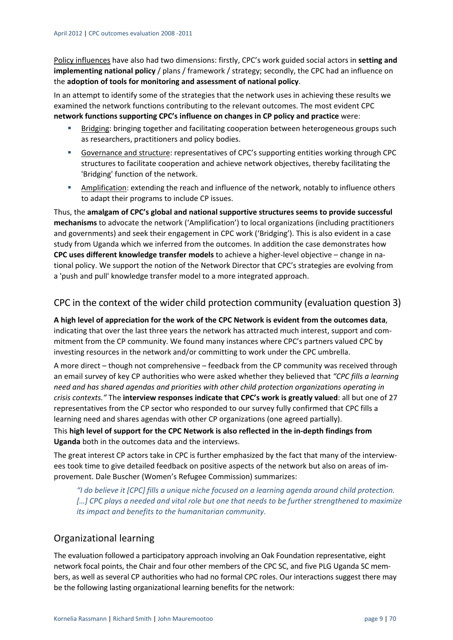Policy influences have also had two dimensions: firstly, CPC's work guided social actors in **setting and implementing national policy** / plans / framework / strategy; secondly, the CPC had an influence on the **adoption of tools for monitoring and assessment of national policy**.

In an attempt to identify some of the strategies that the network uses in achieving these results we examined the network functions contributing to the relevant outcomes. The most evident CPC **network functions supporting CPC's influence on changes in CP policy and practice** were:

- Bridging: bringing together and facilitating cooperation between heterogeneous groups such as researchers, practitioners and policy bodies.
- Governance and structure: representatives of CPC's supporting entities working through CPC structures to facilitate cooperation and achieve network objectives, thereby facilitating the 'Bridging' function of the network.
- Amplification: extending the reach and influence of the network, notably to influence others to adapt their programs to include CP issues.

Thus, the **amalgam of CPC's global and national supportive structures seems to provide successful mechanisms** to advocate the network ('Amplification') to local organizations (including practitioners and governments) and seek their engagement in CPC work ('Bridging'). This is also evident in a case study from Uganda which we inferred from the outcomes. In addition the case demonstrates how **CPC uses different knowledge transfer models** to achieve a higher‐level objective – change in na‐ tional policy. We support the notion of the Network Director that CPC's strategies are evolving from a 'push and pull' knowledge transfer model to a more integrated approach.

### CPC in the context of the wider child protection community (evaluation question 3)

**A high level of appreciation for the work of the CPC Network is evident from the outcomes data**, indicating that over the last three years the network has attracted much interest, support and commitment from the CP community. We found many instances where CPC's partners valued CPC by investing resources in the network and/or committing to work under the CPC umbrella.

A more direct – though not comprehensive – feedback from the CP community was received through an email survey of key CP authorities who were asked whether they believed that *"CPC fills a learning need and has shared agendas and priorities with other child protection organizations operating in crisis contexts."* The **interview responses indicate that CPC's work is greatly valued**: all but one of 27 representatives from the CP sector who responded to our survey fully confirmed that CPC fills a learning need and shares agendas with other CP organizations (one agreed partially).

This **high level of support for the CPC Network is also reflected in the in‐depth findings from Uganda** both in the outcomes data and the interviews.

The great interest CP actors take in CPC is further emphasized by the fact that many of the interviewees took time to give detailed feedback on positive aspects of the network but also on areas of im‐ provement. Dale Buscher (Women's Refugee Commission) summarizes:

*"I do believe it [CPC] fills a unique niche focused on a learning agenda around child protection. […] CPC plays a needed and vital role but one that needs to be further strengthened to maximize its impact and benefits to the humanitarian community.* 

## Organizational learning

The evaluation followed a participatory approach involving an Oak Foundation representative, eight network focal points, the Chair and four other members of the CPC SC, and five PLG Uganda SC members, as well as several CP authorities who had no formal CPC roles. Our interactions suggest there may be the following lasting organizational learning benefits for the network: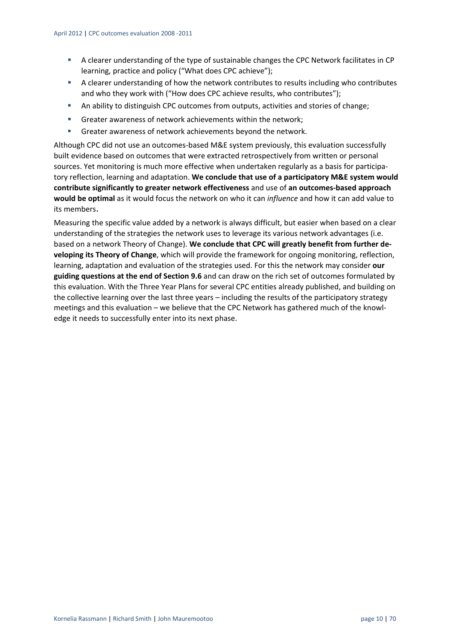- A clearer understanding of the type of sustainable changes the CPC Network facilitates in CP learning, practice and policy ("What does CPC achieve");
- A clearer understanding of how the network contributes to results including who contributes and who they work with ("How does CPC achieve results, who contributes");
- An ability to distinguish CPC outcomes from outputs, activities and stories of change;
- Greater awareness of network achievements within the network;
- **Greater awareness of network achievements beyond the network.**

Although CPC did not use an outcomes‐based M&E system previously, this evaluation successfully built evidence based on outcomes that were extracted retrospectively from written or personal sources. Yet monitoring is much more effective when undertaken regularly as a basis for participatory reflection, learning and adaptation. **We conclude that use of a participatory M&E system would contribute significantly to greater network effectiveness** and use of **an outcomes‐based approach would be optimal** as it would focus the network on who it can *influence* and how it can add value to its members.

Measuring the specific value added by a network is always difficult, but easier when based on a clear understanding of the strategies the network uses to leverage its various network advantages (i.e. based on a network Theory of Change). **We conclude that CPC will greatly benefit from further de‐ veloping its Theory of Change**, which will provide the framework for ongoing monitoring, reflection, learning, adaptation and evaluation of the strategies used. For this the network may consider **our guiding questions at the end of Section 9.6** and can draw on the rich set of outcomes formulated by this evaluation. With the Three Year Plans for several CPC entities already published, and building on the collective learning over the last three years – including the results of the participatory strategy meetings and this evaluation – we believe that the CPC Network has gathered much of the knowledge it needs to successfully enter into its next phase.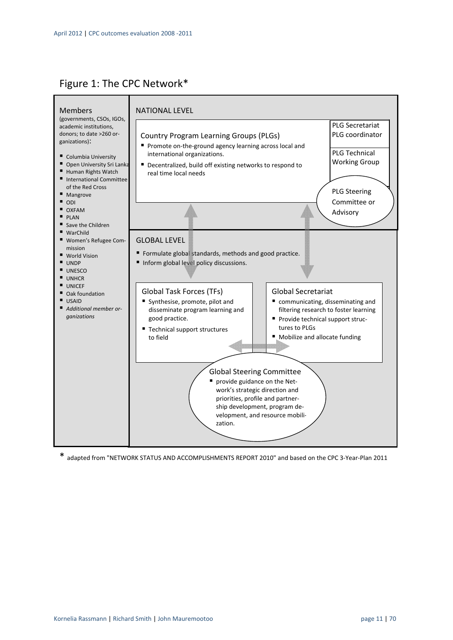## Figure 1: The CPC Network\*



\* adapted from "NETWORK STATUS AND ACCOMPLISHMENTS REPORT 2010" and based on the CPC <sup>3</sup>‐Year‐Plan <sup>2011</sup>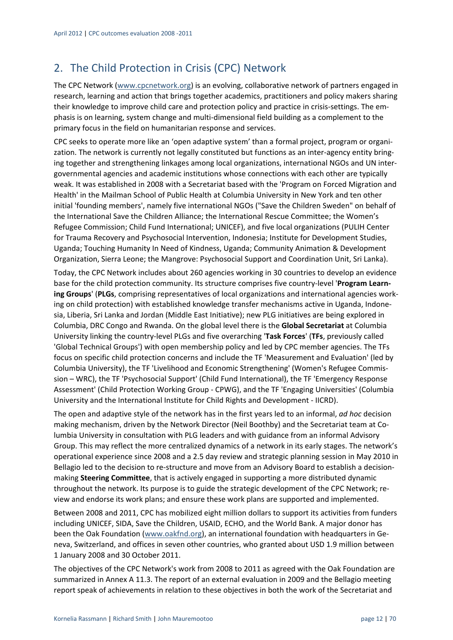## 2. The Child Protection in Crisis (CPC) Network

The CPC Network (www.cpcnetwork.org) is an evolving, collaborative network of partners engaged in research, learning and action that brings together academics, practitioners and policy makers sharing their knowledge to improve child care and protection policy and practice in crisis‐settings. The em‐ phasis is on learning, system change and multi‐dimensional field building as a complement to the primary focus in the field on humanitarian response and services.

CPC seeks to operate more like an 'open adaptive system' than a formal project, program or organi‐ zation. The network is currently not legally constituted but functions as an inter-agency entity bringing together and strengthening linkages among local organizations, international NGOs and UN inter‐ governmental agencies and academic institutions whose connections with each other are typically weak. It was established in 2008 with a Secretariat based with the 'Program on Forced Migration and Health' in the Mailman School of Public Health at Columbia University in New York and ten other initial 'founding members', namely five international NGOs ("Save the Children Sweden" on behalf of the International Save the Children Alliance; the International Rescue Committee; the Women's Refugee Commission; Child Fund International; UNICEF), and five local organizations (PULIH Center for Trauma Recovery and Psychosocial Intervention, Indonesia; Institute for Development Studies, Uganda; Touching Humanity In Need of Kindness, Uganda; Community Animation & Development Organization, Sierra Leone; the Mangrove: Psychosocial Support and Coordination Unit, Sri Lanka).

Today, the CPC Network includes about 260 agencies working in 30 countries to develop an evidence base for the child protection community. Its structure comprises five country‐level '**Program Learn‐ ing Groups**' (**PLGs**, comprising representatives of local organizations and international agencies work‐ ing on child protection) with established knowledge transfer mechanisms active in Uganda, Indone‐ sia, Liberia, Sri Lanka and Jordan (Middle East Initiative); new PLG initiatives are being explored in Columbia, DRC Congo and Rwanda. On the global level there is the **Global Secretariat** at Columbia University linking the country‐level PLGs and five overarching '**Task Forces**' (**TFs**, previously called 'Global Technical Groups') with open membership policy and led by CPC member agencies. The TFs focus on specific child protection concerns and include the TF 'Measurement and Evaluation' (led by Columbia University), the TF 'Livelihood and Economic Strengthening' (Women's Refugee Commis‐ sion – WRC), the TF 'Psychosocial Support' (Child Fund International), the TF 'Emergency Response Assessment' (Child Protection Working Group ‐ CPWG), and the TF 'Engaging Universities' (Columbia University and the International Institute for Child Rights and Development ‐ IICRD).

The open and adaptive style of the network has in the first years led to an informal, *ad hoc* decision making mechanism, driven by the Network Director (Neil Boothby) and the Secretariat team at Co‐ lumbia University in consultation with PLG leaders and with guidance from an informal Advisory Group. This may reflect the more centralized dynamics of a network in its early stages. The network's operational experience since 2008 and a 2.5 day review and strategic planning session in May 2010 in Bellagio led to the decision to re‐structure and move from an Advisory Board to establish a decision‐ making **Steering Committee**, that is actively engaged in supporting a more distributed dynamic throughout the network. Its purpose is to guide the strategic development of the CPC Network; re‐ view and endorse its work plans; and ensure these work plans are supported and implemented.

Between 2008 and 2011, CPC has mobilized eight million dollars to support its activities from funders including UNICEF, SIDA, Save the Children, USAID, ECHO, and the World Bank. A major donor has been the Oak Foundation (www.oakfnd.org), an international foundation with headquarters in Geneva, Switzerland, and offices in seven other countries, who granted about USD 1.9 million between 1 January 2008 and 30 October 2011.

The objectives of the CPC Network's work from 2008 to 2011 as agreed with the Oak Foundation are summarized in Annex A 11.3. The report of an external evaluation in 2009 and the Bellagio meeting report speak of achievements in relation to these objectives in both the work of the Secretariat and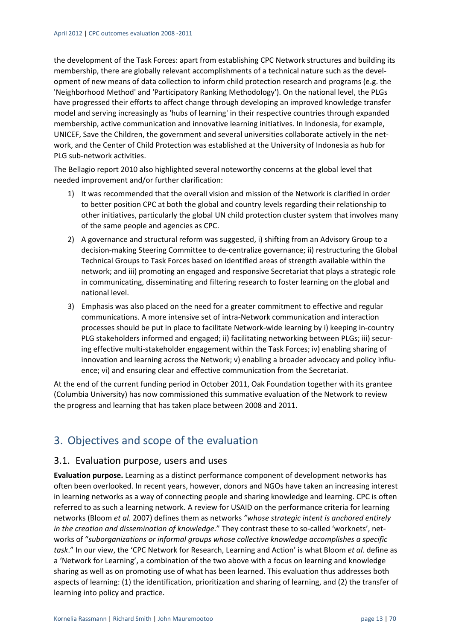the development of the Task Forces: apart from establishing CPC Network structures and building its membership, there are globally relevant accomplishments of a technical nature such as the development of new means of data collection to inform child protection research and programs (e.g. the 'Neighborhood Method' and 'Participatory Ranking Methodology'). On the national level, the PLGs have progressed their efforts to affect change through developing an improved knowledge transfer model and serving increasingly as 'hubs of learning' in their respective countries through expanded membership, active communication and innovative learning initiatives. In Indonesia, for example, UNICEF, Save the Children, the government and several universities collaborate actively in the net‐ work, and the Center of Child Protection was established at the University of Indonesia as hub for PLG sub‐network activities.

The Bellagio report 2010 also highlighted several noteworthy concerns at the global level that needed improvement and/or further clarification:

- 1) It was recommended that the overall vision and mission of the Network is clarified in order to better position CPC at both the global and country levels regarding their relationship to other initiatives, particularly the global UN child protection cluster system that involves many of the same people and agencies as CPC.
- 2) A governance and structural reform was suggested, i) shifting from an Advisory Group to a decision‐making Steering Committee to de‐centralize governance; ii) restructuring the Global Technical Groups to Task Forces based on identified areas of strength available within the network; and iii) promoting an engaged and responsive Secretariat that plays a strategic role in communicating, disseminating and filtering research to foster learning on the global and national level.
- 3) Emphasis was also placed on the need for a greater commitment to effective and regular communications. A more intensive set of intra‐Network communication and interaction processes should be put in place to facilitate Network‐wide learning by i) keeping in‐country PLG stakeholders informed and engaged; ii) facilitating networking between PLGs; iii) secur‐ ing effective multi‐stakeholder engagement within the Task Forces; iv) enabling sharing of innovation and learning across the Network; v) enabling a broader advocacy and policy influ‐ ence; vi) and ensuring clear and effective communication from the Secretariat.

At the end of the current funding period in October 2011, Oak Foundation together with its grantee (Columbia University) has now commissioned this summative evaluation of the Network to review the progress and learning that has taken place between 2008 and 2011.

## 3. Objectives and scope of the evaluation

#### 3.1. Evaluation purpose, users and uses

**Evaluation purpose.** Learning as a distinct performance component of development networks has often been overlooked. In recent years, however, donors and NGOs have taken an increasing interest in learning networks as a way of connecting people and sharing knowledge and learning. CPC is often referred to as such a learning network. A review for USAID on the performance criteria for learning networks (Bloom *et al.* 2007) defines them as networks *"whose strategic intent is anchored entirely in the creation and dissemination of knowledge.*" They contrast these to so‐called 'worknets', net‐ works of "*suborganizations or informal groups whose collective knowledge accomplishes a specific task*." In our view, the 'CPC Network for Research, Learning and Action' is what Bloom *et al.* define as a 'Network for Learning', a combination of the two above with a focus on learning and knowledge sharing as well as on promoting use of what has been learned. This evaluation thus addresses both aspects of learning: (1) the identification, prioritization and sharing of learning, and (2) the transfer of learning into policy and practice.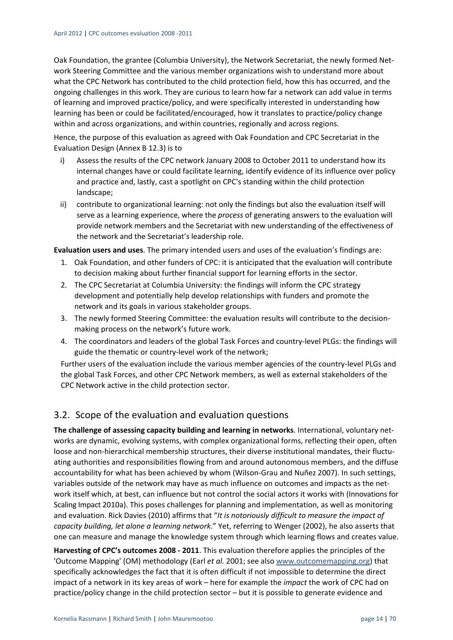Oak Foundation, the grantee (Columbia University), the Network Secretariat, the newly formed Net‐ work Steering Committee and the various member organizations wish to understand more about what the CPC Network has contributed to the child protection field, how this has occurred, and the ongoing challenges in this work. They are curious to learn how far a network can add value in terms of learning and improved practice/policy, and were specifically interested in understanding how learning has been or could be facilitated/encouraged, how it translates to practice/policy change within and across organizations, and within countries, regionally and across regions.

Hence, the purpose of this evaluation as agreed with Oak Foundation and CPC Secretariat in the Evaluation Design (Annex B 12.3) is to

- i) Assess the results of the CPC network January 2008 to October 2011 to understand how its internal changes have or could facilitate learning, identify evidence of its influence over policy and practice and, lastly, cast a spotlight on CPC's standing within the child protection landscape;
- ii) contribute to organizational learning: not only the findings but also the evaluation itself will serve as a learning experience, where the *process* of generating answers to the evaluation will provide network members and the Secretariat with new understanding of the effectiveness of the network and the Secretariat's leadership role.

**Evaluation users and uses**. The primary intended users and uses of the evaluation's findings are:

- 1. Oak Foundation, and other funders of CPC: it is anticipated that the evaluation will contribute to decision making about further financial support for learning efforts in the sector.
- 2. The CPC Secretariat at Columbia University: the findings will inform the CPC strategy development and potentially help develop relationships with funders and promote the network and its goals in various stakeholder groups.
- 3. The newly formed Steering Committee: the evaluation results will contribute to the decision‐ making process on the network's future work.
- 4. The coordinators and leaders of the global Task Forces and country-level PLGs: the findings will guide the thematic or country‐level work of the network;

Further users of the evaluation include the various member agencies of the country-level PLGs and the global Task Forces, and other CPC Network members, as well as external stakeholders of the CPC Network active in the child protection sector.

## 3.2. Scope of the evaluation and evaluation questions

**The challenge of assessing capacity building and learning in networks**. International, voluntary net‐ works are dynamic, evolving systems, with complex organizational forms, reflecting their open, often loose and non-hierarchical membership structures, their diverse institutional mandates, their fluctuating authorities and responsibilities flowing from and around autonomous members, and the diffuse accountability for what has been achieved by whom (Wilson‐Grau and Nuñez 2007). In such settings, variables outside of the network may have as much influence on outcomes and impacts as the net‐ work itself which, at best, can influence but not control the social actors it works with (Innovations for Scaling Impact 2010a). This poses challenges for planning and implementation, as well as monitoring and evaluation. Rick Davies (2010) affirms that "*It is notoriously difficult to measure the impact of capacity building, let alone a learning network*." Yet, referring to Wenger (2002), he also asserts that one can measure and manage the knowledge system through which learning flows and creates value.

**Harvesting of CPC's outcomes 2008 ‐ 2011**. This evaluation therefore applies the principles of the 'Outcome Mapping' (OM) methodology (Earl *et al.* 2001; see also www.outcomemapping.org) that specifically acknowledges the fact that it is often difficult if not impossible to determine the direct impact of a network in its key areas of work – here for example the *impact* the work of CPC had on practice/policy change in the child protection sector – but it is possible to generate evidence and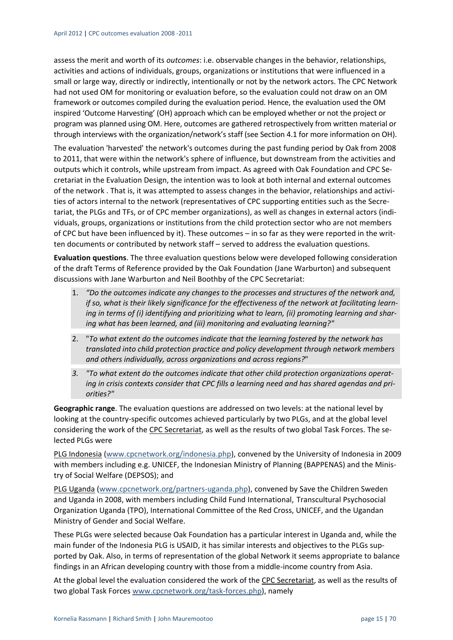assess the merit and worth of its *outcomes*: i.e. observable changes in the behavior, relationships, activities and actions of individuals, groups, organizations or institutions that were influenced in a small or large way, directly or indirectly, intentionally or not by the network actors. The CPC Network had not used OM for monitoring or evaluation before, so the evaluation could not draw on an OM framework or outcomes compiled during the evaluation period. Hence, the evaluation used the OM inspired 'Outcome Harvesting' (OH) approach which can be employed whether or not the project or program was planned using OM. Here, outcomes are gathered retrospectively from written material or through interviews with the organization/network's staff (see Section 4.1 for more information on OH).

The evaluation 'harvested' the network's outcomes during the past funding period by Oak from 2008 to 2011, that were within the network's sphere of influence, but downstream from the activities and outputs which it controls, while upstream from impact. As agreed with Oak Foundation and CPC Se‐ cretariat in the Evaluation Design, the intention was to look at both internal and external outcomes of the network . That is, it was attempted to assess changes in the behavior, relationships and activi‐ ties of actors internal to the network (representatives of CPC supporting entities such as the Secretariat, the PLGs and TFs, or of CPC member organizations), as well as changes in external actors (indi‐ viduals, groups, organizations or institutions from the child protection sector who are not members of CPC but have been influenced by it). These outcomes – in so far as they were reported in the writ‐ ten documents or contributed by network staff – served to address the evaluation questions.

**Evaluation questions**. The three evaluation questions below were developed following consideration of the draft Terms of Reference provided by the Oak Foundation (Jane Warburton) and subsequent discussions with Jane Warburton and Neil Boothby of the CPC Secretariat:

- 1. *"Do the outcomes indicate any changes to the processes and structures of the network and, if so, what is their likely significance for the effectiveness of the network at facilitating learn‐ ing in terms of (i) identifying and prioritizing what to learn, (ii) promoting learning and shar‐ ing what has been learned, and (iii) monitoring and evaluating learning?"*
- 2. "*To what extent do the outcomes indicate that the learning fostered by the network has translated into child protection practice and policy development through network members and others individually, across organizations and across regions?*"
- *3. "To what extent do the outcomes indicate that other child protection organizations operat‐ ing in crisis contexts consider that CPC fills a learning need and has shared agendas and pri‐ orities?"*

**Geographic range**. The evaluation questions are addressed on two levels: at the national level by looking at the country‐specific outcomes achieved particularly by two PLGs, and at the global level considering the work of the CPC Secretariat, as well as the results of two global Task Forces. The se‐ lected PLGs were

PLG Indonesia (www.cpcnetwork.org/indonesia.php), convened by the University of Indonesia in 2009 with members including e.g. UNICEF, the Indonesian Ministry of Planning (BAPPENAS) and the Ministry of Social Welfare (DEPSOS); and

PLG Uganda (www.cpcnetwork.org/partners‐uganda.php), convened by Save the Children Sweden and Uganda in 2008, with members including Child Fund International, Transcultural Psychosocial Organization Uganda (TPO), International Committee of the Red Cross, UNICEF, and the Ugandan Ministry of Gender and Social Welfare.

These PLGs were selected because Oak Foundation has a particular interest in Uganda and, while the main funder of the Indonesia PLG is USAID, it has similar interests and objectives to the PLGs sup‐ ported by Oak. Also, in terms of representation of the global Network it seems appropriate to balance findings in an African developing country with those from a middle-income country from Asia.

At the global level the evaluation considered the work of the CPC Secretariat, as well as the results of two global Task Forces www.cpcnetwork.org/task‐forces.php), namely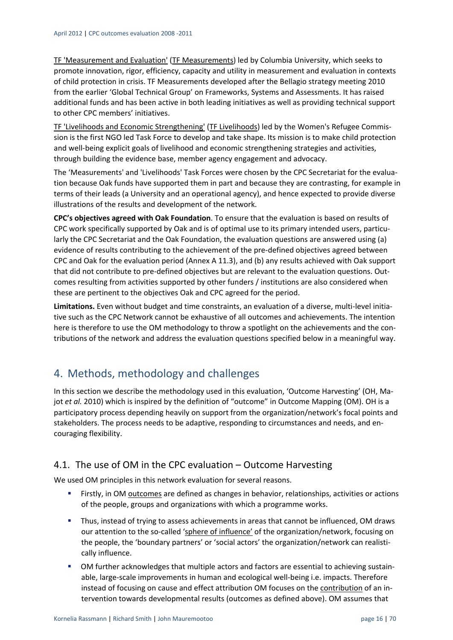TF 'Measurement and Evaluation' (TF Measurements) led by Columbia University, which seeks to promote innovation, rigor, efficiency, capacity and utility in measurement and evaluation in contexts of child protection in crisis. TF Measurements developed after the Bellagio strategy meeting 2010 from the earlier 'Global Technical Group' on Frameworks, Systems and Assessments. It has raised additional funds and has been active in both leading initiatives as well as providing technical support to other CPC members' initiatives.

TF 'Livelihoods and Economic Strengthening' (TF Livelihoods) led by the Women's Refugee Commis‐ sion is the first NGO led Task Force to develop and take shape. Its mission is to make child protection and well‐being explicit goals of livelihood and economic strengthening strategies and activities, through building the evidence base, member agency engagement and advocacy.

The 'Measurements' and 'Livelihoods' Task Forces were chosen by the CPC Secretariat for the evalua‐ tion because Oak funds have supported them in part and because they are contrasting, for example in terms of their leads (a University and an operational agency), and hence expected to provide diverse illustrations of the results and development of the network.

**CPC's objectives agreed with Oak Foundation**. To ensure that the evaluation is based on results of CPC work specifically supported by Oak and is of optimal use to its primary intended users, particularly the CPC Secretariat and the Oak Foundation, the evaluation questions are answered using (a) evidence of results contributing to the achievement of the pre-defined objectives agreed between CPC and Oak for the evaluation period (Annex A 11.3), and (b) any results achieved with Oak support that did not contribute to pre-defined objectives but are relevant to the evaluation questions. Outcomes resulting from activities supported by other funders / institutions are also considered when these are pertinent to the objectives Oak and CPC agreed for the period.

Limitations. Even without budget and time constraints, an evaluation of a diverse, multi-level initiative such as the CPC Network cannot be exhaustive of all outcomes and achievements. The intention here is therefore to use the OM methodology to throw a spotlight on the achievements and the contributions of the network and address the evaluation questions specified below in a meaningful way.

## 4. Methods, methodology and challenges

In this section we describe the methodology used in this evaluation, 'Outcome Harvesting' (OH, Ma‐ jot *et al.* 2010) which is inspired by the definition of "outcome" in Outcome Mapping (OM). OH is a participatory process depending heavily on support from the organization/network's focal points and stakeholders. The process needs to be adaptive, responding to circumstances and needs, and en‐ couraging flexibility.

## 4.1. The use of OM in the CPC evaluation – Outcome Harvesting

We used OM principles in this network evaluation for several reasons.

- Firstly, in OM outcomes are defined as changes in behavior, relationships, activities or actions of the people, groups and organizations with which a programme works.
- Thus, instead of trying to assess achievements in areas that cannot be influenced, OM draws our attention to the so-called 'sphere of influence' of the organization/network, focusing on the people, the 'boundary partners' or 'social actors' the organization/network can realistically influence.
- OM further acknowledges that multiple actors and factors are essential to achieving sustainable, large‐scale improvements in human and ecological well‐being i.e. impacts. Therefore instead of focusing on cause and effect attribution OM focuses on the contribution of an in‐ tervention towards developmental results (outcomes as defined above). OM assumes that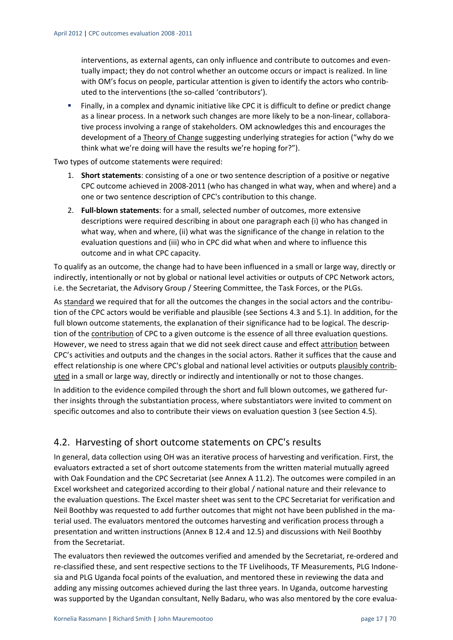interventions, as external agents, can only influence and contribute to outcomes and even‐ tually impact; they do not control whether an outcome occurs or impact is realized. In line with OM's focus on people, particular attention is given to identify the actors who contributed to the interventions (the so‐called 'contributors').

 Finally, in a complex and dynamic initiative like CPC it is difficult to define or predict change as a linear process. In a network such changes are more likely to be a non-linear, collaborative process involving a range of stakeholders. OM acknowledges this and encourages the development of a Theory of Change suggesting underlying strategies for action ("why do we think what we're doing will have the results we're hoping for?").

Two types of outcome statements were required:

- 1. **Short statements**: consisting of a one or two sentence description of a positive or negative CPC outcome achieved in 2008‐2011 (who has changed in what way, when and where) and a one or two sentence description of CPC's contribution to this change.
- 2. **Full‐blown statements**: for a small, selected number of outcomes, more extensive descriptions were required describing in about one paragraph each (i) who has changed in what way, when and where, (ii) what was the significance of the change in relation to the evaluation questions and (iii) who in CPC did what when and where to influence this outcome and in what CPC capacity.

To qualify as an outcome, the change had to have been influenced in a small or large way, directly or indirectly, intentionally or not by global or national level activities or outputs of CPC Network actors, i.e. the Secretariat, the Advisory Group / Steering Committee, the Task Forces, or the PLGs.

As standard we required that for all the outcomes the changes in the social actors and the contribu‐ tion of the CPC actors would be verifiable and plausible (see Sections 4.3 and 5.1). In addition, for the full blown outcome statements, the explanation of their significance had to be logical. The description of the contribution of CPC to a given outcome is the essence of all three evaluation questions. However, we need to stress again that we did not seek direct cause and effect attribution between CPC's activities and outputs and the changes in the social actors. Rather it suffices that the cause and effect relationship is one where CPC's global and national level activities or outputs plausibly contributed in a small or large way, directly or indirectly and intentionally or not to those changes.

In addition to the evidence compiled through the short and full blown outcomes, we gathered fur‐ ther insights through the substantiation process, where substantiators were invited to comment on specific outcomes and also to contribute their views on evaluation question 3 (see Section 4.5).

## 4.2. Harvesting of short outcome statements on CPC's results

In general, data collection using OH was an iterative process of harvesting and verification. First, the evaluators extracted a set of short outcome statements from the written material mutually agreed with Oak Foundation and the CPC Secretariat (see Annex A 11.2). The outcomes were compiled in an Excel worksheet and categorized according to their global / national nature and their relevance to the evaluation questions. The Excel master sheet was sent to the CPC Secretariat for verification and Neil Boothby was requested to add further outcomes that might not have been published in the ma‐ terial used. The evaluators mentored the outcomes harvesting and verification process through a presentation and written instructions (Annex B 12.4 and 12.5) and discussions with Neil Boothby from the Secretariat.

The evaluators then reviewed the outcomes verified and amended by the Secretariat, re-ordered and re-classified these, and sent respective sections to the TF Livelihoods, TF Measurements, PLG Indonesia and PLG Uganda focal points of the evaluation, and mentored these in reviewing the data and adding any missing outcomes achieved during the last three years. In Uganda, outcome harvesting was supported by the Ugandan consultant, Nelly Badaru, who was also mentored by the core evalua‐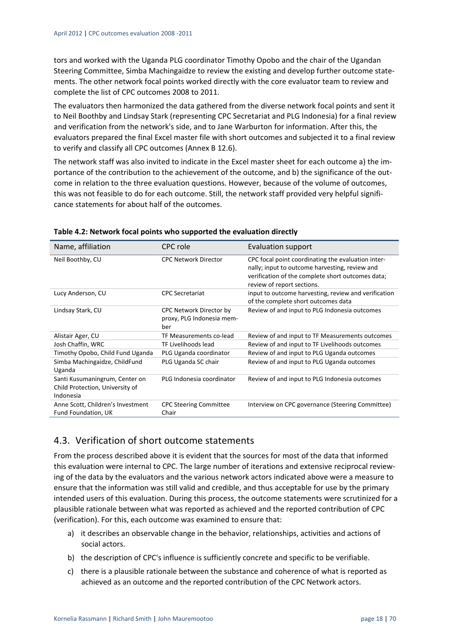tors and worked with the Uganda PLG coordinator Timothy Opobo and the chair of the Ugandan Steering Committee, Simba Machingaidze to review the existing and develop further outcome state‐ ments. The other network focal points worked directly with the core evaluator team to review and complete the list of CPC outcomes 2008 to 2011.

The evaluators then harmonized the data gathered from the diverse network focal points and sent it to Neil Boothby and Lindsay Stark (representing CPC Secretariat and PLG Indonesia) for a final review and verification from the network's side, and to Jane Warburton for information. After this, the evaluators prepared the final Excel master file with short outcomes and subjected it to a final review to verify and classify all CPC outcomes (Annex B 12.6).

The network staff was also invited to indicate in the Excel master sheet for each outcome a) the im‐ portance of the contribution to the achievement of the outcome, and b) the significance of the outcome in relation to the three evaluation questions. However, because of the volume of outcomes, this was not feasible to do for each outcome. Still, the network staff provided very helpful signifi‐ cance statements for about half of the outcomes.

| Name, affiliation                                                              | CPC role                                                    | Evaluation support                                                                                                                                                                      |
|--------------------------------------------------------------------------------|-------------------------------------------------------------|-----------------------------------------------------------------------------------------------------------------------------------------------------------------------------------------|
| Neil Boothby, CU                                                               | <b>CPC Network Director</b>                                 | CPC focal point coordinating the evaluation inter-<br>nally; input to outcome harvesting, review and<br>verification of the complete short outcomes data;<br>review of report sections. |
| Lucy Anderson, CU                                                              | <b>CPC</b> Secretariat                                      | input to outcome harvesting, review and verification<br>of the complete short outcomes data                                                                                             |
| Lindsay Stark, CU                                                              | CPC Network Director by<br>proxy, PLG Indonesia mem-<br>ber | Review of and input to PLG Indonesia outcomes                                                                                                                                           |
| Alistair Ager, CU                                                              | TF Measurements co-lead                                     | Review of and input to TF Measurements outcomes                                                                                                                                         |
| Josh Chaffin, WRC                                                              | TF Livelihoods lead                                         | Review of and input to TF Livelihoods outcomes                                                                                                                                          |
| Timothy Opobo, Child Fund Uganda                                               | PLG Uganda coordinator                                      | Review of and input to PLG Uganda outcomes                                                                                                                                              |
| Simba Machingaidze, ChildFund<br>Uganda                                        | PLG Uganda SC chair                                         | Review of and input to PLG Uganda outcomes                                                                                                                                              |
| Santi Kusumaningrum, Center on<br>Child Protection, University of<br>Indonesia | PLG Indonesia coordinator                                   | Review of and input to PLG Indonesia outcomes                                                                                                                                           |
| Anne Scott, Children's Investment<br>Fund Foundation, UK                       | <b>CPC Steering Committee</b><br>Chair                      | Interview on CPC governance (Steering Committee)                                                                                                                                        |

#### **Table 4.2: Network focal points who supported the evaluation directly**

## 4.3. Verification of short outcome statements

From the process described above it is evident that the sources for most of the data that informed this evaluation were internal to CPC. The large number of iterations and extensive reciprocal review‐ ing of the data by the evaluators and the various network actors indicated above were a measure to ensure that the information was still valid and credible, and thus acceptable for use by the primary intended users of this evaluation. During this process, the outcome statements were scrutinized for a plausible rationale between what was reported as achieved and the reported contribution of CPC (verification). For this, each outcome was examined to ensure that:

- a) it describes an observable change in the behavior, relationships, activities and actions of social actors.
- b) the description of CPC's influence is sufficiently concrete and specific to be verifiable.
- c) there is a plausible rationale between the substance and coherence of what is reported as achieved as an outcome and the reported contribution of the CPC Network actors.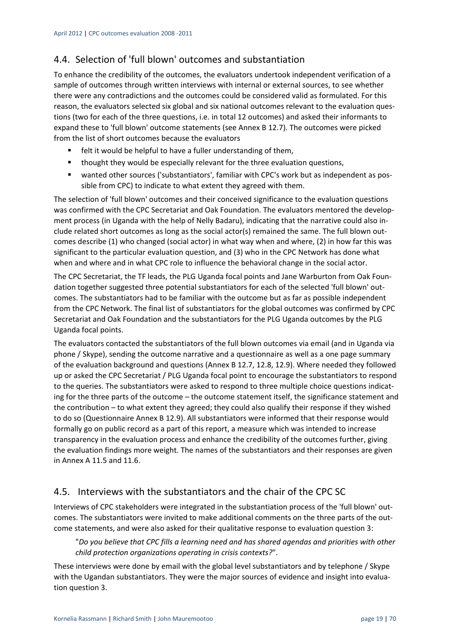## 4.4. Selection of 'full blown' outcomes and substantiation

To enhance the credibility of the outcomes, the evaluators undertook independent verification of a sample of outcomes through written interviews with internal or external sources, to see whether there were any contradictions and the outcomes could be considered valid as formulated. For this reason, the evaluators selected six global and six national outcomes relevant to the evaluation questions (two for each of the three questions, i.e. in total 12 outcomes) and asked their informants to expand these to 'full blown' outcome statements (see Annex B 12.7). The outcomes were picked from the list of short outcomes because the evaluators

- **F** felt it would be helpful to have a fuller understanding of them,
- **thought they would be especially relevant for the three evaluation questions,**
- wanted other sources ('substantiators', familiar with CPC's work but as independent as possible from CPC) to indicate to what extent they agreed with them.

The selection of 'full blown' outcomes and their conceived significance to the evaluation questions was confirmed with the CPC Secretariat and Oak Foundation. The evaluators mentored the development process (in Uganda with the help of Nelly Badaru), indicating that the narrative could also include related short outcomes as long as the social actor(s) remained the same. The full blown out‐ comes describe (1) who changed (social actor) in what way when and where, (2) in how far this was significant to the particular evaluation question, and (3) who in the CPC Network has done what when and where and in what CPC role to influence the behavioral change in the social actor.

The CPC Secretariat, the TF leads, the PLG Uganda focal points and Jane Warburton from Oak Foun‐ dation together suggested three potential substantiators for each of the selected 'full blown' out‐ comes. The substantiators had to be familiar with the outcome but as far as possible independent from the CPC Network. The final list of substantiators for the global outcomes was confirmed by CPC Secretariat and Oak Foundation and the substantiators for the PLG Uganda outcomes by the PLG Uganda focal points.

The evaluators contacted the substantiators of the full blown outcomes via email (and in Uganda via phone / Skype), sending the outcome narrative and a questionnaire as well as a one page summary of the evaluation background and questions (Annex B 12.7, 12.8, 12.9). Where needed they followed up or asked the CPC Secretariat / PLG Uganda focal point to encourage the substantiators to respond to the queries. The substantiators were asked to respond to three multiple choice questions indicating for the three parts of the outcome – the outcome statement itself, the significance statement and the contribution – to what extent they agreed; they could also qualify their response if they wished to do so (Questionnaire Annex B 12.9). All substantiators were informed that their response would formally go on public record as a part of this report, a measure which was intended to increase transparency in the evaluation process and enhance the credibility of the outcomes further, giving the evaluation findings more weight. The names of the substantiators and their responses are given in Annex A 11.5 and 11.6.

## 4.5. Interviews with the substantiators and the chair of the CPC SC

Interviews of CPC stakeholders were integrated in the substantiation process of the 'full blown' out‐ comes. The substantiators were invited to make additional comments on the three parts of the out‐ come statements, and were also asked for their qualitative response to evaluation question 3:

"*Do you believe that CPC fills a learning need and has shared agendas and priorities with other child protection organizations operating in crisis contexts?*".

These interviews were done by email with the global level substantiators and by telephone / Skype with the Ugandan substantiators. They were the major sources of evidence and insight into evaluation question 3.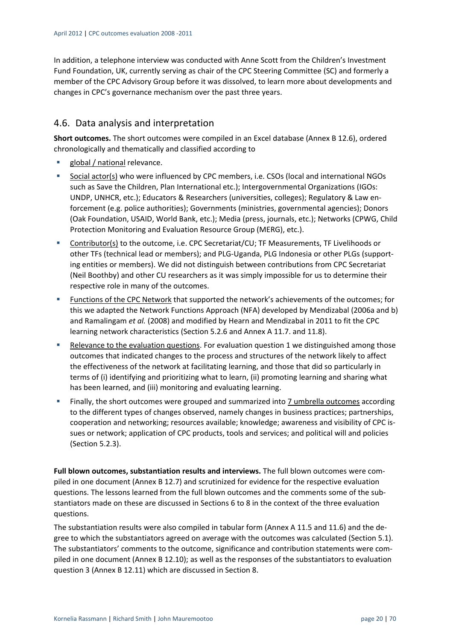In addition, a telephone interview was conducted with Anne Scott from the Children's Investment Fund Foundation, UK, currently serving as chair of the CPC Steering Committee (SC) and formerly a member of the CPC Advisory Group before it was dissolved, to learn more about developments and changes in CPC's governance mechanism over the past three years.

## 4.6. Data analysis and interpretation

**Short outcomes.** The short outcomes were compiled in an Excel database (Annex B 12.6), ordered chronologically and thematically and classified according to

- global / national relevance.
- Social actor(s) who were influenced by CPC members, i.e. CSOs (local and international NGOs such as Save the Children, Plan International etc.); Intergovernmental Organizations (IGOs: UNDP, UNHCR, etc.); Educators & Researchers (universities, colleges); Regulatory & Law en‐ forcement (e.g. police authorities); Governments (ministries, governmental agencies); Donors (Oak Foundation, USAID, World Bank, etc.); Media (press, journals, etc.); Networks (CPWG, Child Protection Monitoring and Evaluation Resource Group (MERG), etc.).
- Contributor(s) to the outcome, i.e. CPC Secretariat/CU; TF Measurements, TF Livelihoods or other TFs (technical lead or members); and PLG‐Uganda, PLG Indonesia or other PLGs (support‐ ing entities or members). We did not distinguish between contributions from CPC Secretariat (Neil Boothby) and other CU researchers as it was simply impossible for us to determine their respective role in many of the outcomes.
- Functions of the CPC Network that supported the network's achievements of the outcomes; for this we adapted the Network Functions Approach (NFA) developed by Mendizabal (2006a and b) and Ramalingam *et al.* (2008) and modified by Hearn and Mendizabal in 2011 to fit the CPC learning network characteristics (Section 5.2.6 and Annex A 11.7. and 11.8).
- Relevance to the evaluation questions. For evaluation question 1 we distinguished among those outcomes that indicated changes to the process and structures of the network likely to affect the effectiveness of the network at facilitating learning, and those that did so particularly in terms of (i) identifying and prioritizing what to learn, (ii) promoting learning and sharing what has been learned, and (iii) monitoring and evaluating learning.
- Finally, the short outcomes were grouped and summarized into 7 umbrella outcomes according to the different types of changes observed, namely changes in business practices; partnerships, cooperation and networking; resources available; knowledge; awareness and visibility of CPC is‐ sues or network; application of CPC products, tools and services; and political will and policies (Section 5.2.3).

**Full blown outcomes, substantiation results and interviews.** The full blown outcomes were com‐ piled in one document (Annex B 12.7) and scrutinized for evidence for the respective evaluation questions. The lessons learned from the full blown outcomes and the comments some of the sub‐ stantiators made on these are discussed in Sections 6 to 8 in the context of the three evaluation questions.

The substantiation results were also compiled in tabular form (Annex A 11.5 and 11.6) and the de‐ gree to which the substantiators agreed on average with the outcomes was calculated (Section 5.1). The substantiators' comments to the outcome, significance and contribution statements were com‐ piled in one document (Annex B 12.10); as well as the responses of the substantiators to evaluation question 3 (Annex B 12.11) which are discussed in Section 8.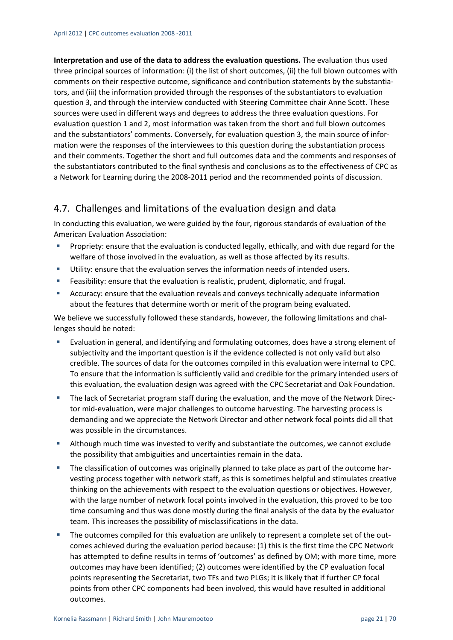**Interpretation and use of the data to address the evaluation questions.** The evaluation thus used three principal sources of information: (i) the list of short outcomes, (ii) the full blown outcomes with comments on their respective outcome, significance and contribution statements by the substantia‐ tors, and (iii) the information provided through the responses of the substantiators to evaluation question 3, and through the interview conducted with Steering Committee chair Anne Scott. These sources were used in different ways and degrees to address the three evaluation questions. For evaluation question 1 and 2, most information was taken from the short and full blown outcomes and the substantiators' comments. Conversely, for evaluation question 3, the main source of information were the responses of the interviewees to this question during the substantiation process and their comments. Together the short and full outcomes data and the comments and responses of the substantiators contributed to the final synthesis and conclusions as to the effectiveness of CPC as a Network for Learning during the 2008‐2011 period and the recommended points of discussion.

## 4.7. Challenges and limitations of the evaluation design and data

In conducting this evaluation, we were guided by the four, rigorous standards of evaluation of the American Evaluation Association:

- Propriety: ensure that the evaluation is conducted legally, ethically, and with due regard for the welfare of those involved in the evaluation, as well as those affected by its results.
- Utility: ensure that the evaluation serves the information needs of intended users.
- Feasibility: ensure that the evaluation is realistic, prudent, diplomatic, and frugal.
- Accuracy: ensure that the evaluation reveals and conveys technically adequate information about the features that determine worth or merit of the program being evaluated.

We believe we successfully followed these standards, however, the following limitations and challenges should be noted:

- Evaluation in general, and identifying and formulating outcomes, does have a strong element of subjectivity and the important question is if the evidence collected is not only valid but also credible. The sources of data for the outcomes compiled in this evaluation were internal to CPC. To ensure that the information is sufficiently valid and credible for the primary intended users of this evaluation, the evaluation design was agreed with the CPC Secretariat and Oak Foundation.
- The lack of Secretariat program staff during the evaluation, and the move of the Network Director mid-evaluation, were major challenges to outcome harvesting. The harvesting process is demanding and we appreciate the Network Director and other network focal points did all that was possible in the circumstances.
- Although much time was invested to verify and substantiate the outcomes, we cannot exclude the possibility that ambiguities and uncertainties remain in the data.
- The classification of outcomes was originally planned to take place as part of the outcome har‐ vesting process together with network staff, as this is sometimes helpful and stimulates creative thinking on the achievements with respect to the evaluation questions or objectives. However, with the large number of network focal points involved in the evaluation, this proved to be too time consuming and thus was done mostly during the final analysis of the data by the evaluator team. This increases the possibility of misclassifications in the data.
- The outcomes compiled for this evaluation are unlikely to represent a complete set of the outcomes achieved during the evaluation period because: (1) this is the first time the CPC Network has attempted to define results in terms of 'outcomes' as defined by OM; with more time, more outcomes may have been identified; (2) outcomes were identified by the CP evaluation focal points representing the Secretariat, two TFs and two PLGs; it is likely that if further CP focal points from other CPC components had been involved, this would have resulted in additional outcomes.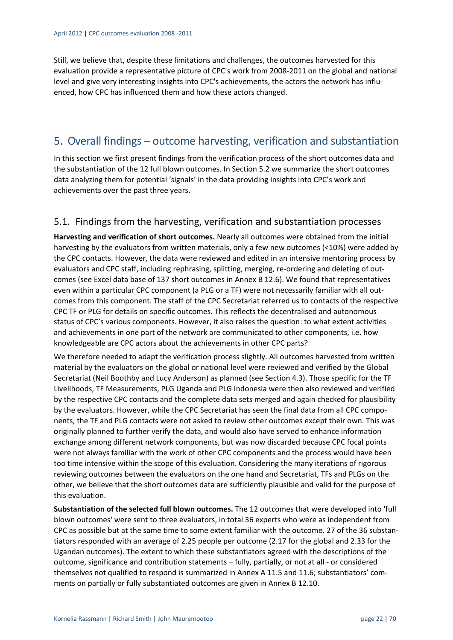Still, we believe that, despite these limitations and challenges, the outcomes harvested for this evaluation provide a representative picture of CPC's work from 2008‐2011 on the global and national level and give very interesting insights into CPC's achievements, the actors the network has influenced, how CPC has influenced them and how these actors changed.

## 5. Overall findings – outcome harvesting, verification and substantiation

In this section we first present findings from the verification process of the short outcomes data and the substantiation of the 12 full blown outcomes. In Section 5.2 we summarize the short outcomes data analyzing them for potential 'signals' in the data providing insights into CPC's work and achievements over the past three years.

## 5.1. Findings from the harvesting, verification and substantiation processes

**Harvesting and verification of short outcomes.** Nearly all outcomes were obtained from the initial harvesting by the evaluators from written materials, only a few new outcomes (<10%) were added by the CPC contacts. However, the data were reviewed and edited in an intensive mentoring process by evaluators and CPC staff, including rephrasing, splitting, merging, re-ordering and deleting of outcomes (see Excel data base of 137 short outcomes in Annex B 12.6). We found that representatives even within a particular CPC component (a PLG or a TF) were not necessarily familiar with all outcomes from this component. The staff of the CPC Secretariat referred us to contacts of the respective CPC TF or PLG for details on specific outcomes. This reflects the decentralised and autonomous status of CPC's various components. However, it also raises the question: to what extent activities and achievements in one part of the network are communicated to other components, i.e. how knowledgeable are CPC actors about the achievements in other CPC parts?

We therefore needed to adapt the verification process slightly. All outcomes harvested from written material by the evaluators on the global or national level were reviewed and verified by the Global Secretariat (Neil Boothby and Lucy Anderson) as planned (see Section 4.3). Those specific for the TF Livelihoods, TF Measurements, PLG Uganda and PLG Indonesia were then also reviewed and verified by the respective CPC contacts and the complete data sets merged and again checked for plausibility by the evaluators. However, while the CPC Secretariat has seen the final data from all CPC components, the TF and PLG contacts were not asked to review other outcomes except their own. This was originally planned to further verify the data, and would also have served to enhance information exchange among different network components, but was now discarded because CPC focal points were not always familiar with the work of other CPC components and the process would have been too time intensive within the scope of this evaluation. Considering the many iterations of rigorous reviewing outcomes between the evaluators on the one hand and Secretariat, TFs and PLGs on the other, we believe that the short outcomes data are sufficiently plausible and valid for the purpose of this evaluation.

**Substantiation of the selected full blown outcomes.** The 12 outcomes that were developed into 'full blown outcomes' were sent to three evaluators, in total 36 experts who were as independent from CPC as possible but at the same time to some extent familiar with the outcome. 27 of the 36 substan‐ tiators responded with an average of 2.25 people per outcome (2.17 for the global and 2.33 for the Ugandan outcomes). The extent to which these substantiators agreed with the descriptions of the outcome, significance and contribution statements – fully, partially, or not at all ‐ or considered themselves not qualified to respond is summarized in Annex A 11.5 and 11.6; substantiators' com‐ ments on partially or fully substantiated outcomes are given in Annex B 12.10.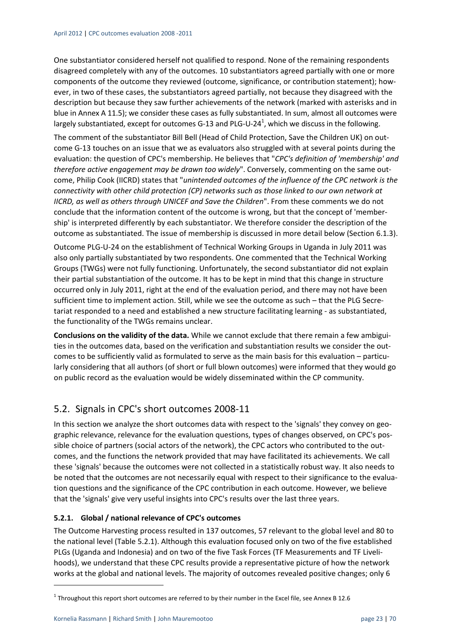One substantiator considered herself not qualified to respond. None of the remaining respondents disagreed completely with any of the outcomes. 10 substantiators agreed partially with one or more components of the outcome they reviewed (outcome, significance, or contribution statement); how‐ ever, in two of these cases, the substantiators agreed partially, not because they disagreed with the description but because they saw further achievements of the network (marked with asterisks and in blue in Annex A 11.5); we consider these cases as fully substantiated. In sum, almost all outcomes were largely substantiated, except for outcomes G-13 and PLG-U-24<sup>1</sup>, which we discuss in the following.

The comment of the substantiator Bill Bell (Head of Child Protection, Save the Children UK) on out‐ come G‐13 touches on an issue that we as evaluators also struggled with at several points during the evaluation: the question of CPC's membership. He believes that "*CPC's definition of 'membership' and therefore active engagement may be drawn too widely*". Conversely, commenting on the same out‐ come, Philip Cook (IICRD) states that "*unintended outcomes of the influence of the CPC network is the connectivity with other child protection (CP) networks such as those linked to our own network at IICRD, as well as others through UNICEF and Save the Children*". From these comments we do not conclude that the information content of the outcome is wrong, but that the concept of 'member‐ ship' is interpreted differently by each substantiator. We therefore consider the description of the outcome as substantiated. The issue of membership is discussed in more detail below (Section 6.1.3).

Outcome PLG‐U‐24 on the establishment of Technical Working Groups in Uganda in July 2011 was also only partially substantiated by two respondents. One commented that the Technical Working Groups (TWGs) were not fully functioning. Unfortunately, the second substantiator did not explain their partial substantiation of the outcome. It has to be kept in mind that this change in structure occurred only in July 2011, right at the end of the evaluation period, and there may not have been sufficient time to implement action. Still, while we see the outcome as such – that the PLG Secretariat responded to a need and established a new structure facilitating learning ‐ as substantiated, the functionality of the TWGs remains unclear.

**Conclusions on the validity of the data.** While we cannot exclude that there remain a few ambigui‐ ties in the outcomes data, based on the verification and substantiation results we consider the out‐ comes to be sufficiently valid as formulated to serve as the main basis for this evaluation – particularly considering that all authors (of short or full blown outcomes) were informed that they would go on public record as the evaluation would be widely disseminated within the CP community.

## 5.2. Signals in CPC's short outcomes 2008‐11

In this section we analyze the short outcomes data with respect to the 'signals' they convey on geographic relevance, relevance for the evaluation questions, types of changes observed, on CPC's pos‐ sible choice of partners (social actors of the network), the CPC actors who contributed to the out‐ comes, and the functions the network provided that may have facilitated its achievements. We call these 'signals' because the outcomes were not collected in a statistically robust way. It also needs to be noted that the outcomes are not necessarily equal with respect to their significance to the evaluation questions and the significance of the CPC contribution in each outcome. However, we believe that the 'signals' give very useful insights into CPC's results over the last three years.

#### **5.2.1. Global / national relevance of CPC's outcomes**

The Outcome Harvesting process resulted in 137 outcomes, 57 relevant to the global level and 80 to the national level (Table 5.2.1). Although this evaluation focused only on two of the five established PLGs (Uganda and Indonesia) and on two of the five Task Forces (TF Measurements and TF Liveli‐ hoods), we understand that these CPC results provide a representative picture of how the network works at the global and national levels. The majority of outcomes revealed positive changes; only 6

<sup>1</sup> Throughout this report short outcomes are referred to by their number in the Excel file, see Annex B 12.6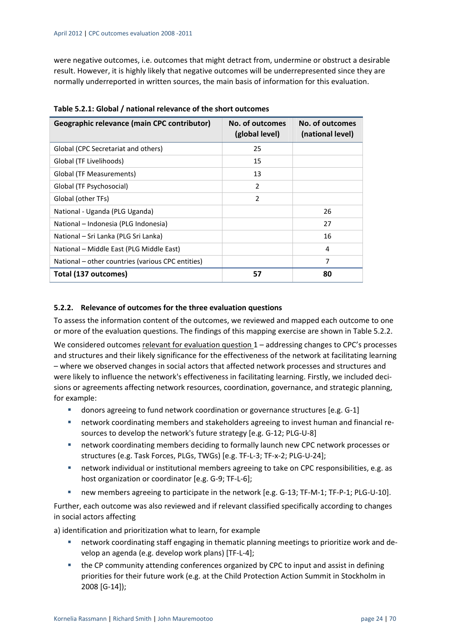were negative outcomes, i.e. outcomes that might detract from, undermine or obstruct a desirable result. However, it is highly likely that negative outcomes will be underrepresented since they are normally underreported in written sources, the main basis of information for this evaluation.

| Geographic relevance (main CPC contributor)       | No. of outcomes<br>(global level) | No. of outcomes<br>(national level) |
|---------------------------------------------------|-----------------------------------|-------------------------------------|
| Global (CPC Secretariat and others)               | 25                                |                                     |
| Global (TF Livelihoods)                           | 15                                |                                     |
| Global (TF Measurements)                          | 13                                |                                     |
| Global (TF Psychosocial)                          | $\overline{2}$                    |                                     |
| Global (other TFs)                                | $\overline{2}$                    |                                     |
| National - Uganda (PLG Uganda)                    |                                   | 26                                  |
| National – Indonesia (PLG Indonesia)              |                                   | 27                                  |
| National – Sri Lanka (PLG Sri Lanka)              |                                   | 16                                  |
| National - Middle East (PLG Middle East)          |                                   | 4                                   |
| National – other countries (various CPC entities) |                                   | 7                                   |
| Total (137 outcomes)                              | 57                                | 80                                  |

#### **5.2.2. Relevance of outcomes for the three evaluation questions**

To assess the information content of the outcomes, we reviewed and mapped each outcome to one or more of the evaluation questions. The findings of this mapping exercise are shown in Table 5.2.2.

We considered outcomes relevant for evaluation question 1 – addressing changes to CPC's processes and structures and their likely significance for the effectiveness of the network at facilitating learning – where we observed changes in social actors that affected network processes and structures and were likely to influence the network's effectiveness in facilitating learning. Firstly, we included decisions or agreements affecting network resources, coordination, governance, and strategic planning, for example:

- donors agreeing to fund network coordination or governance structures [e.g. G-1]
- network coordinating members and stakeholders agreeing to invest human and financial resources to develop the network's future strategy [e.g. G‐12; PLG‐U‐8]
- network coordinating members deciding to formally launch new CPC network processes or structures (e.g. Task Forces, PLGs, TWGs) [e.g. TF‐L‐3; TF‐x‐2; PLG‐U‐24];
- network individual or institutional members agreeing to take on CPC responsibilities, e.g. as host organization or coordinator [e.g. G‐9; TF‐L‐6];
- new members agreeing to participate in the network [e.g. G‐13; TF‐M‐1; TF‐P‐1; PLG‐U‐10].

Further, each outcome was also reviewed and if relevant classified specifically according to changes in social actors affecting

a) identification and prioritization what to learn, for example

- network coordinating staff engaging in thematic planning meetings to prioritize work and develop an agenda (e.g. develop work plans) [TF‐L‐4];
- the CP community attending conferences organized by CPC to input and assist in defining priorities for their future work (e.g. at the Child Protection Action Summit in Stockholm in 2008 [G‐14]);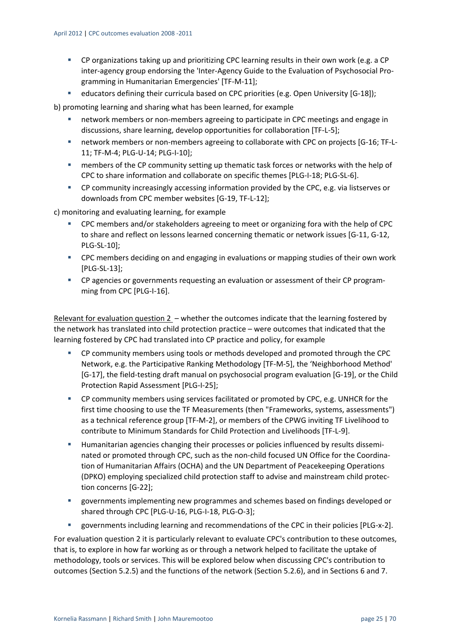- CP organizations taking up and prioritizing CPC learning results in their own work (e.g. a CP inter-agency group endorsing the 'Inter-Agency Guide to the Evaluation of Psychosocial Programming in Humanitarian Emergencies' [TF‐M‐11];
- educators defining their curricula based on CPC priorities (e.g. Open University [G-18]);

b) promoting learning and sharing what has been learned, for example

- network members or non‐members agreeing to participate in CPC meetings and engage in discussions, share learning, develop opportunities for collaboration [TF‐L‐5];
- network members or non-members agreeing to collaborate with CPC on projects [G-16; TF-L-11; TF‐M‐4; PLG‐U‐14; PLG‐I‐10];
- members of the CP community setting up thematic task forces or networks with the help of CPC to share information and collaborate on specific themes [PLG-I-18; PLG-SL-6].
- CP community increasingly accessing information provided by the CPC, e.g. via listserves or downloads from CPC member websites [G‐19, TF‐L‐12];

c) monitoring and evaluating learning, for example

- CPC members and/or stakeholders agreeing to meet or organizing fora with the help of CPC to share and reflect on lessons learned concerning thematic or network issues [G‐11, G‐12, PLG‐SL‐10];
- **EXPC** members deciding on and engaging in evaluations or mapping studies of their own work [PLG‐SL‐13];
- CP agencies or governments requesting an evaluation or assessment of their CP programming from CPC [PLG-I-16].

Relevant for evaluation question 2 – whether the outcomes indicate that the learning fostered by the network has translated into child protection practice – were outcomes that indicated that the learning fostered by CPC had translated into CP practice and policy, for example

- CP community members using tools or methods developed and promoted through the CPC Network, e.g. the Participative Ranking Methodology [TF‐M‐5], the 'Neighborhood Method' [G‐17], the field‐testing draft manual on psychosocial program evaluation [G‐19], or the Child Protection Rapid Assessment [PLG‐I‐25];
- CP community members using services facilitated or promoted by CPC, e.g. UNHCR for the first time choosing to use the TF Measurements (then "Frameworks, systems, assessments") as a technical reference group [TF‐M‐2], or members of the CPWG inviting TF Livelihood to contribute to Minimum Standards for Child Protection and Livelihoods [TF‐L‐9].
- Humanitarian agencies changing their processes or policies influenced by results disseminated or promoted through CPC, such as the non‐child focused UN Office for the Coordina‐ tion of Humanitarian Affairs (OCHA) and the UN Department of Peacekeeping Operations (DPKO) employing specialized child protection staff to advise and mainstream child protec‐ tion concerns [G‐22];
- governments implementing new programmes and schemes based on findings developed or shared through CPC [PLG-U-16, PLG-I-18, PLG-O-3];
- governments including learning and recommendations of the CPC in their policies [PLG‐x‐2].

For evaluation question 2 it is particularly relevant to evaluate CPC's contribution to these outcomes, that is, to explore in how far working as or through a network helped to facilitate the uptake of methodology, tools or services. This will be explored below when discussing CPC's contribution to outcomes (Section 5.2.5) and the functions of the network (Section 5.2.6), and in Sections 6 and 7.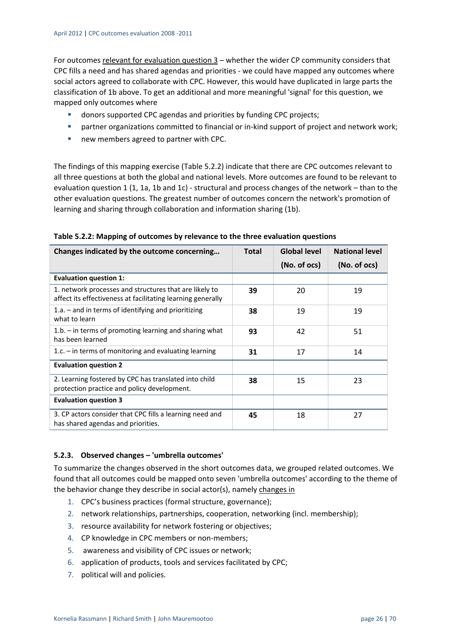For outcomes relevant for evaluation question 3 – whether the wider CP community considers that CPC fills a need and has shared agendas and priorities ‐ we could have mapped any outcomes where social actors agreed to collaborate with CPC. However, this would have duplicated in large parts the classification of 1b above. To get an additional and more meaningful 'signal' for this question, we mapped only outcomes where

- donors supported CPC agendas and priorities by funding CPC projects;
- partner organizations committed to financial or in-kind support of project and network work;
- new members agreed to partner with CPC.

The findings of this mapping exercise (Table 5.2.2) indicate that there are CPC outcomes relevant to all three questions at both the global and national levels. More outcomes are found to be relevant to evaluation question 1 (1, 1a, 1b and 1c) - structural and process changes of the network – than to the other evaluation questions. The greatest number of outcomes concern the network's promotion of learning and sharing through collaboration and information sharing (1b).

| Changes indicated by the outcome concerning                                                                           | <b>Total</b> | <b>Global level</b> | <b>National level</b> |
|-----------------------------------------------------------------------------------------------------------------------|--------------|---------------------|-----------------------|
|                                                                                                                       |              | (No. of ocs)        | (No. of ocs)          |
| <b>Evaluation question 1:</b>                                                                                         |              |                     |                       |
| 1. network processes and structures that are likely to<br>affect its effectiveness at facilitating learning generally | 39           | 20                  | 19                    |
| 1.a. $-$ and in terms of identifying and prioritizing<br>what to learn                                                | 38           | 19                  | 19                    |
| $1.b.$ – in terms of promoting learning and sharing what<br>has been learned                                          | 93           | 42                  | 51                    |
| 1.c. $-$ in terms of monitoring and evaluating learning                                                               | 31           | 17                  | 14                    |
| <b>Evaluation question 2</b>                                                                                          |              |                     |                       |
| 2. Learning fostered by CPC has translated into child<br>protection practice and policy development.                  | 38           | 15                  | 23                    |
| <b>Evaluation question 3</b>                                                                                          |              |                     |                       |
| 3. CP actors consider that CPC fills a learning need and<br>has shared agendas and priorities.                        | 45           | 18                  | 27                    |

**Table 5.2.2: Mapping of outcomes by relevance to the three evaluation questions**

#### **5.2.3. Observed changes – 'umbrella outcomes'**

To summarize the changes observed in the short outcomes data, we grouped related outcomes. We found that all outcomes could be mapped onto seven 'umbrella outcomes' according to the theme of the behavior change they describe in social actor(s), namely changes in

- 1. CPC's business practices (formal structure, governance);
- 2. network relationships, partnerships, cooperation, networking (incl. membership);
- 3. resource availability for network fostering or objectives;
- 4. CP knowledge in CPC members or non-members;
- 5. awareness and visibility of CPC issues or network;
- 6. application of products, tools and services facilitated by CPC;
- 7. political will and policies.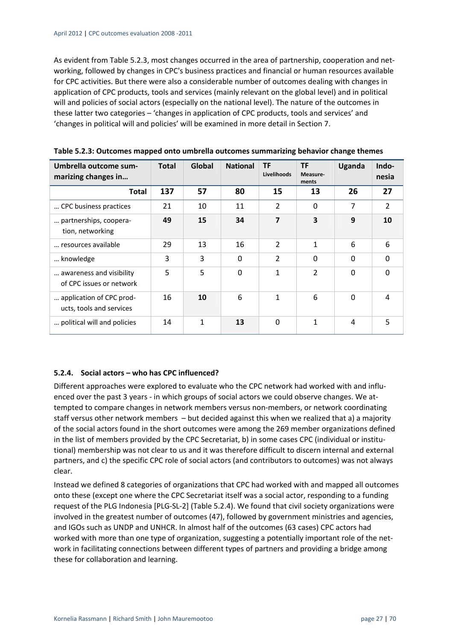As evident from Table 5.2.3, most changes occurred in the area of partnership, cooperation and net‐ working, followed by changes in CPC's business practices and financial or human resources available for CPC activities. But there were also a considerable number of outcomes dealing with changes in application of CPC products, tools and services (mainly relevant on the global level) and in political will and policies of social actors (especially on the national level). The nature of the outcomes in these latter two categories – 'changes in application of CPC products, tools and services' and 'changes in political will and policies' will be examined in more detail in Section 7.

| Umbrella outcome sum-<br>marizing changes in         | <b>Total</b> | Global | <b>National</b> | <b>TF</b><br>Livelihoods | <b>TF</b><br>Measure-<br>ments | Uganda         | Indo-<br>nesia |
|------------------------------------------------------|--------------|--------|-----------------|--------------------------|--------------------------------|----------------|----------------|
| <b>Total</b>                                         | 137          | 57     | 80              | 15                       | 13                             | 26             | 27             |
| CPC business practices                               | 21           | 10     | 11              | $\overline{2}$           | $\Omega$                       | $\overline{7}$ | $\overline{2}$ |
| partnerships, coopera-<br>tion, networking           | 49           | 15     | 34              | 7                        | 3                              | 9              | 10             |
| resources available                                  | 29           | 13     | 16              | $\overline{2}$           | $\mathbf{1}$                   | 6              | 6              |
| knowledge                                            | 3            | 3      | $\Omega$        | $\overline{2}$           | $\Omega$                       | $\Omega$       | $\Omega$       |
| awareness and visibility<br>of CPC issues or network | 5            | 5      | $\Omega$        | 1                        | $\overline{2}$                 | $\Omega$       | $\Omega$       |
| application of CPC prod-<br>ucts, tools and services | 16           | 10     | 6               | 1                        | 6                              | $\Omega$       | 4              |
| political will and policies                          | 14           | 1      | 13              | $\Omega$                 | 1                              | 4              | 5              |

**Table 5.2.3: Outcomes mapped onto umbrella outcomes summarizing behavior change themes** 

#### **5.2.4. Social actors – who has CPC influenced?**

Different approaches were explored to evaluate who the CPC network had worked with and influ‐ enced over the past 3 years - in which groups of social actors we could observe changes. We attempted to compare changes in network members versus non‐members, or network coordinating staff versus other network members – but decided against this when we realized that a) a majority of the social actors found in the short outcomes were among the 269 member organizations defined in the list of members provided by the CPC Secretariat, b) in some cases CPC (individual or institutional) membership was not clear to us and it was therefore difficult to discern internal and external partners, and c) the specific CPC role of social actors (and contributors to outcomes) was not always clear.

Instead we defined 8 categories of organizations that CPC had worked with and mapped all outcomes onto these (except one where the CPC Secretariat itself was a social actor, responding to a funding request of the PLG Indonesia [PLG‐SL‐2] (Table 5.2.4). We found that civil society organizations were involved in the greatest number of outcomes (47), followed by government ministries and agencies, and IGOs such as UNDP and UNHCR. In almost half of the outcomes (63 cases) CPC actors had worked with more than one type of organization, suggesting a potentially important role of the network in facilitating connections between different types of partners and providing a bridge among these for collaboration and learning.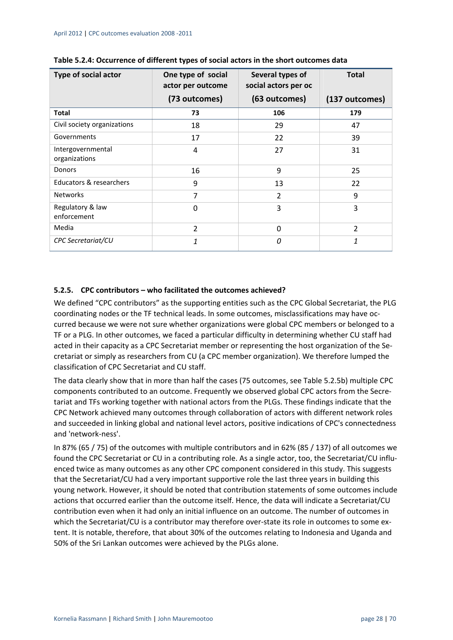| Type of social actor               | One type of social<br>actor per outcome | Several types of<br>social actors per oc | <b>Total</b>   |  |
|------------------------------------|-----------------------------------------|------------------------------------------|----------------|--|
|                                    | (73 outcomes)                           | (63 outcomes)                            | (137 outcomes) |  |
| <b>Total</b>                       | 73                                      | 106                                      | 179            |  |
| Civil society organizations        | 18                                      | 29                                       | 47             |  |
| Governments                        | 17                                      | 22                                       | 39             |  |
| Intergovernmental<br>organizations | 4                                       | 27                                       | 31             |  |
| <b>Donors</b>                      | 16                                      | 9                                        | 25             |  |
| Educators & researchers            | 9                                       | 13                                       | 22             |  |
| <b>Networks</b>                    | $\overline{7}$                          | $\overline{2}$                           | 9              |  |
| Regulatory & law<br>enforcement    | 0                                       | 3                                        | 3              |  |
| Media                              | $\overline{2}$                          | $\Omega$                                 | $\overline{2}$ |  |
| CPC Secretariat/CU                 | 1                                       | 0                                        | 1              |  |

| Table 5.2.4: Occurrence of different types of social actors in the short outcomes data |
|----------------------------------------------------------------------------------------|
|----------------------------------------------------------------------------------------|

#### **5.2.5. CPC contributors – who facilitated the outcomes achieved?**

We defined "CPC contributors" as the supporting entities such as the CPC Global Secretariat, the PLG coordinating nodes or the TF technical leads. In some outcomes, misclassifications may have oc‐ curred because we were not sure whether organizations were global CPC members or belonged to a TF or a PLG. In other outcomes, we faced a particular difficulty in determining whether CU staff had acted in their capacity as a CPC Secretariat member or representing the host organization of the Secretariat or simply as researchers from CU (a CPC member organization). We therefore lumped the classification of CPC Secretariat and CU staff.

The data clearly show that in more than half the cases (75 outcomes, see Table 5.2.5b) multiple CPC components contributed to an outcome. Frequently we observed global CPC actors from the Secre‐ tariat and TFs working together with national actors from the PLGs. These findings indicate that the CPC Network achieved many outcomes through collaboration of actors with different network roles and succeeded in linking global and national level actors, positive indications of CPC's connectedness and 'network‐ness'.

In 87% (65 / 75) of the outcomes with multiple contributors and in 62% (85 / 137) of all outcomes we found the CPC Secretariat or CU in a contributing role. As a single actor, too, the Secretariat/CU influenced twice as many outcomes as any other CPC component considered in this study. This suggests that the Secretariat/CU had a very important supportive role the last three years in building this young network. However, it should be noted that contribution statements of some outcomes include actions that occurred earlier than the outcome itself. Hence, the data will indicate a Secretariat/CU contribution even when it had only an initial influence on an outcome. The number of outcomes in which the Secretariat/CU is a contributor may therefore over-state its role in outcomes to some extent. It is notable, therefore, that about 30% of the outcomes relating to Indonesia and Uganda and 50% of the Sri Lankan outcomes were achieved by the PLGs alone.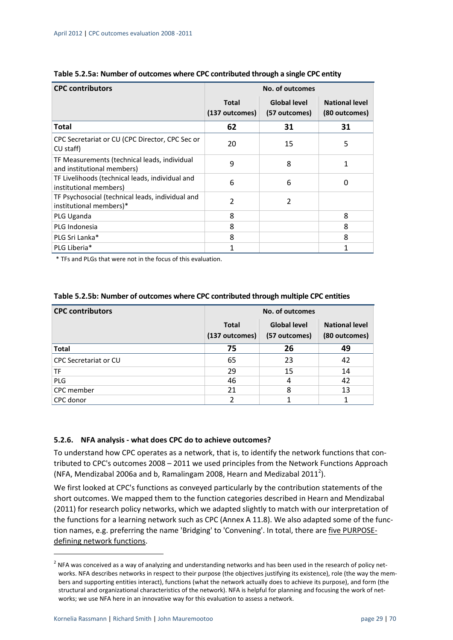| <b>CPC contributors</b>                                                     | <b>No. of outcomes</b> |                     |                       |  |
|-----------------------------------------------------------------------------|------------------------|---------------------|-----------------------|--|
|                                                                             | Total                  | <b>Global level</b> | <b>National level</b> |  |
|                                                                             | (137 outcomes)         | (57 outcomes)       | (80 outcomes)         |  |
| <b>Total</b>                                                                | 62                     | 31                  | 31                    |  |
| CPC Secretariat or CU (CPC Director, CPC Sec or<br>CU staff)                | 20                     | 15                  | 5                     |  |
| TF Measurements (technical leads, individual<br>and institutional members)  | 9                      | 8                   | 1                     |  |
| TF Livelihoods (technical leads, individual and<br>institutional members)   | 6                      | 6                   | 0                     |  |
| TF Psychosocial (technical leads, individual and<br>institutional members)* | 2                      | $\overline{2}$      |                       |  |
| PLG Uganda                                                                  | 8                      |                     | 8                     |  |
| PLG Indonesia                                                               | 8                      |                     | 8                     |  |
| PLG Sri Lanka*                                                              | 8                      |                     | 8                     |  |
| PLG Liberia*                                                                |                        |                     |                       |  |

| Table 5.2.5a: Number of outcomes where CPC contributed through a single CPC entity |  |  |
|------------------------------------------------------------------------------------|--|--|
|------------------------------------------------------------------------------------|--|--|

\* TFs and PLGs that were not in the focus of this evaluation.

| <b>CPC contributors</b>      | <b>No. of outcomes</b>         |                                      |                                        |
|------------------------------|--------------------------------|--------------------------------------|----------------------------------------|
|                              | <b>Total</b><br>(137 outcomes) | <b>Global level</b><br>(57 outcomes) | <b>National level</b><br>(80 outcomes) |
| <b>Total</b>                 | 75                             | 26                                   | 49                                     |
| <b>CPC Secretariat or CU</b> | 65                             | 23                                   | 42                                     |
| TF                           | 29                             | 15                                   | 14                                     |
| PLG                          | 46                             | 4                                    | 42                                     |
| CPC member                   | 21                             | 8                                    | 13                                     |
| CPC donor                    | 2                              |                                      |                                        |

#### **Table 5.2.5b: Number of outcomes where CPC contributed through multiple CPC entities**

#### **5.2.6. NFA analysis ‐ what does CPC do to achieve outcomes?**

To understand how CPC operates as a network, that is, to identify the network functions that con‐ tributed to CPC's outcomes 2008 – 2011 we used principles from the Network Functions Approach (NFA, Mendizabal 2006a and b, Ramalingam 2008, Hearn and Medizabal 2011<sup>2</sup>).

We first looked at CPC's functions as conveyed particularly by the contribution statements of the short outcomes. We mapped them to the function categories described in Hearn and Mendizabal (2011) for research policy networks, which we adapted slightly to match with our interpretation of the functions for a learning network such as CPC (Annex A 11.8). We also adapted some of the function names, e.g. preferring the name 'Bridging' to 'Convening'. In total, there are five PURPOSE‐ defining network functions.

 $2$  NFA was conceived as a way of analyzing and understanding networks and has been used in the research of policy networks. NFA describes networks in respect to their purpose (the objectives justifying its existence), role (the way the members and supporting entities interact), functions (what the network actually does to achieve its purpose), and form (the structural and organizational characteristics of the network). NFA is helpful for planning and focusing the work of net‐ works; we use NFA here in an innovative way for this evaluation to assess a network.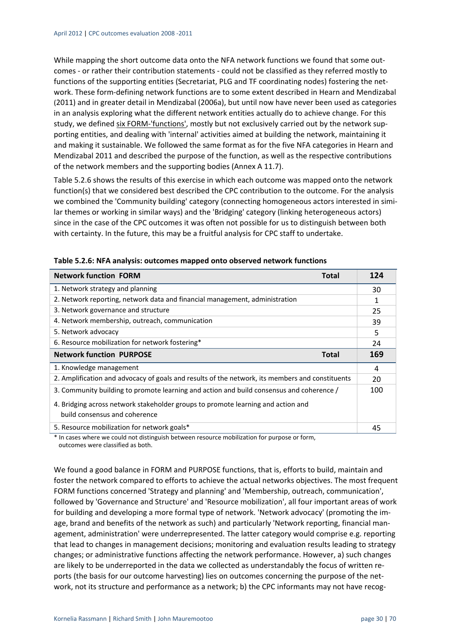While mapping the short outcome data onto the NFA network functions we found that some outcomes ‐ or rather their contribution statements ‐ could not be classified as they referred mostly to functions of the supporting entities (Secretariat, PLG and TF coordinating nodes) fostering the net‐ work. These form‐defining network functions are to some extent described in Hearn and Mendizabal (2011) and in greater detail in Mendizabal (2006a), but until now have never been used as categories in an analysis exploring what the different network entities actually do to achieve change. For this study, we defined six FORM-'functions', mostly but not exclusively carried out by the network supporting entities, and dealing with 'internal' activities aimed at building the network, maintaining it and making it sustainable. We followed the same format as for the five NFA categories in Hearn and Mendizabal 2011 and described the purpose of the function, as well as the respective contributions of the network members and the supporting bodies (Annex A 11.7).

Table 5.2.6 shows the results of this exercise in which each outcome was mapped onto the network function(s) that we considered best described the CPC contribution to the outcome. For the analysis we combined the 'Community building' category (connecting homogeneous actors interested in similar themes or working in similar ways) and the 'Bridging' category (linking heterogeneous actors) since in the case of the CPC outcomes it was often not possible for us to distinguish between both with certainty. In the future, this may be a fruitful analysis for CPC staff to undertake.

| <b>Network function FORM</b><br>Total                                                           | 124 |  |
|-------------------------------------------------------------------------------------------------|-----|--|
| 1. Network strategy and planning                                                                |     |  |
| 2. Network reporting, network data and financial management, administration                     |     |  |
| 3. Network governance and structure                                                             |     |  |
| 4. Network membership, outreach, communication                                                  |     |  |
| 5. Network advocacy                                                                             |     |  |
| 6. Resource mobilization for network fostering*                                                 | 24  |  |
| <b>Network function PURPOSE</b><br><b>Total</b>                                                 | 169 |  |
| 1. Knowledge management                                                                         | 4   |  |
| 2. Amplification and advocacy of goals and results of the network, its members and constituents |     |  |
| 3. Community building to promote learning and action and build consensus and coherence /        |     |  |
| 4. Bridging across network stakeholder groups to promote learning and action and                |     |  |
| build consensus and coherence                                                                   |     |  |
| 5. Resource mobilization for network goals*                                                     | 45  |  |

\* In cases where we could not distinguish between resource mobilization for purpose or form, outcomes were classified as both.

We found a good balance in FORM and PURPOSE functions, that is, efforts to build, maintain and foster the network compared to efforts to achieve the actual networks objectives. The most frequent FORM functions concerned 'Strategy and planning' and 'Membership, outreach, communication', followed by 'Governance and Structure' and 'Resource mobilization', all four important areas of work for building and developing a more formal type of network. 'Network advocacy' (promoting the im‐ age, brand and benefits of the network as such) and particularly 'Network reporting, financial management, administration' were underrepresented. The latter category would comprise e.g. reporting that lead to changes in management decisions; monitoring and evaluation results leading to strategy changes; or administrative functions affecting the network performance. However, a) such changes are likely to be underreported in the data we collected as understandably the focus of written reports (the basis for our outcome harvesting) lies on outcomes concerning the purpose of the network, not its structure and performance as a network; b) the CPC informants may not have recog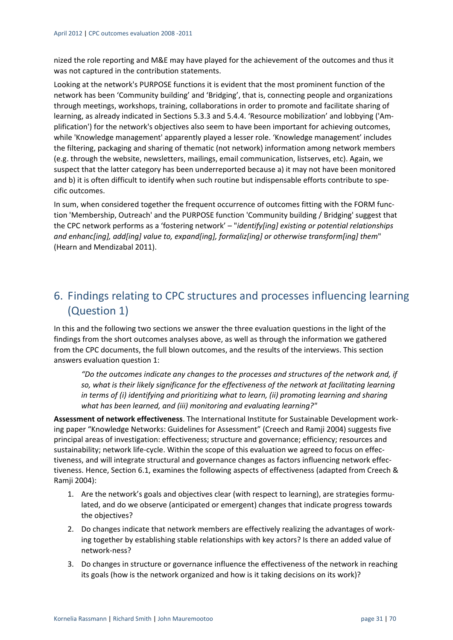nized the role reporting and M&E may have played for the achievement of the outcomes and thus it was not captured in the contribution statements.

Looking at the network's PURPOSE functions it is evident that the most prominent function of the network has been 'Community building' and 'Bridging', that is, connecting people and organizations through meetings, workshops, training, collaborations in order to promote and facilitate sharing of learning, as already indicated in Sections 5.3.3 and 5.4.4. 'Resource mobilization' and lobbying ('Am‐ plification') for the network's objectives also seem to have been important for achieving outcomes, while 'Knowledge management' apparently played a lesser role. 'Knowledge management' includes the filtering, packaging and sharing of thematic (not network) information among network members (e.g. through the website, newsletters, mailings, email communication, listserves, etc). Again, we suspect that the latter category has been underreported because a) it may not have been monitored and b) it is often difficult to identify when such routine but indispensable efforts contribute to specific outcomes.

In sum, when considered together the frequent occurrence of outcomes fitting with the FORM func‐ tion 'Membership, Outreach' and the PURPOSE function 'Community building / Bridging' suggest that the CPC network performs as a 'fostering network' – "*identify[ing] existing or potential relationships and enhanc[ing], add[ing] value to, expand[ing], formaliz[ing] or otherwise transform[ing] them*" (Hearn and Mendizabal 2011).

## 6. Findings relating to CPC structures and processes influencing learning (Question 1)

In this and the following two sections we answer the three evaluation questions in the light of the findings from the short outcomes analyses above, as well as through the information we gathered from the CPC documents, the full blown outcomes, and the results of the interviews. This section answers evaluation question 1:

*"Do the outcomes indicate any changes to the processes and structures of the network and, if so, what is their likely significance for the effectiveness of the network at facilitating learning in terms of (i) identifying and prioritizing what to learn, (ii) promoting learning and sharing what has been learned, and (iii) monitoring and evaluating learning?"*

**Assessment of network effectiveness**. The International Institute for Sustainable Development work‐ ing paper "Knowledge Networks: Guidelines for Assessment" (Creech and Ramji 2004) suggests five principal areas of investigation: effectiveness; structure and governance; efficiency; resources and sustainability; network life‐cycle. Within the scope of this evaluation we agreed to focus on effec‐ tiveness, and will integrate structural and governance changes as factors influencing network effec‐ tiveness. Hence, Section 6.1, examines the following aspects of effectiveness (adapted from Creech & Ramji 2004):

- 1. Are the network's goals and objectives clear (with respect to learning), are strategies formulated, and do we observe (anticipated or emergent) changes that indicate progress towards the objectives?
- 2. Do changes indicate that network members are effectively realizing the advantages of work‐ ing together by establishing stable relationships with key actors? Is there an added value of network‐ness?
- 3. Do changes in structure or governance influence the effectiveness of the network in reaching its goals (how is the network organized and how is it taking decisions on its work)?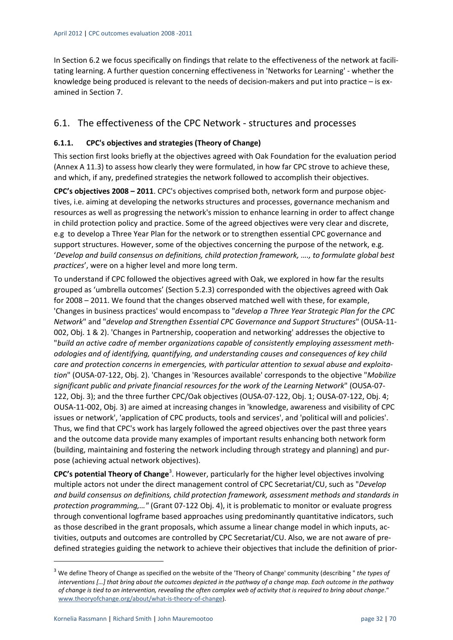In Section 6.2 we focus specifically on findings that relate to the effectiveness of the network at facilitating learning. A further question concerning effectiveness in 'Networks for Learning' ‐ whether the knowledge being produced is relevant to the needs of decision-makers and put into practice – is examined in Section 7.

## 6.1. The effectiveness of the CPC Network ‐ structures and processes

#### **6.1.1. CPC's objectives and strategies (Theory of Change)**

This section first looks briefly at the objectives agreed with Oak Foundation for the evaluation period (Annex A 11.3) to assess how clearly they were formulated, in how far CPC strove to achieve these, and which, if any, predefined strategies the network followed to accomplish their objectives.

**CPC's objectives 2008 – 2011**. CPC's objectives comprised both, network form and purpose objec‐ tives, i.e. aiming at developing the networks structures and processes, governance mechanism and resources as well as progressing the network's mission to enhance learning in order to affect change in child protection policy and practice. Some of the agreed objectives were very clear and discrete, e.g to develop a Three Year Plan for the network or to strengthen essential CPC governance and support structures. However, some of the objectives concerning the purpose of the network, e.g. '*Develop and build consensus on definitions, child protection framework, …., to formulate global best practices*', were on a higher level and more long term.

To understand if CPC followed the objectives agreed with Oak, we explored in how far the results grouped as 'umbrella outcomes' (Section 5.2.3) corresponded with the objectives agreed with Oak for 2008 – 2011. We found that the changes observed matched well with these, for example, 'Changes in business practices' would encompass to "*develop a Three Year Strategic Plan for the CPC Network*" and "*develop and Strengthen Essential CPC Governance and Support Structures*" (OUSA‐11‐ 002, Obj. 1 & 2). 'Changes in Partnership, cooperation and networking' addresses the objective to "*build an active cadre of member organizations capable of consistently employing assessment meth‐ odologies and of identifying, quantifying, and understanding causes and consequences of key child care and protection concerns in emergencies, with particular attention to sexual abuse and exploita‐ tion*" (OUSA‐07‐122, Obj. 2). 'Changes in 'Resources available' corresponds to the objective "*Mobilize significant public and private financial resources for the work of the Learning Network*" (OUSA‐07‐ 122, Obj. 3); and the three further CPC/Oak objectives (OUSA‐07‐122, Obj. 1; OUSA‐07‐122, Obj. 4; OUSA‐11‐002, Obj. 3) are aimed at increasing changes in 'knowledge, awareness and visibility of CPC issues or network', 'application of CPC products, tools and services', and 'political will and policies'. Thus, we find that CPC's work has largely followed the agreed objectives over the past three years and the outcome data provide many examples of important results enhancing both network form (building, maintaining and fostering the network including through strategy and planning) and pur‐ pose (achieving actual network objectives).

**CPC's potential Theory of Change**<sup>3</sup> . However, particularly for the higher level objectives involving multiple actors not under the direct management control of CPC Secretariat/CU, such as "*Develop and build consensus on definitions, child protection framework, assessment methods and standards in protection programming,…"* (Grant 07‐122 Obj. 4), it is problematic to monitor or evaluate progress through conventional logframe based approaches using predominantly quantitative indicators, such as those described in the grant proposals, which assume a linear change model in which inputs, activities, outputs and outcomes are controlled by CPC Secretariat/CU. Also, we are not aware of pre‐ defined strategies guiding the network to achieve their objectives that include the definition of prior‐

<sup>3</sup> We define Theory of Change as specified on the website of the 'Theory of Change' community (describing " *the types of* interventions [...] that bring about the outcomes depicted in the pathway of a change map. Each outcome in the pathway of change is tied to an intervention, revealing the often complex web of activity that is required to bring about change." www.theoryofchange.org/about/what‐is‐theory‐of‐change).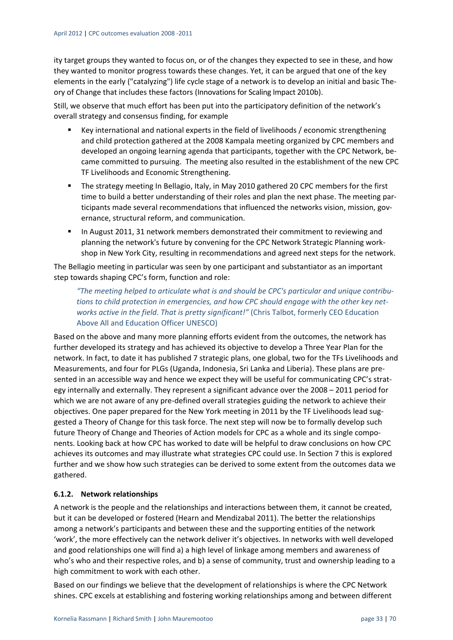ity target groups they wanted to focus on, or of the changes they expected to see in these, and how they wanted to monitor progress towards these changes. Yet, it can be argued that one of the key elements in the early ("catalyzing") life cycle stage of a network is to develop an initial and basic The‐ ory of Change that includes these factors (Innovationsfor Scaling Impact 2010b).

Still, we observe that much effort has been put into the participatory definition of the network's overall strategy and consensus finding, for example

- Key international and national experts in the field of livelihoods / economic strengthening and child protection gathered at the 2008 Kampala meeting organized by CPC members and developed an ongoing learning agenda that participants, together with the CPC Network, be‐ came committed to pursuing. The meeting also resulted in the establishment of the new CPC TF Livelihoods and Economic Strengthening.
- **The strategy meeting In Bellagio, Italy, in May 2010 gathered 20 CPC members for the first** time to build a better understanding of their roles and plan the next phase. The meeting participants made several recommendations that influenced the networks vision, mission, governance, structural reform, and communication.
- In August 2011, 31 network members demonstrated their commitment to reviewing and planning the network's future by convening for the CPC Network Strategic Planning work‐ shop in New York City, resulting in recommendations and agreed next steps for the network.

The Bellagio meeting in particular was seen by one participant and substantiator as an important step towards shaping CPC's form, function and role:

*"The meeting helped to articulate what is and should be CPC's particular and unique contribu‐ tions to child protection in emergencies, and how CPC should engage with the other key net‐ works active in the field. That is pretty significant!"* (Chris Talbot, formerly CEO Education Above All and Education Officer UNESCO)

Based on the above and many more planning efforts evident from the outcomes, the network has further developed its strategy and has achieved its objective to develop a Three Year Plan for the network. In fact, to date it has published 7 strategic plans, one global, two for the TFs Livelihoods and Measurements, and four for PLGs (Uganda, Indonesia, Sri Lanka and Liberia). These plans are pre‐ sented in an accessible way and hence we expect they will be useful for communicating CPC's strategy internally and externally. They represent a significant advance over the 2008 – 2011 period for which we are not aware of any pre-defined overall strategies guiding the network to achieve their objectives. One paper prepared for the New York meeting in 2011 by the TF Livelihoods lead sug‐ gested a Theory of Change for this task force. The next step will now be to formally develop such future Theory of Change and Theories of Action models for CPC as a whole and its single components. Looking back at how CPC has worked to date will be helpful to draw conclusions on how CPC achieves its outcomes and may illustrate what strategies CPC could use. In Section 7 this is explored further and we show how such strategies can be derived to some extent from the outcomes data we gathered.

#### **6.1.2. Network relationships**

A network is the people and the relationships and interactions between them, it cannot be created, but it can be developed or fostered (Hearn and Mendizabal 2011). The better the relationships among a network's participants and between these and the supporting entities of the network 'work', the more effectively can the network deliver it's objectives. In networks with well developed and good relationships one will find a) a high level of linkage among members and awareness of who's who and their respective roles, and b) a sense of community, trust and ownership leading to a high commitment to work with each other.

Based on our findings we believe that the development of relationships is where the CPC Network shines. CPC excels at establishing and fostering working relationships among and between different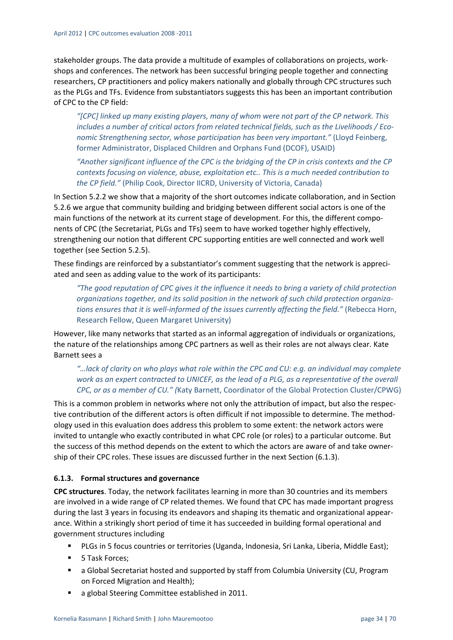stakeholder groups. The data provide a multitude of examples of collaborations on projects, work‐ shops and conferences. The network has been successful bringing people together and connecting researchers, CP practitioners and policy makers nationally and globally through CPC structures such as the PLGs and TFs. Evidence from substantiators suggests this has been an important contribution of CPC to the CP field:

*"[CPC] linked up many existing players, many of whom were not part of the CP network. This includes a number of critical actors from related technical fields, such as the Livelihoods / Eco‐ nomic Strengthening sector, whose participation has been very important."* (Lloyd Feinberg, former Administrator, Displaced Children and Orphans Fund (DCOF), USAID)

*"Another significant influence of the CPC is the bridging of the CP in crisis contexts and the CP contexts focusing on violence, abuse, exploitation etc.. This is a much needed contribution to the CP field."* (Philip Cook, Director IICRD, University of Victoria, Canada)

In Section 5.2.2 we show that a majority of the short outcomes indicate collaboration, and in Section 5.2.6 we argue that community building and bridging between different social actors is one of the main functions of the network at its current stage of development. For this, the different compo‐ nents of CPC (the Secretariat, PLGs and TFs) seem to have worked together highly effectively, strengthening our notion that different CPC supporting entities are well connected and work well together (see Section 5.2.5).

These findings are reinforced by a substantiator's comment suggesting that the network is appreci‐ ated and seen as adding value to the work of its participants:

*"The good reputation of CPC gives it the influence it needs to bring a variety of child protection organizations together, and its solid position in the network of such child protection organiza‐ tions ensures that it is well‐informed of the issues currently affecting the field."* (Rebecca Horn, Research Fellow, Queen Margaret University)

However, like many networks that started as an informal aggregation of individuals or organizations, the nature of the relationships among CPC partners as well as their roles are not always clear. Kate Barnett sees a

*"…lack of clarity on who plays what role within the CPC and CU: e.g. an individual may complete* work as an expert contracted to UNICEF, as the lead of a PLG, as a representative of the overall *CPC, or as a member of CU." (*Katy Barnett, Coordinator of the Global Protection Cluster/CPWG)

This is a common problem in networks where not only the attribution of impact, but also the respec‐ tive contribution of the different actors is often difficult if not impossible to determine. The method‐ ology used in this evaluation does address this problem to some extent: the network actors were invited to untangle who exactly contributed in what CPC role (or roles) to a particular outcome. But the success of this method depends on the extent to which the actors are aware of and take owner‐ ship of their CPC roles. These issues are discussed further in the next Section (6.1.3).

#### **6.1.3. Formal structures and governance**

**CPC structures**. Today, the network facilitates learning in more than 30 countries and its members are involved in a wide range of CP related themes. We found that CPC has made important progress during the last 3 years in focusing its endeavors and shaping its thematic and organizational appear‐ ance. Within a strikingly short period of time it has succeeded in building formal operational and government structures including

- PLGs in 5 focus countries or territories (Uganda, Indonesia, Sri Lanka, Liberia, Middle East);
- **5 Task Forces:**
- a Global Secretariat hosted and supported by staff from Columbia University (CU, Program on Forced Migration and Health);
- a global Steering Committee established in 2011.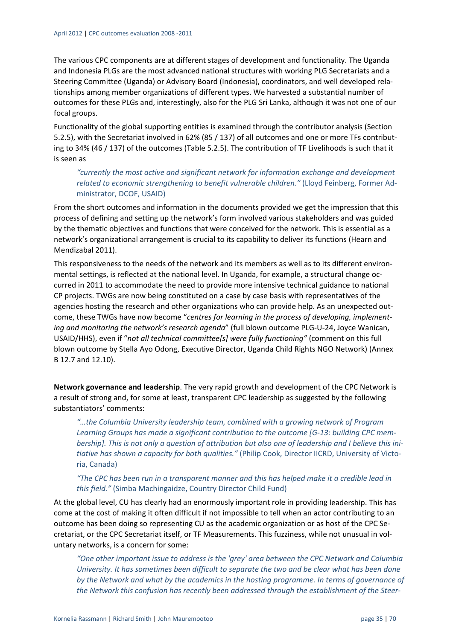The various CPC components are at different stages of development and functionality. The Uganda and Indonesia PLGs are the most advanced national structures with working PLG Secretariats and a Steering Committee (Uganda) or Advisory Board (Indonesia), coordinators, and well developed rela‐ tionships among member organizations of different types. We harvested a substantial number of outcomes for these PLGs and, interestingly, also for the PLG Sri Lanka, although it was not one of our focal groups.

Functionality of the global supporting entities is examined through the contributor analysis (Section 5.2.5), with the Secretariat involved in 62% (85 / 137) of all outcomes and one or more TFs contributing to 34% (46 / 137) of the outcomes (Table 5.2.5). The contribution of TF Livelihoods is such that it is seen as

*"currently the most active and significant network for information exchange and development related to economic strengthening to benefit vulnerable children."* (Lloyd Feinberg, Former Ad‐ ministrator, DCOF, USAID)

From the short outcomes and information in the documents provided we get the impression that this process of defining and setting up the network's form involved various stakeholders and was guided by the thematic objectives and functions that were conceived for the network. This is essential as a network's organizational arrangement is crucial to its capability to deliver its functions (Hearn and Mendizabal 2011).

This responsiveness to the needs of the network and its members as well as to its different environ‐ mental settings, is reflected at the national level. In Uganda, for example, a structural change occurred in 2011 to accommodate the need to provide more intensive technical guidance to national CP projects. TWGs are now being constituted on a case by case basis with representatives of the agencies hosting the research and other organizations who can provide help. As an unexpected outcome, these TWGs have now become "*centres for learning in the process of developing, implement‐ ing and monitoring the network's research agenda*" (full blown outcome PLG‐U‐24, Joyce Wanican, USAID/HHS), even if "*not all technical committee[s] were fully functioning"* (comment on this full blown outcome by Stella Ayo Odong, Executive Director, Uganda Child Rights NGO Network) (Annex B 12.7 and 12.10).

**Network governance and leadership**. The very rapid growth and development of the CPC Network is a result of strong and, for some at least, transparent CPC leadership as suggested by the following substantiators' comments:

*"…the Columbia University leadership team, combined with a growing network of Program Learning Groups has made a significant contribution to the outcome [G‐13: building CPC mem‐* bership]. This is not only a question of attribution but also one of leadership and I believe this ini*tiative has shown a capacity for both qualities."* (Philip Cook, Director IICRD, University of Victo‐ ria, Canada)

"The CPC has been run in a transparent manner and this has helped make it a credible lead in *this field."* (Simba Machingaidze, Country Director Child Fund)

At the global level, CU has clearly had an enormously important role in providing leadership. This has come at the cost of making it often difficult if not impossible to tell when an actor contributing to an outcome has been doing so representing CU as the academic organization or as host of the CPC Se‐ cretariat, or the CPC Secretariat itself, or TF Measurements. This fuzziness, while not unusual in vol‐ untary networks, is a concern for some:

*"One other important issue to address is the 'grey' area between the CPC Network and Columbia University. It has sometimes been difficult to separate the two and be clear what has been done by the Network and what by the academics in the hosting programme. In terms of governance of the Network this confusion has recently been addressed through the establishment of the Steer‐*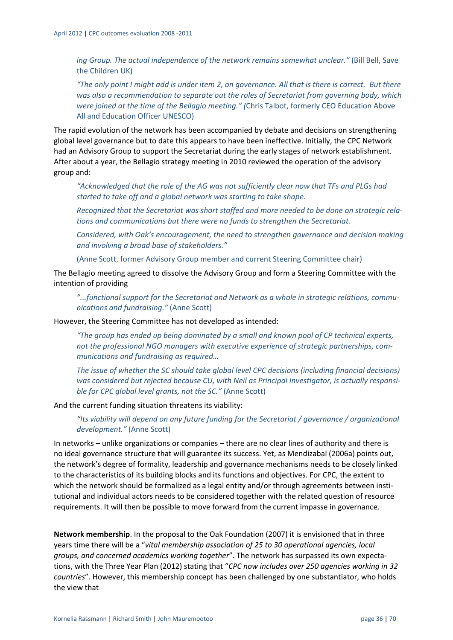*ing Group. The actual independence of the network remains somewhat unclear."* (Bill Bell, Save the Children UK)

"The only point I might add is under item 2, on governance. All that is there is correct. But there *was also a recommendation to separate out the roles of Secretariat from governing body, which were joined at the time of the Bellagio meeting." (*Chris Talbot, formerly CEO Education Above All and Education Officer UNESCO)

The rapid evolution of the network has been accompanied by debate and decisions on strengthening global level governance but to date this appears to have been ineffective. Initially, the CPC Network had an Advisory Group to support the Secretariat during the early stages of network establishment. After about a year, the Bellagio strategy meeting in 2010 reviewed the operation of the advisory group and:

*"Acknowledged that the role of the AG was not sufficiently clear now that TFs and PLGs had started to take off and a global network was starting to take shape.* 

*Recognized that the Secretariat was short staffed and more needed to be done on strategic rela‐ tions and communications but there were no funds to strengthen the Secretariat.*

*Considered, with Oak's encouragement, the need to strengthen governance and decision making and involving a broad base of stakeholders."*

(Anne Scott, former Advisory Group member and current Steering Committee chair)

The Bellagio meeting agreed to dissolve the Advisory Group and form a Steering Committee with the intention of providing

*"...functional support for the Secretariat and Network as a whole in strategic relations, commu‐ nications and fundraising."* (Anne Scott)

However, the Steering Committee has not developed as intended:

*"The group has ended up being dominated by a small and known pool of CP technical experts, not the professional NGO managers with executive experience of strategic partnerships, com‐ munications and fundraising as required…*

*The issue of whether the SC should take global level CPC decisions (including financial decisions) was considered but rejected because CU, with Neil as Principal Investigator, is actually responsi‐ ble for CPC global level grants, not the SC."* (Anne Scott)

And the current funding situation threatens its viability:

*"Its viability will depend on any future funding for the Secretariat / governance / organizational development."* (Anne Scott)

In networks – unlike organizations or companies – there are no clear lines of authority and there is no ideal governance structure that will guarantee its success. Yet, as Mendizabal (2006a) points out, the network's degree of formality, leadership and governance mechanisms needs to be closely linked to the characteristics of its building blocks and its functions and objectives. For CPC, the extent to which the network should be formalized as a legal entity and/or through agreements between institutional and individual actors needs to be considered together with the related question of resource requirements. It will then be possible to move forward from the current impasse in governance.

**Network membership**. In the proposal to the Oak Foundation (2007) it is envisioned that in three years time there will be a "*vital membership association of 25 to 30 operational agencies, local groups, and concerned academics working together*". The network has surpassed its own expecta‐ tions, with the Three Year Plan (2012) stating that "*CPC now includes over 250 agencies working in 32 countries*". However, this membership concept has been challenged by one substantiator, who holds the view that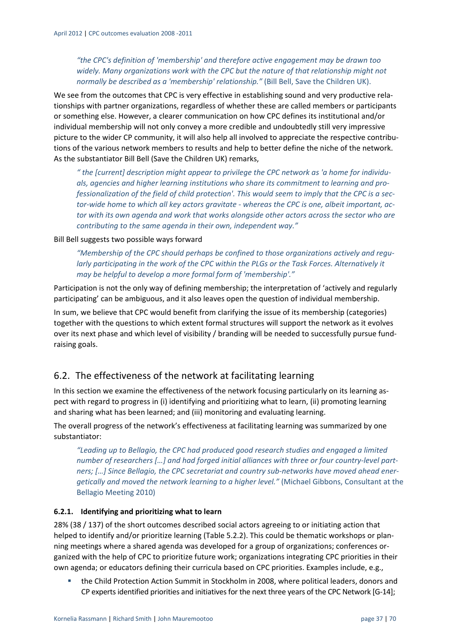*"the CPC's definition of 'membership' and therefore active engagement may be drawn too widely. Many organizations work with the CPC but the nature of that relationship might not normally be described as a 'membership' relationship."* (Bill Bell, Save the Children UK).

We see from the outcomes that CPC is very effective in establishing sound and very productive relationships with partner organizations, regardless of whether these are called members or participants or something else. However, a clearer communication on how CPC defines its institutional and/or individual membership will not only convey a more credible and undoubtedly still very impressive picture to the wider CP community, it will also help all involved to appreciate the respective contributions of the various network members to results and help to better define the niche of the network. As the substantiator Bill Bell (Save the Children UK) remarks,

*" the [current] description might appear to privilege the CPC network as 'a home for individu‐ als, agencies and higher learning institutions who share its commitment to learning and pro‐* fessionalization of the field of child protection'. This would seem to imply that the CPC is a sector-wide home to which all key actors gravitate - whereas the CPC is one, albeit important, ac*tor with its own agenda and work that works alongside other actors across the sector who are contributing to the same agenda in their own, independent way."* 

Bill Bell suggests two possible ways forward

*"Membership of the CPC should perhaps be confined to those organizations actively and regu‐ larly participating in the work of the CPC within the PLGs or the Task Forces. Alternatively it may be helpful to develop a more formal form of 'membership'."* 

Participation is not the only way of defining membership; the interpretation of 'actively and regularly participating' can be ambiguous, and it also leaves open the question of individual membership.

In sum, we believe that CPC would benefit from clarifying the issue of its membership (categories) together with the questions to which extent formal structures will support the network as it evolves over its next phase and which level of visibility / branding will be needed to successfully pursue fund‐ raising goals.

## 6.2. The effectiveness of the network at facilitating learning

In this section we examine the effectiveness of the network focusing particularly on its learning aspect with regard to progress in (i) identifying and prioritizing what to learn, (ii) promoting learning and sharing what has been learned; and (iii) monitoring and evaluating learning.

The overall progress of the network's effectiveness at facilitating learning was summarized by one substantiator:

*"Leading up to Bellagio, the CPC had produced good research studies and engaged a limited number of researchers […] and had forged initial alliances with three or four country‐level part‐ ners; […] Since Bellagio, the CPC secretariat and country sub‐networks have moved ahead ener‐ getically and moved the network learning to a higher level."* (Michael Gibbons, Consultant at the Bellagio Meeting 2010)

#### **6.2.1. Identifying and prioritizing what to learn**

28% (38 / 137) of the short outcomes described social actors agreeing to or initiating action that helped to identify and/or prioritize learning (Table 5.2.2). This could be thematic workshops or planning meetings where a shared agenda was developed for a group of organizations; conferences or‐ ganized with the help of CPC to prioritize future work; organizations integrating CPC priorities in their own agenda; or educators defining their curricula based on CPC priorities. Examples include, e.g.,

 the Child Protection Action Summit in Stockholm in 2008, where political leaders, donors and CP experts identified priorities and initiatives for the next three years of the CPC Network [G-14];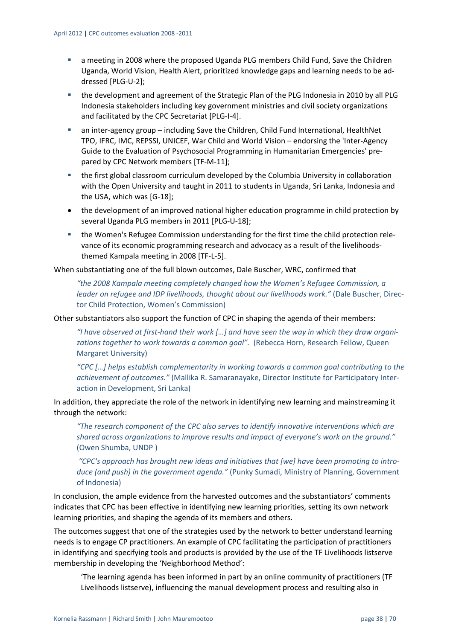- a meeting in 2008 where the proposed Uganda PLG members Child Fund, Save the Children Uganda, World Vision, Health Alert, prioritized knowledge gaps and learning needs to be ad‐ dressed [PLG‐U‐2];
- the development and agreement of the Strategic Plan of the PLG Indonesia in 2010 by all PLG Indonesia stakeholders including key government ministries and civil society organizations and facilitated by the CPC Secretariat [PLG‐I‐4].
- an inter-agency group including Save the Children, Child Fund International, HealthNet TPO, IFRC, IMC, REPSSI, UNICEF, War Child and World Vision – endorsing the 'Inter‐Agency Guide to the Evaluation of Psychosocial Programming in Humanitarian Emergencies' pre‐ pared by CPC Network members [TF‐M‐11];
- the first global classroom curriculum developed by the Columbia University in collaboration with the Open University and taught in 2011 to students in Uganda, Sri Lanka, Indonesia and the USA, which was [G-18]:
- the development of an improved national higher education programme in child protection by several Uganda PLG members in 2011 [PLG‐U‐18];
- the Women's Refugee Commission understanding for the first time the child protection relevance of its economic programming research and advocacy as a result of the livelihoods‐ themed Kampala meeting in 2008 [TF‐L‐5].

When substantiating one of the full blown outcomes, Dale Buscher, WRC, confirmed that

*"the 2008 Kampala meeting completely changed how the Women's Refugee Commission, a leader on refugee and IDP livelihoods, thought about our livelihoods work."* (Dale Buscher, Direc‐ tor Child Protection, Women's Commission)

Other substantiators also support the function of CPC in shaping the agenda of their members:

"I have observed at first-hand their work [...] and have seen the way in which they draw organi*zations together to work towards a common goal".* (Rebecca Horn, Research Fellow, Queen Margaret University)

*"CPC […] helps establish complementarity in working towards a common goal contributing to the achievement of outcomes."* (Mallika R. Samaranayake, Director Institute for Participatory Inter‐ action in Development, Sri Lanka)

In addition, they appreciate the role of the network in identifying new learning and mainstreaming it through the network:

*"The research component of the CPC also serves to identify innovative interventions which are shared across organizations to improve results and impact of everyone's work on the ground."* (Owen Shumba, UNDP )

*"CPC's approach has brought new ideas and initiatives that [we] have been promoting to intro‐ duce (and push) in the government agenda."* (Punky Sumadi, Ministry of Planning, Government of Indonesia)

In conclusion, the ample evidence from the harvested outcomes and the substantiators' comments indicates that CPC has been effective in identifying new learning priorities, setting its own network learning priorities, and shaping the agenda of its members and others.

The outcomes suggest that one of the strategies used by the network to better understand learning needs is to engage CP practitioners. An example of CPC facilitating the participation of practitioners in identifying and specifying tools and products is provided by the use of the TF Livelihoods listserve membership in developing the 'Neighborhood Method':

'The learning agenda has been informed in part by an online community of practitioners (TF Livelihoods listserve), influencing the manual development process and resulting also in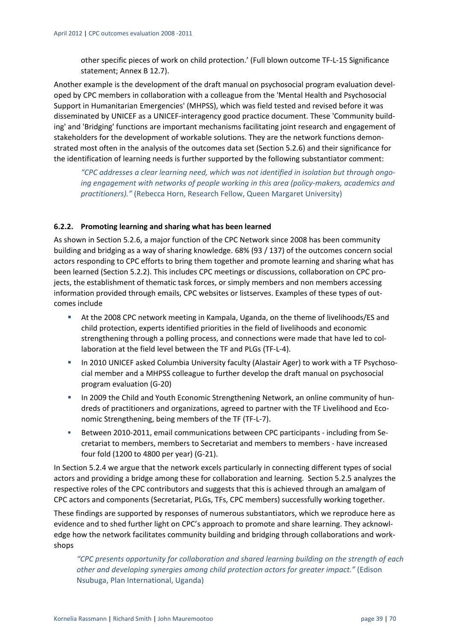other specific pieces of work on child protection.' (Full blown outcome TF‐L‐15 Significance statement; Annex B 12.7).

Another example is the development of the draft manual on psychosocial program evaluation devel‐ oped by CPC members in collaboration with a colleague from the 'Mental Health and Psychosocial Support in Humanitarian Emergencies' (MHPSS), which was field tested and revised before it was disseminated by UNICEF as a UNICEF‐interagency good practice document. These 'Community build‐ ing' and 'Bridging' functions are important mechanisms facilitating joint research and engagement of stakeholders for the development of workable solutions. They are the network functions demon‐ strated most often in the analysis of the outcomes data set (Section 5.2.6) and their significance for the identification of learning needs is further supported by the following substantiator comment:

*"CPC addresses a clear learning need, which was not identified in isolation but through ongo‐ ing engagement with networks of people working in this area (policy‐makers, academics and practitioners)."* (Rebecca Horn, Research Fellow, Queen Margaret University)

#### **6.2.2. Promoting learning and sharing what has been learned**

As shown in Section 5.2.6, a major function of the CPC Network since 2008 has been community building and bridging as a way of sharing knowledge. 68% (93 / 137) of the outcomes concern social actors responding to CPC efforts to bring them together and promote learning and sharing what has been learned (Section 5.2.2). This includes CPC meetings or discussions, collaboration on CPC pro‐ jects, the establishment of thematic task forces, or simply members and non members accessing information provided through emails, CPC websites or listserves. Examples of these types of out‐ comes include

- At the 2008 CPC network meeting in Kampala, Uganda, on the theme of livelihoods/ES and child protection, experts identified priorities in the field of livelihoods and economic strengthening through a polling process, and connections were made that have led to col‐ laboration at the field level between the TF and PLGs (TF‐L‐4).
- In 2010 UNICEF asked Columbia University faculty (Alastair Ager) to work with a TF Psychosocial member and a MHPSS colleague to further develop the draft manual on psychosocial program evaluation (G‐20)
- In 2009 the Child and Youth Economic Strengthening Network, an online community of hundreds of practitioners and organizations, agreed to partner with the TF Livelihood and Eco‐ nomic Strengthening, being members of the TF (TF‐L‐7).
- Between 2010-2011, email communications between CPC participants including from Secretariat to members, members to Secretariat and members to members ‐ have increased four fold (1200 to 4800 per year) (G‐21).

In Section 5.2.4 we argue that the network excels particularly in connecting different types of social actors and providing a bridge among these for collaboration and learning. Section 5.2.5 analyzes the respective roles of the CPC contributors and suggests that this is achieved through an amalgam of CPC actors and components (Secretariat, PLGs, TFs, CPC members) successfully working together.

These findings are supported by responses of numerous substantiators, which we reproduce here as evidence and to shed further light on CPC's approach to promote and share learning. They acknowledge how the network facilitates community building and bridging through collaborations and work‐ shops

*"CPC presents opportunity for collaboration and shared learning building on the strength of each other and developing synergies among child protection actors for greater impact."* (Edison Nsubuga, Plan International, Uganda)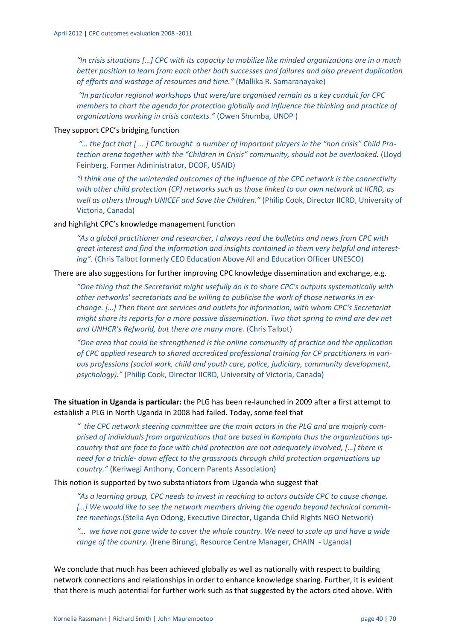*"In crisis situations […] CPC with its capacity to mobilize like minded organizations are in a much better position to learn from each other both successes and failures and also prevent duplication of efforts and wastage of resources and time."* (Mallika R. Samaranayake)

*"In particular regional workshops that were/are organised remain as a key conduit for CPC members to chart the agenda for protection globally and influence the thinking and practice of organizations working in crisis contexts."* (Owen Shumba, UNDP )

#### They support CPC's bridging function

"... the fact that [ ... ] CPC brought a number of important players in the "non crisis" Child Pro*tection arena together with the "Children in Crisis" community, should not be overlooked.* (Lloyd Feinberg, Former Administrator, DCOF, USAID)

*"I think one of the unintended outcomes of the influence of the CPC network is the connectivity with other child protection (CP) networks such as those linked to our own network at IICRD, as well as others through UNICEF and Save the Children."* (Philip Cook, Director IICRD, University of Victoria, Canada)

#### and highlight CPC's knowledge management function

*"As a global practitioner and researcher, I always read the bulletins and news from CPC with great interest and find the information and insights contained in them very helpful and interest‐ ing".* (Chris Talbot formerly CEO Education Above All and Education Officer UNESCO)

#### There are also suggestions for further improving CPC knowledge dissemination and exchange, e.g.

*"One thing that the Secretariat might usefully do is to share CPC's outputs systematically with other networks' secretariats and be willing to publicise the work of those networks in ex‐ change. […] Then there are services and outlets for information, with whom CPC's Secretariat might share its reports for a more passive dissemination. Two that spring to mind are dev net and UNHCR's Refworld, but there are many more.* (Chris Talbot)

*"One area that could be strengthened is the online community of practice and the application of CPC applied research to shared accredited professional training for CP practitioners in vari‐ ous professions (social work, child and youth care, police, judiciary, community development, psychology)."* (Philip Cook, Director IICRD, University of Victoria, Canada)

**The situation in Uganda is particular:** the PLG has been re‐launched in 2009 after a first attempt to establish a PLG in North Uganda in 2008 had failed. Today, some feel that

*" the CPC network steering committee are the main actors in the PLG and are majorly com‐ prised of individuals from organizations that are based in Kampala thus the organizations up‐ country that are face to face with child protection are not adequately involved, […] there is need for a trickle‐ down effect to the grassroots through child protection organizations up country."* (Keriwegi Anthony, Concern Parents Association)

This notion is supported by two substantiators from Uganda who suggest that

*"As a learning group, CPC needs to invest in reaching to actors outside CPC to cause change. […] We would like to see the network members driving the agenda beyond technical commit‐ tee meetings.*(Stella Ayo Odong, Executive Director, Uganda Child Rights NGO Network)

"... we have not gone wide to cover the whole country. We need to scale up and have a wide *range of the country.* (Irene Birungi, Resource Centre Manager, CHAIN ‐ Uganda)

We conclude that much has been achieved globally as well as nationally with respect to building network connections and relationships in order to enhance knowledge sharing. Further, it is evident that there is much potential for further work such as that suggested by the actors cited above. With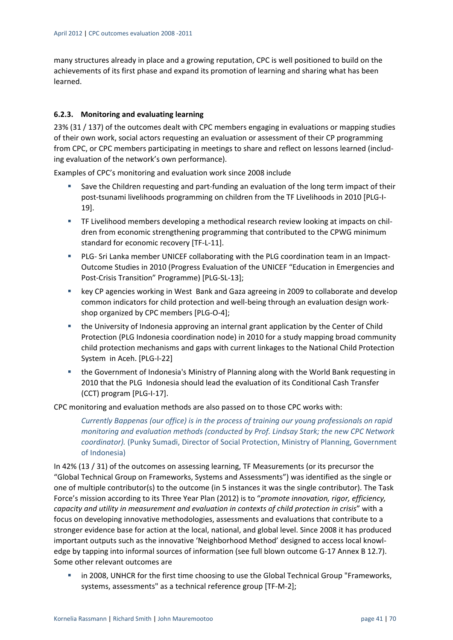many structures already in place and a growing reputation, CPC is well positioned to build on the achievements of its first phase and expand its promotion of learning and sharing what has been learned.

#### **6.2.3. Monitoring and evaluating learning**

23% (31 / 137) of the outcomes dealt with CPC members engaging in evaluations or mapping studies of their own work, social actors requesting an evaluation or assessment of their CP programming from CPC, or CPC members participating in meetings to share and reflect on lessons learned (including evaluation of the network's own performance).

Examples of CPC's monitoring and evaluation work since 2008 include

- Save the Children requesting and part-funding an evaluation of the long term impact of their post-tsunami livelihoods programming on children from the TF Livelihoods in 2010 [PLG-I-19].
- TF Livelihood members developing a methodical research review looking at impacts on chil– dren from economic strengthening programming that contributed to the CPWG minimum standard for economic recovery [TF‐L‐11].
- PLG- Sri Lanka member UNICEF collaborating with the PLG coordination team in an Impact-Outcome Studies in 2010 (Progress Evaluation of the UNICEF "Education in Emergencies and Post‐Crisis Transition" Programme) [PLG‐SL‐13];
- key CP agencies working in West Bank and Gaza agreeing in 2009 to collaborate and develop common indicators for child protection and well‐being through an evaluation design work‐ shop organized by CPC members [PLG‐O‐4];
- the University of Indonesia approving an internal grant application by the Center of Child Protection (PLG Indonesia coordination node) in 2010 for a study mapping broad community child protection mechanisms and gaps with current linkages to the National Child Protection System in Aceh. [PLG‐I‐22]
- the Government of Indonesia's Ministry of Planning along with the World Bank requesting in 2010 that the PLG Indonesia should lead the evaluation of its Conditional Cash Transfer (CCT) program [PLG‐I‐17].

CPC monitoring and evaluation methods are also passed on to those CPC works with:

*Currently Bappenas (our office) is in the process of training our young professionals on rapid monitoring and evaluation methods (conducted by Prof. Lindsay Stark; the new CPC Network coordinator).* (Punky Sumadi, Director of Social Protection, Ministry of Planning, Government of Indonesia)

In 42% (13 / 31) of the outcomes on assessing learning, TF Measurements (or its precursor the "Global Technical Group on Frameworks, Systems and Assessments") was identified as the single or one of multiple contributor(s) to the outcome (in 5 instances it was the single contributor). The Task Force's mission according to its Three Year Plan (2012) is to "*promote innovation, rigor, efficiency, capacity and utility in measurement and evaluation in contexts of child protection in crisis*" with a focus on developing innovative methodologies, assessments and evaluations that contribute to a stronger evidence base for action at the local, national, and global level. Since 2008 it has produced important outputs such as the innovative 'Neighborhood Method' designed to access local knowl‐ edge by tapping into informal sources of information (see full blown outcome G-17 Annex B 12.7). Some other relevant outcomes are

 in 2008, UNHCR for the first time choosing to use the Global Technical Group "Frameworks, systems, assessments" as a technical reference group [TF‐M‐2];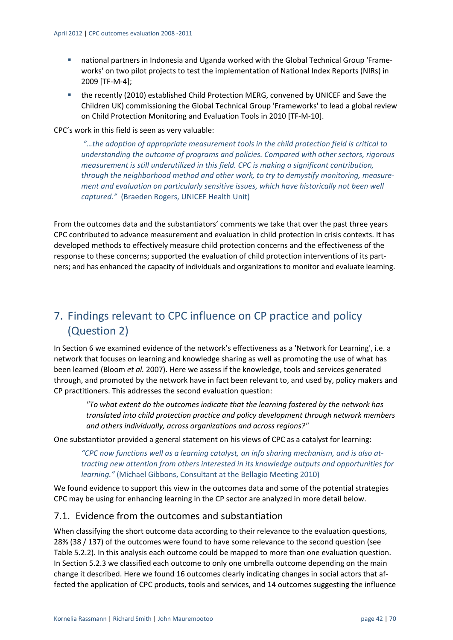- national partners in Indonesia and Uganda worked with the Global Technical Group 'Frameworks' on two pilot projects to test the implementation of National Index Reports (NIRs) in 2009 [TF‐M‐4];
- **the recently (2010) established Child Protection MERG, convened by UNICEF and Save the** Children UK) commissioning the Global Technical Group 'Frameworks' to lead a global review on Child Protection Monitoring and Evaluation Tools in 2010 [TF‐M‐10].

CPC's work in this field is seen as very valuable:

*"…the adoption of appropriate measurement tools in the child protection field is critical to understanding the outcome of programs and policies. Compared with other sectors, rigorous measurement is still underutilized in this field. CPC is making a significant contribution, through the neighborhood method and other work, to try to demystify monitoring, measure‐ ment and evaluation on particularly sensitive issues, which have historically not been well captured."* (Braeden Rogers, UNICEF Health Unit)

From the outcomes data and the substantiators' comments we take that over the past three years CPC contributed to advance measurement and evaluation in child protection in crisis contexts. It has developed methods to effectively measure child protection concerns and the effectiveness of the response to these concerns; supported the evaluation of child protection interventions of its part‐ ners; and has enhanced the capacity of individuals and organizations to monitor and evaluate learning.

## 7. Findings relevant to CPC influence on CP practice and policy (Question 2)

In Section 6 we examined evidence of the network's effectiveness as a 'Network for Learning', i.e. a network that focuses on learning and knowledge sharing as well as promoting the use of what has been learned (Bloom *et al.* 2007). Here we assess if the knowledge, tools and services generated through, and promoted by the network have in fact been relevant to, and used by, policy makers and CP practitioners. This addresses the second evaluation question:

*"To what extent do the outcomes indicate that the learning fostered by the network has translated into child protection practice and policy development through network members and others individually, across organizations and across regions?"*

One substantiator provided a general statement on his views of CPC as a catalyst for learning:

*"CPC now functions well as a learning catalyst, an info sharing mechanism, and is also at‐ tracting new attention from others interested in its knowledge outputs and opportunities for learning."* (Michael Gibbons, Consultant at the Bellagio Meeting 2010)

We found evidence to support this view in the outcomes data and some of the potential strategies CPC may be using for enhancing learning in the CP sector are analyzed in more detail below.

## 7.1. Evidence from the outcomes and substantiation

When classifying the short outcome data according to their relevance to the evaluation questions, 28% (38 / 137) of the outcomes were found to have some relevance to the second question (see Table 5.2.2). In this analysis each outcome could be mapped to more than one evaluation question. In Section 5.2.3 we classified each outcome to only one umbrella outcome depending on the main change it described. Here we found 16 outcomes clearly indicating changes in social actors that af‐ fected the application of CPC products, tools and services, and 14 outcomes suggesting the influence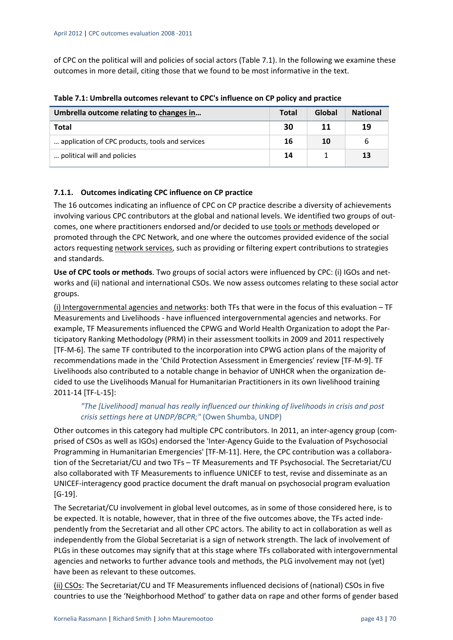of CPC on the political will and policies of social actors (Table 7.1). In the following we examine these outcomes in more detail, citing those that we found to be most informative in the text.

| Umbrella outcome relating to changes in         | <b>Total</b> | Global | <b>National</b> |
|-------------------------------------------------|--------------|--------|-----------------|
| <b>Total</b>                                    | 30           | 11     | 19              |
| application of CPC products, tools and services | 16           | 10     | 6               |
| political will and policies                     | 14           |        | 13              |

**Table 7.1: Umbrella outcomes relevant to CPC's influence on CP policy and practice**

#### **7.1.1. Outcomes indicating CPC influence on CP practice**

The 16 outcomes indicating an influence of CPC on CP practice describe a diversity of achievements involving various CPC contributors at the global and national levels. We identified two groups of outcomes, one where practitioners endorsed and/or decided to use tools or methods developed or promoted through the CPC Network, and one where the outcomes provided evidence of the social actors requesting network services, such as providing or filtering expert contributions to strategies and standards.

**Use of CPC tools or methods**. Two groups of social actors were influenced by CPC: (i) IGOs and net‐ works and (ii) national and international CSOs. We now assess outcomes relating to these social actor groups.

(i) Intergovernmental agencies and networks: both TFs that were in the focus of this evaluation – TF Measurements and Livelihoods ‐ have influenced intergovernmental agencies and networks. For example, TF Measurements influenced the CPWG and World Health Organization to adopt the Par‐ ticipatory Ranking Methodology (PRM) in their assessment toolkits in 2009 and 2011 respectively [TF‐M‐6]. The same TF contributed to the incorporation into CPWG action plans of the majority of recommendations made in the 'Child Protection Assessment in Emergencies' review [TF‐M‐9]. TF Livelihoods also contributed to a notable change in behavior of UNHCR when the organization de‐ cided to use the Livelihoods Manual for Humanitarian Practitioners in its own livelihood training 2011‐14 [TF‐L‐15]:

#### *"The [Livelihood] manual has really influenced our thinking of livelihoods in crisis and post crisis settings here at UNDP/BCPR;"* (Owen Shumba, UNDP)

Other outcomes in this category had multiple CPC contributors. In 2011, an inter-agency group (comprised of CSOs as well as IGOs) endorsed the 'Inter‐Agency Guide to the Evaluation of Psychosocial Programming in Humanitarian Emergencies' [TF‐M‐11]. Here, the CPC contribution was a collabora‐ tion of the Secretariat/CU and two TFs – TF Measurements and TF Psychosocial. The Secretariat/CU also collaborated with TF Measurements to influence UNICEF to test, revise and disseminate as an UNICEF‐interagency good practice document the draft manual on psychosocial program evaluation  $[G-19]$ .

The Secretariat/CU involvement in global level outcomes, as in some of those considered here, is to be expected. It is notable, however, that in three of the five outcomes above, the TFs acted inde‐ pendently from the Secretariat and all other CPC actors. The ability to act in collaboration as well as independently from the Global Secretariat is a sign of network strength. The lack of involvement of PLGs in these outcomes may signify that at this stage where TFs collaborated with intergovernmental agencies and networks to further advance tools and methods, the PLG involvement may not (yet) have been as relevant to these outcomes.

(ii) CSOs: The Secretariat/CU and TF Measurements influenced decisions of (national) CSOs in five countries to use the 'Neighborhood Method' to gather data on rape and other forms of gender based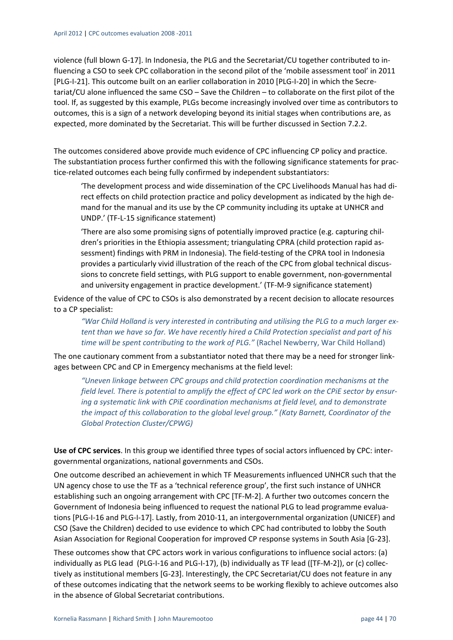violence (full blown G‐17]. In Indonesia, the PLG and the Secretariat/CU together contributed to in‐ fluencing a CSO to seek CPC collaboration in the second pilot of the 'mobile assessment tool' in 2011 [PLG-I-21]. This outcome built on an earlier collaboration in 2010 [PLG-I-20] in which the Secretariat/CU alone influenced the same CSO – Save the Children – to collaborate on the first pilot of the tool. If, as suggested by this example, PLGs become increasingly involved over time as contributors to outcomes, this is a sign of a network developing beyond its initial stages when contributions are, as expected, more dominated by the Secretariat. This will be further discussed in Section 7.2.2.

The outcomes considered above provide much evidence of CPC influencing CP policy and practice. The substantiation process further confirmed this with the following significance statements for prac‐ tice‐related outcomes each being fully confirmed by independent substantiators:

'The development process and wide dissemination of the CPC Livelihoods Manual has had di‐ rect effects on child protection practice and policy development as indicated by the high de‐ mand for the manual and its use by the CP community including its uptake at UNHCR and UNDP.' (TF‐L‐15 significance statement)

'There are also some promising signs of potentially improved practice (e.g. capturing chil‐ dren's priorities in the Ethiopia assessment; triangulating CPRA (child protection rapid as‐ sessment) findings with PRM in Indonesia). The field-testing of the CPRA tool in Indonesia provides a particularly vivid illustration of the reach of the CPC from global technical discus‐ sions to concrete field settings, with PLG support to enable government, non‐governmental and university engagement in practice development.' (TF‐M‐9 significance statement)

Evidence of the value of CPC to CSOs is also demonstrated by a recent decision to allocate resources to a CP specialist:

*"War Child Holland is very interested in contributing and utilising the PLG to a much larger ex‐ tent than we have so far. We have recently hired a Child Protection specialist and part of his time will be spent contributing to the work of PLG."* (Rachel Newberry, War Child Holland)

The one cautionary comment from a substantiator noted that there may be a need for stronger linkages between CPC and CP in Emergency mechanisms at the field level:

*"Uneven linkage between CPC groups and child protection coordination mechanisms at the* field level. There is potential to amplify the effect of CPC led work on the CPiE sector by ensur*ing a systematic link with CPiE coordination mechanisms at field level, and to demonstrate the impact of this collaboration to the global level group." (Katy Barnett, Coordinator of the Global Protection Cluster/CPWG)*

**Use of CPC services**. In this group we identified three types of social actors influenced by CPC: inter‐ governmental organizations, national governments and CSOs.

One outcome described an achievement in which TF Measurements influenced UNHCR such that the UN agency chose to use the TF as a 'technical reference group', the first such instance of UNHCR establishing such an ongoing arrangement with CPC [TF‐M‐2]. A further two outcomes concern the Government of Indonesia being influenced to request the national PLG to lead programme evalua‐ tions [PLG-I-16 and PLG-I-17]. Lastly, from 2010-11, an intergovernmental organization (UNICEF) and CSO (Save the Children) decided to use evidence to which CPC had contributed to lobby the South Asian Association for Regional Cooperation for improved CP response systems in South Asia [G‐23].

These outcomes show that CPC actors work in various configurations to influence social actors: (a) individually as PLG lead (PLG-I-16 and PLG-I-17), (b) individually as TF lead ([TF-M-2]), or (c) collectively as institutional members [G‐23]. Interestingly, the CPC Secretariat/CU does not feature in any of these outcomes indicating that the network seems to be working flexibly to achieve outcomes also in the absence of Global Secretariat contributions.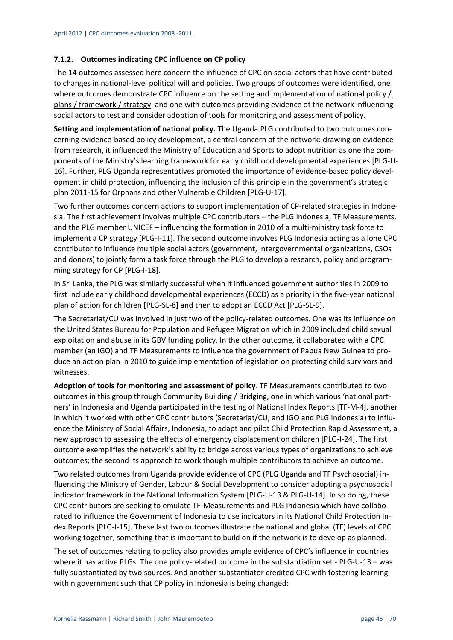#### **7.1.2. Outcomes indicating CPC influence on CP policy**

The 14 outcomes assessed here concern the influence of CPC on social actors that have contributed to changes in national‐level political will and policies. Two groups of outcomes were identified, one where outcomes demonstrate CPC influence on the setting and implementation of national policy / plans / framework / strategy, and one with outcomes providing evidence of the network influencing social actors to test and consider adoption of tools for monitoring and assessment of policy.

**Setting and implementation of national policy.** The Uganda PLG contributed to two outcomes con‐ cerning evidence‐based policy development, a central concern of the network: drawing on evidence from research, it influenced the Ministry of Education and Sports to adopt nutrition as one the components of the Ministry's learning framework for early childhood developmental experiences [PLG‐U‐ 16]. Further, PLG Uganda representatives promoted the importance of evidence‐based policy devel‐ opment in child protection, influencing the inclusion of this principle in the government's strategic plan 2011‐15 for Orphans and other Vulnerable Children [PLG‐U‐17].

Two further outcomes concern actions to support implementation of CP‐related strategies in Indone‐ sia. The first achievement involves multiple CPC contributors – the PLG Indonesia, TF Measurements, and the PLG member UNICEF – influencing the formation in 2010 of a multi-ministry task force to implement a CP strategy [PLG‐I‐11]. The second outcome involves PLG Indonesia acting as a lone CPC contributor to influence multiple social actors (government, intergovernmental organizations, CSOs and donors) to jointly form a task force through the PLG to develop a research, policy and programming strategy for CP [PLG‐I‐18].

In Sri Lanka, the PLG was similarly successful when it influenced government authorities in 2009 to first include early childhood developmental experiences (ECCD) as a priority in the five‐year national plan of action for children [PLG‐SL‐8] and then to adopt an ECCD Act [PLG‐SL‐9].

The Secretariat/CU was involved in just two of the policy-related outcomes. One was its influence on the United States Bureau for Population and Refugee Migration which in 2009 included child sexual exploitation and abuse in its GBV funding policy. In the other outcome, it collaborated with a CPC member (an IGO) and TF Measurements to influence the government of Papua New Guinea to pro‐ duce an action plan in 2010 to guide implementation of legislation on protecting child survivors and witnesses.

**Adoption of tools for monitoring and assessment of policy**. TF Measurements contributed to two outcomes in this group through Community Building / Bridging, one in which various 'national part‐ ners' in Indonesia and Uganda participated in the testing of National Index Reports [TF‐M‐4], another in which it worked with other CPC contributors (Secretariat/CU, and IGO and PLG Indonesia) to influ‐ ence the Ministry of Social Affairs, Indonesia, to adapt and pilot Child Protection Rapid Assessment, a new approach to assessing the effects of emergency displacement on children [PLG-I-24]. The first outcome exemplifies the network's ability to bridge across various types of organizations to achieve outcomes; the second its approach to work though multiple contributors to achieve an outcome.

Two related outcomes from Uganda provide evidence of CPC (PLG Uganda and TF Psychosocial) in‐ fluencing the Ministry of Gender, Labour & Social Development to consider adopting a psychosocial indicator framework in the National Information System [PLG‐U‐13 & PLG‐U‐14]. In so doing, these CPC contributors are seeking to emulate TF‐Measurements and PLG Indonesia which have collabo‐ rated to influence the Government of Indonesia to use indicators in its National Child Protection In‐ dex Reports [PLG-I-15]. These last two outcomes illustrate the national and global (TF) levels of CPC working together, something that is important to build on if the network is to develop as planned.

The set of outcomes relating to policy also provides ample evidence of CPC's influence in countries where it has active PLGs. The one policy-related outcome in the substantiation set - PLG-U-13 – was fully substantiated by two sources. And another substantiator credited CPC with fostering learning within government such that CP policy in Indonesia is being changed: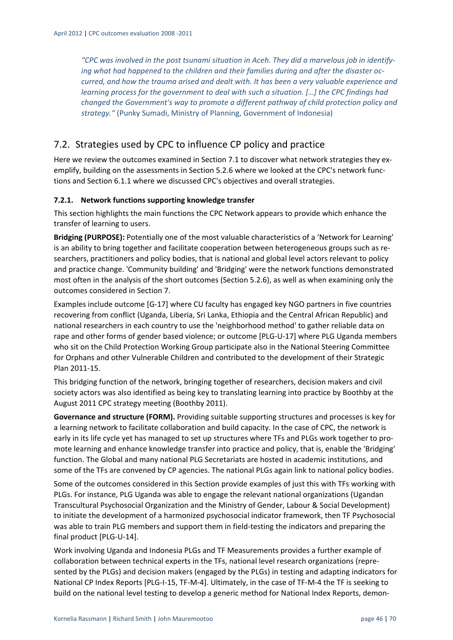*"CPC was involved in the post tsunami situation in Aceh. They did a marvelous job in identify‐ ing what had happened to the children and their families during and after the disaster oc‐ curred, and how the trauma arised and dealt with. It has been a very valuable experience and learning process for the government to deal with such a situation. […] the CPC findings had changed the Government's way to promote a different pathway of child protection policy and strategy."* (Punky Sumadi, Ministry of Planning, Government of Indonesia)

## 7.2. Strategies used by CPC to influence CP policy and practice

Here we review the outcomes examined in Section 7.1 to discover what network strategies they exemplify, building on the assessments in Section 5.2.6 where we looked at the CPC's network functions and Section 6.1.1 where we discussed CPC's objectives and overall strategies.

#### **7.2.1. Network functions supporting knowledge transfer**

This section highlights the main functions the CPC Network appears to provide which enhance the transfer of learning to users.

**Bridging (PURPOSE):** Potentially one of the most valuable characteristics of a 'Network for Learning' is an ability to bring together and facilitate cooperation between heterogeneous groups such as re‐ searchers, practitioners and policy bodies, that is national and global level actors relevant to policy and practice change. 'Community building' and 'Bridging' were the network functions demonstrated most often in the analysis of the short outcomes (Section 5.2.6), as well as when examining only the outcomes considered in Section 7.

Examples include outcome [G‐17] where CU faculty has engaged key NGO partners in five countries recovering from conflict (Uganda, Liberia, Sri Lanka, Ethiopia and the Central African Republic) and national researchers in each country to use the 'neighborhood method' to gather reliable data on rape and other forms of gender based violence; or outcome [PLG‐U‐17] where PLG Uganda members who sit on the Child Protection Working Group participate also in the National Steering Committee for Orphans and other Vulnerable Children and contributed to the development of their Strategic Plan 2011‐15.

This bridging function of the network, bringing together of researchers, decision makers and civil society actors was also identified as being key to translating learning into practice by Boothby at the August 2011 CPC strategy meeting (Boothby 2011).

**Governance and structure (FORM).** Providing suitable supporting structures and processes is key for a learning network to facilitate collaboration and build capacity. In the case of CPC, the network is early in its life cycle yet has managed to set up structures where TFs and PLGs work together to promote learning and enhance knowledge transfer into practice and policy, that is, enable the 'Bridging' function. The Global and many national PLG Secretariats are hosted in academic institutions, and some of the TFs are convened by CP agencies. The national PLGs again link to national policy bodies.

Some of the outcomes considered in this Section provide examples of just this with TFs working with PLGs. For instance, PLG Uganda was able to engage the relevant national organizations (Ugandan Transcultural Psychosocial Organization and the Ministry of Gender, Labour & Social Development) to initiate the development of a harmonized psychosocial indicator framework, then TF Psychosocial was able to train PLG members and support them in field-testing the indicators and preparing the final product [PLG‐U‐14].

Work involving Uganda and Indonesia PLGs and TF Measurements provides a further example of collaboration between technical experts in the TFs, national level research organizations (repre‐ sented by the PLGs) and decision makers (engaged by the PLGs) in testing and adapting indicators for National CP Index Reports [PLG-I-15, TF-M-4]. Ultimately, in the case of TF-M-4 the TF is seeking to build on the national level testing to develop a generic method for National Index Reports, demon‐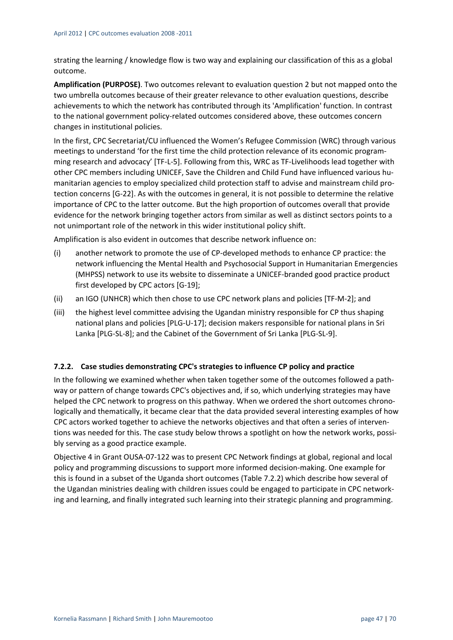strating the learning / knowledge flow is two way and explaining our classification of this as a global outcome.

**Amplification (PURPOSE)**. Two outcomes relevant to evaluation question 2 but not mapped onto the two umbrella outcomes because of their greater relevance to other evaluation questions, describe achievements to which the network has contributed through its 'Amplification' function. In contrast to the national government policy-related outcomes considered above, these outcomes concern changes in institutional policies.

In the first, CPC Secretariat/CU influenced the Women's Refugee Commission (WRC) through various meetings to understand 'for the first time the child protection relevance of its economic program‐ ming research and advocacy' [TF‐L‐5]. Following from this, WRC as TF‐Livelihoods lead together with other CPC members including UNICEF, Save the Children and Child Fund have influenced various hu‐ manitarian agencies to employ specialized child protection staff to advise and mainstream child pro‐ tection concerns [G‐22]. As with the outcomes in general, it is not possible to determine the relative importance of CPC to the latter outcome. But the high proportion of outcomes overall that provide evidence for the network bringing together actors from similar as well as distinct sectors points to a not unimportant role of the network in this wider institutional policy shift.

Amplification is also evident in outcomes that describe network influence on:

- (i) another network to promote the use of CP‐developed methods to enhance CP practice: the network influencing the Mental Health and Psychosocial Support in Humanitarian Emergencies (MHPSS) network to use its website to disseminate a UNICEF‐branded good practice product first developed by CPC actors [G‐19];
- (ii) an IGO (UNHCR) which then chose to use CPC network plans and policies [TF‐M‐2]; and
- (iii) the highest level committee advising the Ugandan ministry responsible for CP thus shaping national plans and policies [PLG‐U‐17]; decision makers responsible for national plans in Sri Lanka [PLG‐SL‐8]; and the Cabinet of the Government of Sri Lanka [PLG‐SL‐9].

#### **7.2.2. Case studies demonstrating CPC's strategies to influence CP policy and practice**

In the following we examined whether when taken together some of the outcomes followed a path‐ way or pattern of change towards CPC's objectives and, if so, which underlying strategies may have helped the CPC network to progress on this pathway. When we ordered the short outcomes chronologically and thematically, it became clear that the data provided several interesting examples of how CPC actors worked together to achieve the networks objectives and that often a series of interven‐ tions was needed for this. The case study below throws a spotlight on how the network works, possibly serving as a good practice example.

Objective 4 in Grant OUSA‐07‐122 was to present CPC Network findings at global, regional and local policy and programming discussions to support more informed decision‐making. One example for this is found in a subset of the Uganda short outcomes (Table 7.2.2) which describe how several of the Ugandan ministries dealing with children issues could be engaged to participate in CPC network‐ ing and learning, and finally integrated such learning into their strategic planning and programming.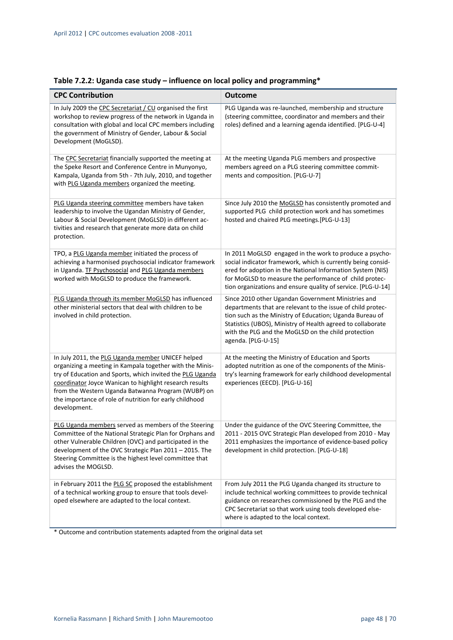| <b>CPC Contribution</b>                                                                                                                                                                                                                                                                                                                                                | <b>Outcome</b>                                                                                                                                                                                                                                                                                                            |
|------------------------------------------------------------------------------------------------------------------------------------------------------------------------------------------------------------------------------------------------------------------------------------------------------------------------------------------------------------------------|---------------------------------------------------------------------------------------------------------------------------------------------------------------------------------------------------------------------------------------------------------------------------------------------------------------------------|
| In July 2009 the CPC Secretariat / CU organised the first<br>workshop to review progress of the network in Uganda in<br>consultation with global and local CPC members including<br>the government of Ministry of Gender, Labour & Social<br>Development (MoGLSD).                                                                                                     | PLG Uganda was re-launched, membership and structure<br>(steering committee, coordinator and members and their<br>roles) defined and a learning agenda identified. [PLG-U-4]                                                                                                                                              |
| The CPC Secretariat financially supported the meeting at<br>the Speke Resort and Conference Centre in Munyonyo,<br>Kampala, Uganda from 5th - 7th July, 2010, and together<br>with PLG Uganda members organized the meeting.                                                                                                                                           | At the meeting Uganda PLG members and prospective<br>members agreed on a PLG steering committee commit-<br>ments and composition. [PLG-U-7]                                                                                                                                                                               |
| PLG Uganda steering committee members have taken<br>leadership to involve the Ugandan Ministry of Gender,<br>Labour & Social Development (MoGLSD) in different ac-<br>tivities and research that generate more data on child<br>protection.                                                                                                                            | Since July 2010 the MoGLSD has consistently promoted and<br>supported PLG child protection work and has sometimes<br>hosted and chaired PLG meetings.[PLG-U-13]                                                                                                                                                           |
| TPO, a PLG Uganda member initiated the process of<br>achieving a harmonised psychosocial indicator framework<br>in Uganda. TF Psychosocial and PLG Uganda members<br>worked with MoGLSD to produce the framework.                                                                                                                                                      | In 2011 MoGLSD engaged in the work to produce a psycho-<br>social indicator framework, which is currently being consid-<br>ered for adoption in the National Information System (NIS)<br>for MoGLSD to measure the performance of child protec-<br>tion organizations and ensure quality of service. [PLG-U-14]           |
| PLG Uganda through its member MoGLSD has influenced<br>other ministerial sectors that deal with children to be<br>involved in child protection.                                                                                                                                                                                                                        | Since 2010 other Ugandan Government Ministries and<br>departments that are relevant to the issue of child protec-<br>tion such as the Ministry of Education; Uganda Bureau of<br>Statistics (UBOS), Ministry of Health agreed to collaborate<br>with the PLG and the MoGLSD on the child protection<br>agenda. [PLG-U-15] |
| In July 2011, the PLG Uganda member UNICEF helped<br>organizing a meeting in Kampala together with the Minis-<br>try of Education and Sports, which invited the PLG Uganda<br>coordinator Joyce Wanican to highlight research results<br>from the Western Uganda Batwanna Program (WUBP) on<br>the importance of role of nutrition for early childhood<br>development. | At the meeting the Ministry of Education and Sports<br>adopted nutrition as one of the components of the Minis-<br>try's learning framework for early childhood developmental<br>experiences (EECD). [PLG-U-16]                                                                                                           |
| PLG Uganda members served as members of the Steering<br>Committee of the National Strategic Plan for Orphans and<br>other Vulnerable Children (OVC) and participated in the<br>development of the OVC Strategic Plan 2011 - 2015. The<br>Steering Committee is the highest level committee that<br>advises the MOGLSD.                                                 | Under the guidance of the OVC Steering Committee, the<br>2011 - 2015 OVC Strategic Plan developed from 2010 - May<br>2011 emphasizes the importance of evidence-based policy<br>development in child protection. [PLG-U-18]                                                                                               |
| in February 2011 the PLG SC proposed the establishment<br>of a technical working group to ensure that tools devel-<br>oped elsewhere are adapted to the local context.                                                                                                                                                                                                 | From July 2011 the PLG Uganda changed its structure to<br>include technical working committees to provide technical<br>guidance on researches commissioned by the PLG and the<br>CPC Secretariat so that work using tools developed else-<br>where is adapted to the local context.                                       |

## **Table 7.2.2: Uganda case study – influence on local policy and programming\***

\* Outcome and contribution statements adapted from the original data set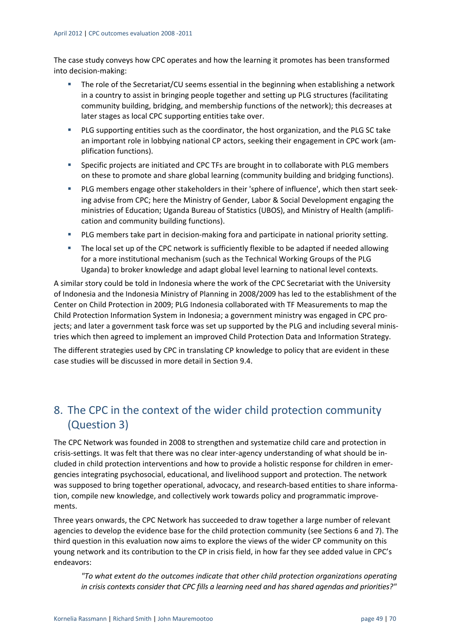The case study conveys how CPC operates and how the learning it promotes has been transformed into decision‐making:

- The role of the Secretariat/CU seems essential in the beginning when establishing a network in a country to assist in bringing people together and setting up PLG structures (facilitating community building, bridging, and membership functions of the network); this decreases at later stages as local CPC supporting entities take over.
- PLG supporting entities such as the coordinator, the host organization, and the PLG SC take an important role in lobbying national CP actors, seeking their engagement in CPC work (amplification functions).
- Specific projects are initiated and CPC TFs are brought in to collaborate with PLG members on these to promote and share global learning (community building and bridging functions).
- PLG members engage other stakeholders in their 'sphere of influence', which then start seek‐ ing advise from CPC; here the Ministry of Gender, Labor & Social Development engaging the ministries of Education; Uganda Bureau of Statistics (UBOS), and Ministry of Health (amplifi‐ cation and community building functions).
- PLG members take part in decision-making fora and participate in national priority setting.
- **The local set up of the CPC network is sufficiently flexible to be adapted if needed allowing** for a more institutional mechanism (such as the Technical Working Groups of the PLG Uganda) to broker knowledge and adapt global level learning to national level contexts.

A similar story could be told in Indonesia where the work of the CPC Secretariat with the University of Indonesia and the Indonesia Ministry of Planning in 2008/2009 has led to the establishment of the Center on Child Protection in 2009; PLG Indonesia collaborated with TF Measurements to map the Child Protection Information System in Indonesia; a government ministry was engaged in CPC pro‐ jects; and later a government task force was set up supported by the PLG and including several ministries which then agreed to implement an improved Child Protection Data and Information Strategy.

The different strategies used by CPC in translating CP knowledge to policy that are evident in these case studies will be discussed in more detail in Section 9.4.

## 8. The CPC in the context of the wider child protection community (Question 3)

The CPC Network was founded in 2008 to strengthen and systematize child care and protection in crisis‐settings. It was felt that there was no clear inter‐agency understanding of what should be in‐ cluded in child protection interventions and how to provide a holistic response for children in emer‐ gencies integrating psychosocial, educational, and livelihood support and protection. The network was supposed to bring together operational, advocacy, and research-based entities to share information, compile new knowledge, and collectively work towards policy and programmatic improve‐ ments.

Three years onwards, the CPC Network has succeeded to draw together a large number of relevant agencies to develop the evidence base for the child protection community (see Sections 6 and 7). The third question in this evaluation now aims to explore the views of the wider CP community on this young network and its contribution to the CP in crisis field, in how far they see added value in CPC's endeavors:

*"To what extent do the outcomes indicate that other child protection organizations operating in crisis contexts consider that CPC fills a learning need and has shared agendas and priorities?"*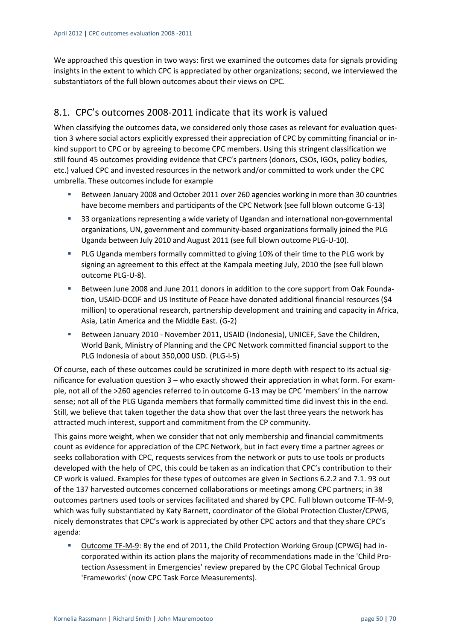We approached this question in two ways: first we examined the outcomes data for signals providing insights in the extent to which CPC is appreciated by other organizations; second, we interviewed the substantiators of the full blown outcomes about their views on CPC.

## 8.1. CPC's outcomes 2008‐2011 indicate that its work is valued

When classifying the outcomes data, we considered only those cases as relevant for evaluation question 3 where social actors explicitly expressed their appreciation of CPC by committing financial or in‐ kind support to CPC or by agreeing to become CPC members. Using this stringent classification we still found 45 outcomes providing evidence that CPC's partners (donors, CSOs, IGOs, policy bodies, etc.) valued CPC and invested resources in the network and/or committed to work under the CPC umbrella. These outcomes include for example

- Between January 2008 and October 2011 over 260 agencies working in more than 30 countries have become members and participants of the CPC Network (see full blown outcome G-13)
- 33 organizations representing a wide variety of Ugandan and international non-governmental organizations, UN, government and community‐based organizations formally joined the PLG Uganda between July 2010 and August 2011 (see full blown outcome PLG‐U‐10).
- **PLG Uganda members formally committed to giving 10% of their time to the PLG work by** signing an agreement to this effect at the Kampala meeting July, 2010 the (see full blown outcome PLG‐U‐8).
- Between June 2008 and June 2011 donors in addition to the core support from Oak Foundation, USAID‐DCOF and US Institute of Peace have donated additional financial resources (\$4 million) to operational research, partnership development and training and capacity in Africa, Asia, Latin America and the Middle East. (G‐2)
- Between January 2010 November 2011, USAID (Indonesia), UNICEF, Save the Children, World Bank, Ministry of Planning and the CPC Network committed financial support to the PLG Indonesia of about 350,000 USD. (PLG‐I‐5)

Of course, each of these outcomes could be scrutinized in more depth with respect to its actual sig‐ nificance for evaluation question 3 – who exactly showed their appreciation in what form. For example, not all of the >260 agencies referred to in outcome G‐13 may be CPC 'members' in the narrow sense; not all of the PLG Uganda members that formally committed time did invest this in the end. Still, we believe that taken together the data show that over the last three years the network has attracted much interest, support and commitment from the CP community.

This gains more weight, when we consider that not only membership and financial commitments count as evidence for appreciation of the CPC Network, but in fact every time a partner agrees or seeks collaboration with CPC, requests services from the network or puts to use tools or products developed with the help of CPC, this could be taken as an indication that CPC's contribution to their CP work is valued. Examples for these types of outcomes are given in Sections 6.2.2 and 7.1. 93 out of the 137 harvested outcomes concerned collaborations or meetings among CPC partners; in 38 outcomes partners used tools or services facilitated and shared by CPC. Full blown outcome TF‐M‐9, which was fully substantiated by Katy Barnett, coordinator of the Global Protection Cluster/CPWG, nicely demonstrates that CPC's work is appreciated by other CPC actors and that they share CPC's agenda:

 Outcome TF‐M‐9: By the end of 2011, the Child Protection Working Group (CPWG) had in‐ corporated within its action plans the majority of recommendations made in the 'Child Pro‐ tection Assessment in Emergencies' review prepared by the CPC Global Technical Group 'Frameworks' (now CPC Task Force Measurements).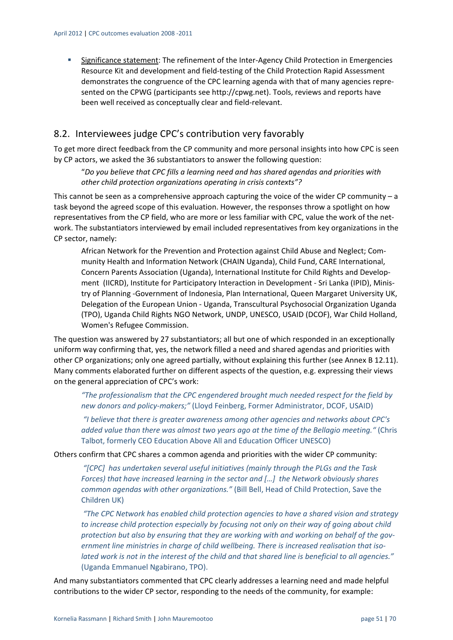■ Significance statement: The refinement of the Inter-Agency Child Protection in Emergencies Resource Kit and development and field‐testing of the Child Protection Rapid Assessment demonstrates the congruence of the CPC learning agenda with that of many agencies repre‐ sented on the CPWG (participants see http://cpwg.net). Tools, reviews and reports have been well received as conceptually clear and field‐relevant.

## 8.2. Interviewees judge CPC's contribution very favorably

To get more direct feedback from the CP community and more personal insights into how CPC is seen by CP actors, we asked the 36 substantiators to answer the following question:

"*Do you believe that CPC fills a learning need and has shared agendas and priorities with other child protection organizations operating in crisis contexts"?*

This cannot be seen as a comprehensive approach capturing the voice of the wider CP community – a task beyond the agreed scope of this evaluation. However, the responses throw a spotlight on how representatives from the CP field, who are more or less familiar with CPC, value the work of the net‐ work. The substantiators interviewed by email included representatives from key organizations in the CP sector, namely:

African Network for the Prevention and Protection against Child Abuse and Neglect; Com‐ munity Health and Information Network (CHAIN Uganda), Child Fund, CARE International, Concern Parents Association (Uganda), International Institute for Child Rights and Develop‐ ment (IICRD), Institute for Participatory Interaction in Development ‐ Sri Lanka (IPID), Minis‐ try of Planning ‐Government of Indonesia, Plan International, Queen Margaret University UK, Delegation of the European Union ‐ Uganda, Transcultural Psychosocial Organization Uganda (TPO), Uganda Child Rights NGO Network, UNDP, UNESCO, USAID (DCOF), War Child Holland, Women's Refugee Commission.

The question was answered by 27 substantiators; all but one of which responded in an exceptionally uniform way confirming that, yes, the network filled a need and shared agendas and priorities with other CP organizations; only one agreed partially, without explaining this further (see Annex B 12.11). Many comments elaborated further on different aspects of the question, e.g. expressing their views on the general appreciation of CPC's work:

*"The professionalism that the CPC engendered brought much needed respect for the field by new donors and policy‐makers;"* (Lloyd Feinberg, Former Administrator, DCOF, USAID)

*"I believe that there is greater awareness among other agencies and networks about CPC's added value than there was almost two years ago at the time of the Bellagio meeting."* (Chris Talbot, formerly CEO Education Above All and Education Officer UNESCO)

Others confirm that CPC shares a common agenda and priorities with the wider CP community:

*"[CPC] has undertaken several useful initiatives (mainly through the PLGs and the Task Forces) that have increased learning in the sector and […] the Network obviously shares common agendas with other organizations."* (Bill Bell, Head of Child Protection, Save the Children UK)

*"The CPC Network has enabled child protection agencies to have a shared vision and strategy to increase child protection especially by focusing not only on their way of going about child protection but also by ensuring that they are working with and working on behalf of the gov‐ ernment line ministries in charge of child wellbeing. There is increased realisation that iso‐* lated work is not in the interest of the child and that shared line is beneficial to all agencies." (Uganda Emmanuel Ngabirano, TPO).

And many substantiators commented that CPC clearly addresses a learning need and made helpful contributions to the wider CP sector, responding to the needs of the community, for example: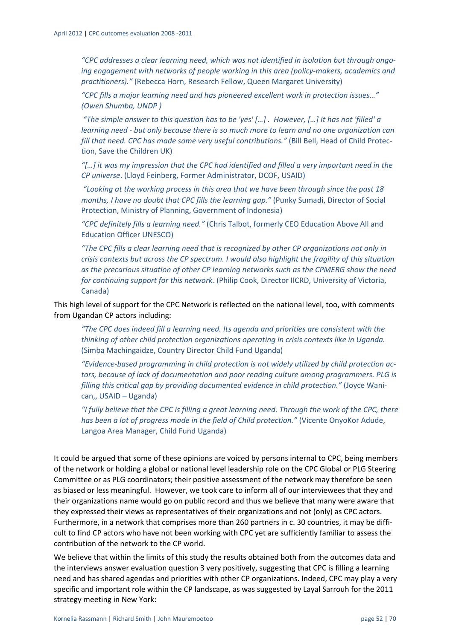*"CPC addresses a clear learning need, which was not identified in isolation but through ongo‐ ing engagement with networks of people working in this area (policy‐makers, academics and practitioners)."* (Rebecca Horn, Research Fellow, Queen Margaret University)

*"CPC fills a major learning need and has pioneered excellent work in protection issues…" (Owen Shumba, UNDP )*

"The simple answer to this question has to be 'yes' [...] . However, [...] It has not 'filled' a *learning need ‐ but only because there is so much more to learn and no one organization can fill that need. CPC has made some very useful contributions."* (Bill Bell, Head of Child Protec‐ tion, Save the Children UK)

*"[…] it was my impression that the CPC had identified and filled a very important need in the CP universe*. (Lloyd Feinberg, Former Administrator, DCOF, USAID)

*"Looking at the working process in this area that we have been through since the past 18 months, I have no doubt that CPC fills the learning gap."* (Punky Sumadi, Director of Social Protection, Ministry of Planning, Government of Indonesia)

*"CPC definitely fills a learning need."* (Chris Talbot, formerly CEO Education Above All and Education Officer UNESCO)

*"The CPC fills a clear learning need that is recognized by other CP organizations not only in crisis contexts but across the CP spectrum. I would also highlight the fragility of this situation as the precarious situation of other CP learning networks such as the CPMERG show the need for continuing support for this network.* (Philip Cook, Director IICRD, University of Victoria, Canada)

This high level of support for the CPC Network is reflected on the national level, too, with comments from Ugandan CP actors including:

*"The CPC does indeed fill a learning need. Its agenda and priorities are consistent with the thinking of other child protection organizations operating in crisis contexts like in Uganda.* (Simba Machingaidze, Country Director Child Fund Uganda)

*"Evidence‐based programming in child protection is not widely utilized by child protection ac‐ tors, because of lack of documentation and poor reading culture among programmers. PLG is filling this critical gap by providing documented evidence in child protection."* (Joyce Wani‐ can,, USAID – Uganda)

"I fully believe that the CPC is filling a great learning need. Through the work of the CPC, there *has been a lot of progress made in the field of Child protection."* (Vicente OnyoKor Adude, Langoa Area Manager, Child Fund Uganda)

It could be argued that some of these opinions are voiced by persons internal to CPC, being members of the network or holding a global or national level leadership role on the CPC Global or PLG Steering Committee or as PLG coordinators; their positive assessment of the network may therefore be seen as biased or less meaningful. However, we took care to inform all of our interviewees that they and their organizations name would go on public record and thus we believe that many were aware that they expressed their views as representatives of their organizations and not (only) as CPC actors. Furthermore, in a network that comprises more than 260 partners in c. 30 countries, it may be difficult to find CP actors who have not been working with CPC yet are sufficiently familiar to assess the contribution of the network to the CP world.

We believe that within the limits of this study the results obtained both from the outcomes data and the interviews answer evaluation question 3 very positively, suggesting that CPC is filling a learning need and has shared agendas and priorities with other CP organizations. Indeed, CPC may play a very specific and important role within the CP landscape, as was suggested by Layal Sarrouh for the 2011 strategy meeting in New York: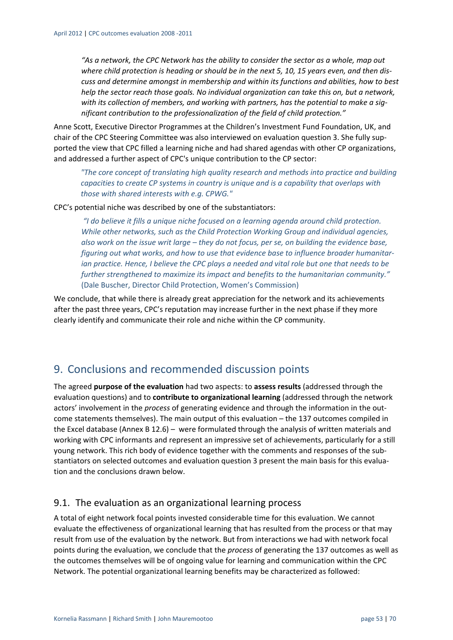*"As a network, the CPC Network has the ability to consider the sector as a whole, map out* where child protection is heading or should be in the next 5, 10, 15 years even, and then dis*cuss and determine amongst in membership and within its functions and abilities, how to best help the sector reach those goals. No individual organization can take this on, but a network, with its collection of members, and working with partners, has the potential to make a sig‐ nificant contribution to the professionalization of the field of child protection."*

Anne Scott, Executive Director Programmes at the Children's Investment Fund Foundation, UK, and chair of the CPC Steering Committee was also interviewed on evaluation question 3. She fully supported the view that CPC filled a learning niche and had shared agendas with other CP organizations, and addressed a further aspect of CPC's unique contribution to the CP sector:

*"The core concept of translating high quality research and methods into practice and building capacities to create CP systems in country is unique and is a capability that overlaps with those with shared interests with e.g. CPWG."*

CPC's potential niche was described by one of the substantiators:

*"I do believe it fills a unique niche focused on a learning agenda around child protection. While other networks, such as the Child Protection Working Group and individual agencies,* also work on the issue writ large – they do not focus, per se, on building the evidence base, *figuring out what works, and how to use that evidence base to influence broader humanitar‐* ian practice. Hence, I believe the CPC plays a needed and vital role but one that needs to be *further strengthened to maximize its impact and benefits to the humanitarian community."* (Dale Buscher, Director Child Protection, Women's Commission)

We conclude, that while there is already great appreciation for the network and its achievements after the past three years, CPC's reputation may increase further in the next phase if they more clearly identify and communicate their role and niche within the CP community.

## 9. Conclusions and recommended discussion points

The agreed **purpose of the evaluation** had two aspects: to **assess results** (addressed through the evaluation questions) and to **contribute to organizational learning** (addressed through the network actors' involvement in the *process* of generating evidence and through the information in the outcome statements themselves). The main output of this evaluation – the 137 outcomes compiled in the Excel database (Annex B 12.6) – were formulated through the analysis of written materials and working with CPC informants and represent an impressive set of achievements, particularly for a still young network. This rich body of evidence together with the comments and responses of the sub‐ stantiators on selected outcomes and evaluation question 3 present the main basis for this evalua‐ tion and the conclusions drawn below.

#### 9.1. The evaluation as an organizational learning process

A total of eight network focal points invested considerable time for this evaluation. We cannot evaluate the effectiveness of organizational learning that has resulted from the process or that may result from use of the evaluation by the network. But from interactions we had with network focal points during the evaluation, we conclude that the *process* of generating the 137 outcomes as well as the outcomes themselves will be of ongoing value for learning and communication within the CPC Network. The potential organizational learning benefits may be characterized as followed: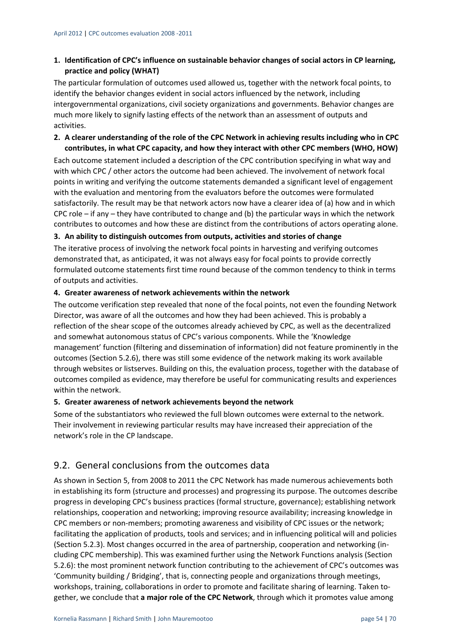#### **1. Identification of CPC's influence on sustainable behavior changes of social actors in CP learning, practice and policy (WHAT)**

The particular formulation of outcomes used allowed us, together with the network focal points, to identify the behavior changes evident in social actors influenced by the network, including intergovernmental organizations, civil society organizations and governments. Behavior changes are much more likely to signify lasting effects of the network than an assessment of outputs and activities.

#### 2. A clearer understanding of the role of the CPC Network in achieving results including who in CPC **contributes, in what CPC capacity, and how they interact with other CPC members (WHO, HOW)**

Each outcome statement included a description of the CPC contribution specifying in what way and with which CPC / other actors the outcome had been achieved. The involvement of network focal points in writing and verifying the outcome statements demanded a significant level of engagement with the evaluation and mentoring from the evaluators before the outcomes were formulated satisfactorily. The result may be that network actors now have a clearer idea of (a) how and in which CPC role – if any – they have contributed to change and (b) the particular ways in which the network contributes to outcomes and how these are distinct from the contributions of actors operating alone.

#### **3. An ability to distinguish outcomes from outputs, activities and stories of change**

The iterative process of involving the network focal points in harvesting and verifying outcomes demonstrated that, as anticipated, it was not always easy for focal points to provide correctly formulated outcome statements first time round because of the common tendency to think in terms of outputs and activities.

#### **4. Greater awareness of network achievements within the network**

The outcome verification step revealed that none of the focal points, not even the founding Network Director, was aware of all the outcomes and how they had been achieved. This is probably a reflection of the shear scope of the outcomes already achieved by CPC, as well as the decentralized and somewhat autonomous status of CPC's various components. While the 'Knowledge management' function (filtering and dissemination of information) did not feature prominently in the outcomes (Section 5.2.6), there was still some evidence of the network making its work available through websites or listserves. Building on this, the evaluation process, together with the database of outcomes compiled as evidence, may therefore be useful for communicating results and experiences within the network.

#### **5. Greater awareness of network achievements beyond the network**

Some of the substantiators who reviewed the full blown outcomes were external to the network. Their involvement in reviewing particular results may have increased their appreciation of the network's role in the CP landscape.

## 9.2. General conclusions from the outcomes data

As shown in Section 5, from 2008 to 2011 the CPC Network has made numerous achievements both in establishing its form (structure and processes) and progressing its purpose. The outcomes describe progress in developing CPC's business practices (formal structure, governance); establishing network relationships, cooperation and networking; improving resource availability; increasing knowledge in CPC members or non‐members; promoting awareness and visibility of CPC issues or the network; facilitating the application of products, tools and services; and in influencing political will and policies (Section 5.2.3). Most changes occurred in the area of partnership, cooperation and networking (in‐ cluding CPC membership). This was examined further using the Network Functions analysis (Section 5.2.6): the most prominent network function contributing to the achievement of CPC's outcomes was 'Community building / Bridging', that is, connecting people and organizations through meetings, workshops, training, collaborations in order to promote and facilitate sharing of learning. Taken together, we conclude that **a major role of the CPC Network**, through which it promotes value among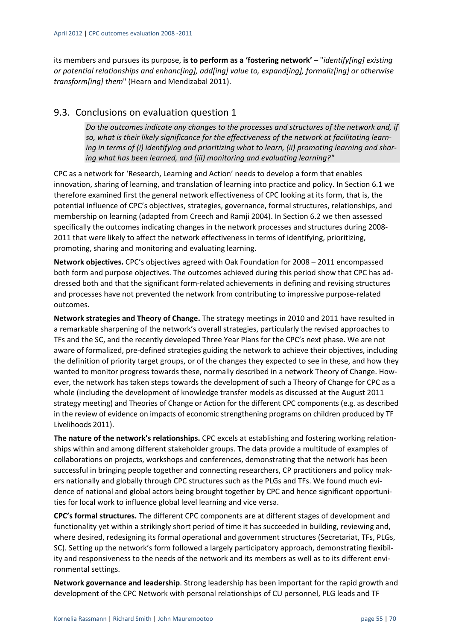its members and pursues its purpose, **is to perform as a 'fostering network'** – "*identify[ing] existing or potential relationships and enhanc[ing], add[ing] value to, expand[ing], formaliz[ing] or otherwise transform[ing] them*" (Hearn and Mendizabal 2011).

## 9.3. Conclusions on evaluation question 1

*Do the outcomes indicate any changes to the processes and structures of the network and, if so, what is their likely significance for the effectiveness of the network at facilitating learn‐ ing in terms of (i) identifying and prioritizing what to learn, (ii) promoting learning and shar‐ ing what has been learned, and (iii) monitoring and evaluating learning?"*

CPC as a network for 'Research, Learning and Action' needs to develop a form that enables innovation, sharing of learning, and translation of learning into practice and policy. In Section 6.1 we therefore examined first the general network effectiveness of CPC looking at its form, that is, the potential influence of CPC's objectives, strategies, governance, formal structures, relationships, and membership on learning (adapted from Creech and Ramji 2004). In Section 6.2 we then assessed specifically the outcomes indicating changes in the network processes and structures during 2008‐ 2011 that were likely to affect the network effectiveness in terms of identifying, prioritizing, promoting, sharing and monitoring and evaluating learning.

**Network objectives.** CPC's objectives agreed with Oak Foundation for 2008 – 2011 encompassed both form and purpose objectives. The outcomes achieved during this period show that CPC has ad‐ dressed both and that the significant form‐related achievements in defining and revising structures and processes have not prevented the network from contributing to impressive purpose-related outcomes.

**Network strategies and Theory of Change.** The strategy meetings in 2010 and 2011 have resulted in a remarkable sharpening of the network's overall strategies, particularly the revised approaches to TFs and the SC, and the recently developed Three Year Plans for the CPC's next phase. We are not aware of formalized, pre-defined strategies guiding the network to achieve their objectives, including the definition of priority target groups, or of the changes they expected to see in these, and how they wanted to monitor progress towards these, normally described in a network Theory of Change. However, the network has taken steps towards the development of such a Theory of Change for CPC as a whole (including the development of knowledge transfer models as discussed at the August 2011 strategy meeting) and Theories of Change or Action for the different CPC components (e.g. as described in the review of evidence on impacts of economic strengthening programs on children produced by TF Livelihoods 2011).

**The nature of the network's relationships.** CPC excels at establishing and fostering working relation‐ ships within and among different stakeholder groups. The data provide a multitude of examples of collaborations on projects, workshops and conferences, demonstrating that the network has been successful in bringing people together and connecting researchers, CP practitioners and policy makers nationally and globally through CPC structures such as the PLGs and TFs. We found much evidence of national and global actors being brought together by CPC and hence significant opportuni‐ ties for local work to influence global level learning and vice versa.

**CPC's formal structures.** The different CPC components are at different stages of development and functionality yet within a strikingly short period of time it has succeeded in building, reviewing and, where desired, redesigning its formal operational and government structures (Secretariat, TFs, PLGs, SC). Setting up the network's form followed a largely participatory approach, demonstrating flexibil‐ ity and responsiveness to the needs of the network and its members as well as to its different envi‐ ronmental settings.

**Network governance and leadership**. Strong leadership has been important for the rapid growth and development of the CPC Network with personal relationships of CU personnel, PLG leads and TF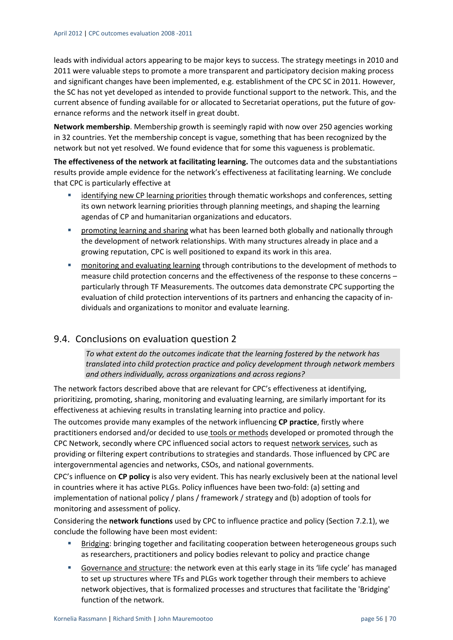leads with individual actors appearing to be major keys to success. The strategy meetings in 2010 and 2011 were valuable steps to promote a more transparent and participatory decision making process and significant changes have been implemented, e.g. establishment of the CPC SC in 2011. However, the SC has not yet developed as intended to provide functional support to the network. This, and the current absence of funding available for or allocated to Secretariat operations, put the future of governance reforms and the network itself in great doubt.

**Network membership**. Membership growth is seemingly rapid with now over 250 agencies working in 32 countries. Yet the membership concept is vague, something that has been recognized by the network but not yet resolved. We found evidence that for some this vagueness is problematic.

**The effectiveness of the network at facilitating learning.** The outcomes data and the substantiations results provide ample evidence for the network's effectiveness at facilitating learning. We conclude that CPC is particularly effective at

- identifying new CP learning priorities through thematic workshops and conferences, setting its own network learning priorities through planning meetings, and shaping the learning agendas of CP and humanitarian organizations and educators.
- **Phonomoting learning and sharing what has been learned both globally and nationally through** the development of network relationships. With many structures already in place and a growing reputation, CPC is well positioned to expand its work in this area.
- monitoring and evaluating learning through contributions to the development of methods to measure child protection concerns and the effectiveness of the response to these concerns – particularly through TF Measurements. The outcomes data demonstrate CPC supporting the evaluation of child protection interventions of its partners and enhancing the capacity of in‐ dividuals and organizations to monitor and evaluate learning.

## 9.4. Conclusions on evaluation question 2

*To what extent do the outcomes indicate that the learning fostered by the network has translated into child protection practice and policy development through network members and others individually, across organizations and across regions?*

The network factors described above that are relevant for CPC's effectiveness at identifying, prioritizing, promoting, sharing, monitoring and evaluating learning, are similarly important for its effectiveness at achieving results in translating learning into practice and policy.

The outcomes provide many examples of the network influencing **CP practice**, firstly where practitioners endorsed and/or decided to use tools or methods developed or promoted through the CPC Network, secondly where CPC influenced social actors to request network services, such as providing or filtering expert contributions to strategies and standards. Those influenced by CPC are intergovernmental agencies and networks, CSOs, and national governments.

CPC's influence on **CP policy** is also very evident. This has nearly exclusively been at the national level in countries where it has active PLGs. Policy influences have been two-fold: (a) setting and implementation of national policy / plans / framework / strategy and (b) adoption of tools for monitoring and assessment of policy.

Considering the **network functions** used by CPC to influence practice and policy (Section 7.2.1), we conclude the following have been most evident:

- **Bridging: bringing together and facilitating cooperation between heterogeneous groups such** as researchers, practitioners and policy bodies relevant to policy and practice change
- Governance and structure: the network even at this early stage in its 'life cycle' has managed to set up structures where TFs and PLGs work together through their members to achieve network objectives, that is formalized processes and structures that facilitate the 'Bridging' function of the network.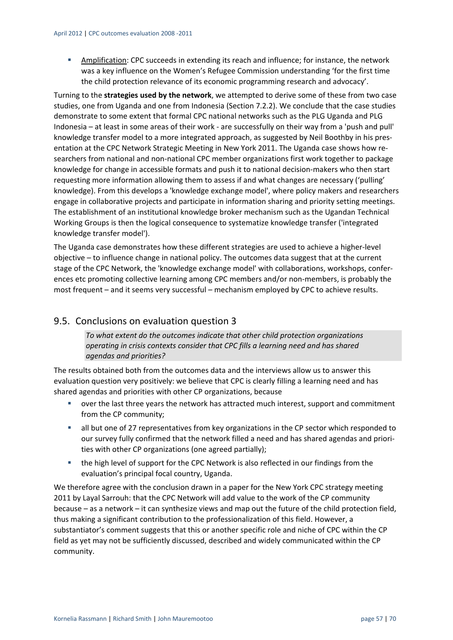Amplification: CPC succeeds in extending its reach and influence; for instance, the network was a key influence on the Women's Refugee Commission understanding 'for the first time the child protection relevance of its economic programming research and advocacy'.

Turning to the **strategies used by the network**, we attempted to derive some of these from two case studies, one from Uganda and one from Indonesia (Section 7.2.2). We conclude that the case studies demonstrate to some extent that formal CPC national networks such as the PLG Uganda and PLG Indonesia – at least in some areas of their work ‐ are successfully on their way from a 'push and pull' knowledge transfer model to a more integrated approach, as suggested by Neil Boothby in his presentation at the CPC Network Strategic Meeting in New York 2011. The Uganda case shows how re‐ searchers from national and non-national CPC member organizations first work together to package knowledge for change in accessible formats and push it to national decision‐makers who then start requesting more information allowing them to assess if and what changes are necessary ('pulling' knowledge). From this develops a 'knowledge exchange model', where policy makers and researchers engage in collaborative projects and participate in information sharing and priority setting meetings. The establishment of an institutional knowledge broker mechanism such as the Ugandan Technical Working Groups is then the logical consequence to systematize knowledge transfer ('integrated knowledge transfer model').

The Uganda case demonstrates how these different strategies are used to achieve a higher‐level objective – to influence change in national policy. The outcomes data suggest that at the current stage of the CPC Network, the 'knowledge exchange model' with collaborations, workshops, confer‐ ences etc promoting collective learning among CPC members and/or non‐members, is probably the most frequent – and it seems very successful – mechanism employed by CPC to achieve results.

## 9.5. Conclusions on evaluation question 3

*To what extent do the outcomes indicate that other child protection organizations operating in crisis contexts consider that CPC fills a learning need and has shared agendas and priorities?*

The results obtained both from the outcomes data and the interviews allow us to answer this evaluation question very positively: we believe that CPC is clearly filling a learning need and has shared agendas and priorities with other CP organizations, because

- over the last three years the network has attracted much interest, support and commitment from the CP community;
- all but one of 27 representatives from key organizations in the CP sector which responded to our survey fully confirmed that the network filled a need and has shared agendas and priori‐ ties with other CP organizations (one agreed partially);
- the high level of support for the CPC Network is also reflected in our findings from the evaluation's principal focal country, Uganda.

We therefore agree with the conclusion drawn in a paper for the New York CPC strategy meeting 2011 by Layal Sarrouh: that the CPC Network will add value to the work of the CP community because – as a network – it can synthesize views and map out the future of the child protection field, thus making a significant contribution to the professionalization of this field. However, a substantiator's comment suggests that this or another specific role and niche of CPC within the CP field as yet may not be sufficiently discussed, described and widely communicated within the CP community.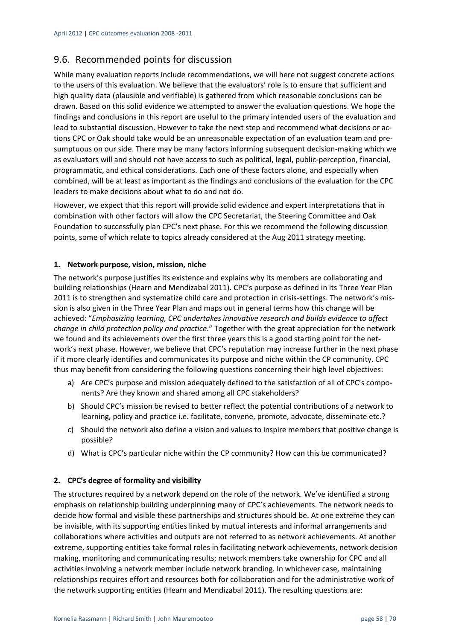## 9.6. Recommended points for discussion

While many evaluation reports include recommendations, we will here not suggest concrete actions to the users of this evaluation. We believe that the evaluators' role is to ensure that sufficient and high quality data (plausible and verifiable) is gathered from which reasonable conclusions can be drawn. Based on this solid evidence we attempted to answer the evaluation questions. We hope the findings and conclusions in this report are useful to the primary intended users of the evaluation and lead to substantial discussion. However to take the next step and recommend what decisions or actions CPC or Oak should take would be an unreasonable expectation of an evaluation team and pre‐ sumptuous on our side. There may be many factors informing subsequent decision-making which we as evaluators will and should not have access to such as political, legal, public‐perception, financial, programmatic, and ethical considerations. Each one of these factors alone, and especially when combined, will be at least as important as the findings and conclusions of the evaluation for the CPC leaders to make decisions about what to do and not do.

However, we expect that this report will provide solid evidence and expert interpretations that in combination with other factors will allow the CPC Secretariat, the Steering Committee and Oak Foundation to successfully plan CPC's next phase. For this we recommend the following discussion points, some of which relate to topics already considered at the Aug 2011 strategy meeting.

#### **1. Network purpose, vision, mission, niche**

The network's purpose justifies its existence and explains why its members are collaborating and building relationships (Hearn and Mendizabal 2011). CPC's purpose as defined in its Three Year Plan 2011 is to strengthen and systematize child care and protection in crisis-settings. The network's mission is also given in the Three Year Plan and maps out in general terms how this change will be achieved: "*Emphasizing learning, CPC undertakes innovative research and builds evidence to affect change in child protection policy and practice*." Together with the great appreciation for the network we found and its achievements over the first three years this is a good starting point for the network's next phase. However, we believe that CPC's reputation may increase further in the next phase if it more clearly identifies and communicates its purpose and niche within the CP community. CPC thus may benefit from considering the following questions concerning their high level objectives:

- a) Are CPC's purpose and mission adequately defined to the satisfaction of all of CPC's components? Are they known and shared among all CPC stakeholders?
- b) Should CPC's mission be revised to better reflect the potential contributions of a network to learning, policy and practice i.e. facilitate, convene, promote, advocate, disseminate etc.?
- c) Should the network also define a vision and values to inspire members that positive change is possible?
- d) What is CPC's particular niche within the CP community? How can this be communicated?

#### **2. CPC's degree of formality and visibility**

The structures required by a network depend on the role of the network. We've identified a strong emphasis on relationship building underpinning many of CPC's achievements. The network needs to decide how formal and visible these partnerships and structures should be. At one extreme they can be invisible, with its supporting entities linked by mutual interests and informal arrangements and collaborations where activities and outputs are not referred to as network achievements. At another extreme, supporting entities take formal roles in facilitating network achievements, network decision making, monitoring and communicating results; network members take ownership for CPC and all activities involving a network member include network branding. In whichever case, maintaining relationships requires effort and resources both for collaboration and for the administrative work of the network supporting entities (Hearn and Mendizabal 2011). The resulting questions are: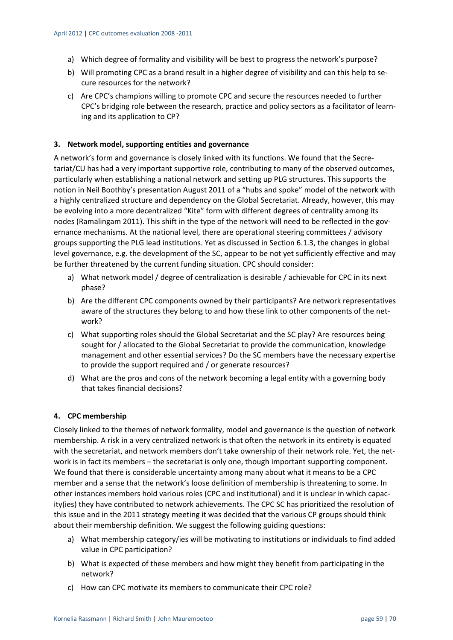- a) Which degree of formality and visibility will be best to progress the network's purpose?
- b) Will promoting CPC as a brand result in a higher degree of visibility and can this help to secure resources for the network?
- c) Are CPC's champions willing to promote CPC and secure the resources needed to further CPC's bridging role between the research, practice and policy sectors as a facilitator of learn‐ ing and its application to CP?

#### **3. Network model, supporting entities and governance**

A network's form and governance is closely linked with its functions. We found that the Secre‐ tariat/CU has had a very important supportive role, contributing to many of the observed outcomes, particularly when establishing a national network and setting up PLG structures. This supports the notion in Neil Boothby's presentation August 2011 of a "hubs and spoke" model of the network with a highly centralized structure and dependency on the Global Secretariat. Already, however, this may be evolving into a more decentralized "Kite" form with different degrees of centrality among its nodes (Ramalingam 2011). This shift in the type of the network will need to be reflected in the governance mechanisms. At the national level, there are operational steering committees / advisory groups supporting the PLG lead institutions. Yet as discussed in Section 6.1.3, the changes in global level governance, e.g. the development of the SC, appear to be not yet sufficiently effective and may be further threatened by the current funding situation. CPC should consider:

- a) What network model / degree of centralization is desirable / achievable for CPC in its next phase?
- b) Are the different CPC components owned by their participants? Are network representatives aware of the structures they belong to and how these link to other components of the network?
- c) What supporting roles should the Global Secretariat and the SC play? Are resources being sought for / allocated to the Global Secretariat to provide the communication, knowledge management and other essential services? Do the SC members have the necessary expertise to provide the support required and / or generate resources?
- d) What are the pros and cons of the network becoming a legal entity with a governing body that takes financial decisions?

#### **4. CPC membership**

Closely linked to the themes of network formality, model and governance is the question of network membership. A risk in a very centralized network is that often the network in its entirety is equated with the secretariat, and network members don't take ownership of their network role. Yet, the network is in fact its members – the secretariat is only one, though important supporting component. We found that there is considerable uncertainty among many about what it means to be a CPC member and a sense that the network's loose definition of membership is threatening to some. In other instances members hold various roles (CPC and institutional) and it is unclear in which capac‐ ity(ies) they have contributed to network achievements. The CPC SC has prioritized the resolution of this issue and in the 2011 strategy meeting it was decided that the various CP groups should think about their membership definition. We suggest the following guiding questions:

- a) What membership category/ies will be motivating to institutions or individuals to find added value in CPC participation?
- b) What is expected of these members and how might they benefit from participating in the network?
- c) How can CPC motivate its members to communicate their CPC role?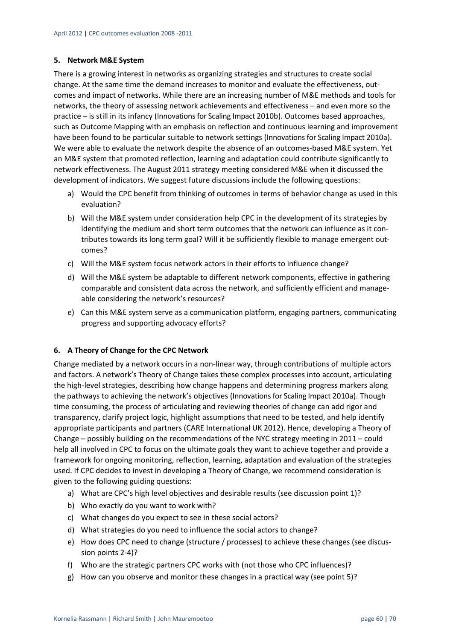#### **5. Network M&E System**

There is a growing interest in networks as organizing strategies and structures to create social change. At the same time the demand increases to monitor and evaluate the effectiveness, outcomes and impact of networks. While there are an increasing number of M&E methods and tools for networks, the theory of assessing network achievements and effectiveness – and even more so the practice – is still in its infancy (Innovations for Scaling Impact 2010b). Outcomes based approaches, such as Outcome Mapping with an emphasis on reflection and continuous learning and improvement have been found to be particular suitable to network settings (Innovations for Scaling Impact 2010a). We were able to evaluate the network despite the absence of an outcomes-based M&E system. Yet an M&E system that promoted reflection, learning and adaptation could contribute significantly to network effectiveness. The August 2011 strategy meeting considered M&E when it discussed the development of indicators. We suggest future discussions include the following questions:

- a) Would the CPC benefit from thinking of outcomes in terms of behavior change as used in this evaluation?
- b) Will the M&E system under consideration help CPC in the development of its strategies by identifying the medium and short term outcomes that the network can influence as it contributes towards its long term goal? Will it be sufficiently flexible to manage emergent out‐ comes?
- c) Will the M&E system focus network actors in their efforts to influence change?
- d) Will the M&E system be adaptable to different network components, effective in gathering comparable and consistent data across the network, and sufficiently efficient and manageable considering the network's resources?
- e) Can this M&E system serve as a communication platform, engaging partners, communicating progress and supporting advocacy efforts?

#### **6. A Theory of Change for the CPC Network**

Change mediated by a network occurs in a non‐linear way, through contributions of multiple actors and factors. A network's Theory of Change takes these complex processes into account, articulating the high‐level strategies, describing how change happens and determining progress markers along the pathways to achieving the network's objectives (Innovationsfor Scaling Impact 2010a). Though time consuming, the process of articulating and reviewing theories of change can add rigor and transparency, clarify project logic, highlight assumptions that need to be tested, and help identify appropriate participants and partners (CARE International UK 2012). Hence, developing a Theory of Change – possibly building on the recommendations of the NYC strategy meeting in 2011 – could help all involved in CPC to focus on the ultimate goals they want to achieve together and provide a framework for ongoing monitoring, reflection, learning, adaptation and evaluation of the strategies used. If CPC decides to invest in developing a Theory of Change, we recommend consideration is given to the following guiding questions:

- a) What are CPC's high level objectives and desirable results (see discussion point 1)?
- b) Who exactly do you want to work with?
- c) What changes do you expect to see in these social actors?
- d) What strategies do you need to influence the social actors to change?
- e) How does CPC need to change (structure / processes) to achieve these changes (see discus‐ sion points 2‐4)?
- f) Who are the strategic partners CPC works with (not those who CPC influences)?
- g) How can you observe and monitor these changes in a practical way (see point 5)?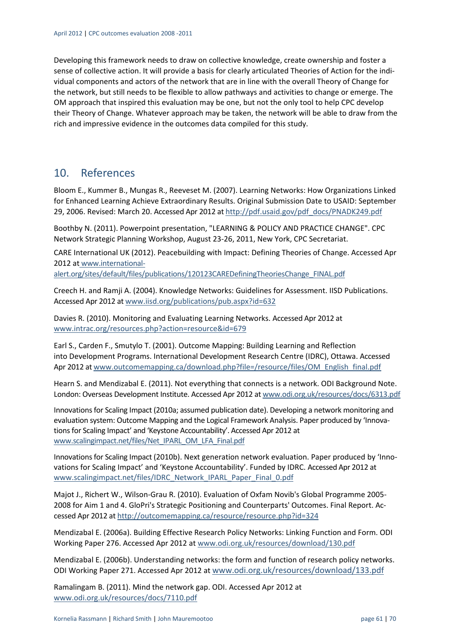Developing this framework needs to draw on collective knowledge, create ownership and foster a sense of collective action. It will provide a basis for clearly articulated Theories of Action for the individual components and actors of the network that are in line with the overall Theory of Change for the network, but still needs to be flexible to allow pathways and activities to change or emerge. The OM approach that inspired this evaluation may be one, but not the only tool to help CPC develop their Theory of Change. Whatever approach may be taken, the network will be able to draw from the rich and impressive evidence in the outcomes data compiled for this study.

## 10. References

Bloom E., Kummer B., Mungas R., Reeveset M. (2007). Learning Networks: How Organizations Linked for Enhanced Learning Achieve Extraordinary Results. Original Submission Date to USAID: September 29, 2006. Revised: March 20. Accessed Apr 2012 at http://pdf.usaid.gov/pdf\_docs/PNADK249.pdf

Boothby N. (2011). Powerpoint presentation, "LEARNING & POLICY AND PRACTICE CHANGE". CPC Network Strategic Planning Workshop, August 23‐26, 2011, New York, CPC Secretariat.

CARE International UK (2012). Peacebuilding with Impact: Defining Theories of Change. Accessed Apr 2012 at www.international‐

alert.org/sites/default/files/publications/120123CAREDefiningTheoriesChange\_FINAL.pdf

Creech H. and Ramji A. (2004). Knowledge Networks: Guidelines for Assessment. IISD Publications. Accessed Apr 2012 at www.iisd.org/publications/pub.aspx?id=632

Davies R. (2010). Monitoring and Evaluating Learning Networks. Accessed Apr 2012 at www.intrac.org/resources.php?action=resource&id=679

Earl S., Carden F., Smutylo T. (2001). Outcome Mapping: Building Learning and Reflection into Development Programs. International Development Research Centre (IDRC), Ottawa. Accessed Apr 2012 at www.outcomemapping.ca/download.php?file=/resource/files/OM\_English\_final.pdf

Hearn S. and Mendizabal E. (2011). Not everything that connects is a network. ODI Background Note. London: Overseas Development Institute. Accessed Apr 2012 at www.odi.org.uk/resources/docs/6313.pdf

Innovationsfor Scaling Impact (2010a; assumed publication date). Developing a network monitoring and evaluation system: Outcome Mapping and the Logical Framework Analysis. Paper produced by 'Innovations for Scaling Impact' and 'Keystone Accountability'. Accessed Apr 2012 at www.scalingimpact.net/files/Net\_IPARL\_OM\_LFA\_Final.pdf

Innovations for Scaling Impact (2010b). Next generation network evaluation. Paper produced by 'Innovations for Scaling Impact' and 'Keystone Accountability'. Funded by IDRC. Accessed Apr 2012 at www.scalingimpact.net/files/IDRC\_Network\_IPARL\_Paper\_Final\_0.pdf

Majot J., Richert W., Wilson‐Grau R. (2010). Evaluation of Oxfam Novib's Global Programme 2005‐ 2008 for Aim 1 and 4. GloPri's Strategic Positioning and Counterparts' Outcomes. Final Report. Ac‐ cessed Apr 2012 at http://outcomemapping.ca/resource/resource.php?id=324

Mendizabal E. (2006a). Building Effective Research Policy Networks: Linking Function and Form. ODI Working Paper 276. Accessed Apr 2012 at www.odi.org.uk/resources/download/130.pdf

Mendizabal E. (2006b). Understanding networks: the form and function of research policy networks. ODI Working Paper 271. Accessed Apr 2012 at www.odi.org.uk/resources/download/133.pdf

Ramalingam B. (2011). Mind the network gap. ODI. Accessed Apr 2012 at www.odi.org.uk/resources/docs/7110.pdf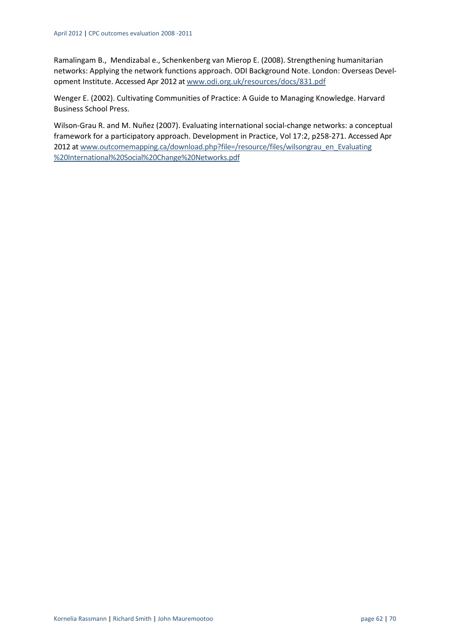Ramalingam B., Mendizabal e., Schenkenberg van Mierop E. (2008). Strengthening humanitarian networks: Applying the network functions approach. ODI Background Note. London: Overseas Devel‐ opment Institute. Accessed Apr 2012 at www.odi.org.uk/resources/docs/831.pdf

Wenger E. (2002). Cultivating Communities of Practice: A Guide to Managing Knowledge. Harvard Business School Press.

Wilson‐Grau R. and M. Nuñez (2007). Evaluating international social‐change networks: a conceptual framework for a participatory approach. Development in Practice, Vol 17:2, p258‐271. Accessed Apr 2012 at www.outcomemapping.ca/download.php?file=/resource/files/wilsongrau\_en\_Evaluating %20International%20Social%20Change%20Networks.pdf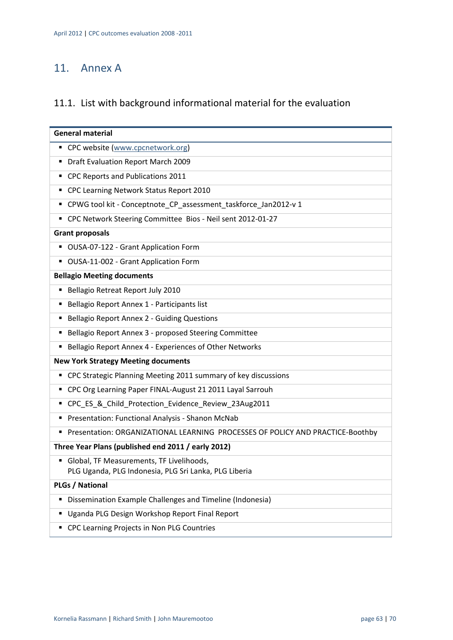## 11. Annex A

## 11.1. List with background informational material for the evaluation

| <b>General material</b>                                                                           |
|---------------------------------------------------------------------------------------------------|
| ■ CPC website (www.cpcnetwork.org)                                                                |
| <b>Draft Evaluation Report March 2009</b>                                                         |
| • CPC Reports and Publications 2011                                                               |
| " CPC Learning Network Status Report 2010                                                         |
| ■ CPWG tool kit - Conceptnote_CP_assessment_taskforce_Jan2012-v 1                                 |
| " CPC Network Steering Committee Bios - Neil sent 2012-01-27                                      |
| <b>Grant proposals</b>                                                                            |
| ■ OUSA-07-122 - Grant Application Form                                                            |
| OUSA-11-002 - Grant Application Form                                                              |
| <b>Bellagio Meeting documents</b>                                                                 |
| Bellagio Retreat Report July 2010<br>п                                                            |
| Bellagio Report Annex 1 - Participants list                                                       |
| Bellagio Report Annex 2 - Guiding Questions<br>٠                                                  |
| <b>Bellagio Report Annex 3 - proposed Steering Committee</b>                                      |
| Bellagio Report Annex 4 - Experiences of Other Networks                                           |
| <b>New York Strategy Meeting documents</b>                                                        |
| • CPC Strategic Planning Meeting 2011 summary of key discussions                                  |
| " CPC Org Learning Paper FINAL-August 21 2011 Layal Sarrouh                                       |
| " CPC_ES_&_Child_Protection_Evidence_Review_23Aug2011                                             |
| Presentation: Functional Analysis - Shanon McNab                                                  |
| Presentation: ORGANIZATIONAL LEARNING PROCESSES OF POLICY AND PRACTICE-Boothby<br>٠               |
| Three Year Plans (published end 2011 / early 2012)                                                |
| Global, TF Measurements, TF Livelihoods,<br>PLG Uganda, PLG Indonesia, PLG Sri Lanka, PLG Liberia |
|                                                                                                   |
| <b>PLGs / National</b>                                                                            |
| Dissemination Example Challenges and Timeline (Indonesia)<br>п                                    |
| Uganda PLG Design Workshop Report Final Report                                                    |
| CPC Learning Projects in Non PLG Countries                                                        |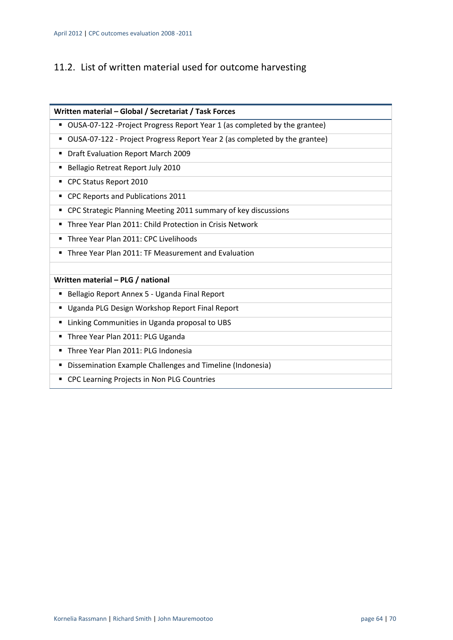## 11.2. List of written material used for outcome harvesting

| Written material - Global / Secretariat / Task Forces                           |
|---------------------------------------------------------------------------------|
| OUSA-07-122 -Project Progress Report Year 1 (as completed by the grantee)       |
| OUSA-07-122 - Project Progress Report Year 2 (as completed by the grantee)<br>п |
| Draft Evaluation Report March 2009<br>п                                         |
| Bellagio Retreat Report July 2010<br>п                                          |
| CPC Status Report 2010                                                          |
| CPC Reports and Publications 2011                                               |
| CPC Strategic Planning Meeting 2011 summary of key discussions                  |
| Three Year Plan 2011: Child Protection in Crisis Network                        |
| Three Year Plan 2011: CPC Livelihoods                                           |
| Three Year Plan 2011: TF Measurement and Evaluation<br>٠                        |
|                                                                                 |
| Written material - PLG / national                                               |
| Bellagio Report Annex 5 - Uganda Final Report                                   |
| Uganda PLG Design Workshop Report Final Report<br>Е                             |
| Linking Communities in Uganda proposal to UBS<br>п                              |
| Three Year Plan 2011: PLG Uganda<br>٠                                           |
| Three Year Plan 2011: PLG Indonesia<br>٠                                        |
| Dissemination Example Challenges and Timeline (Indonesia)<br>п                  |
| CPC Learning Projects in Non PLG Countries                                      |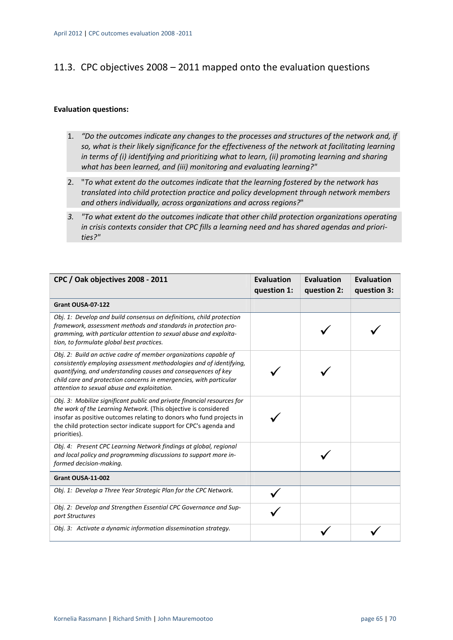## 11.3. CPC objectives 2008 – 2011 mapped onto the evaluation questions

#### **Evaluation questions:**

- 1. *"Do the outcomes indicate any changes to the processes and structures of the network and, if so, what is their likely significance for the effectiveness of the network at facilitating learning in terms of (i) identifying and prioritizing what to learn, (ii) promoting learning and sharing what has been learned, and (iii) monitoring and evaluating learning?"*
- 2. "*To what extent do the outcomes indicate that the learning fostered by the network has translated into child protection practice and policy development through network members and others individually, across organizations and across regions?*"
- *3. "To what extent do the outcomes indicate that other child protection organizations operating in crisis contexts consider that CPC fills a learning need and has shared agendas and priori‐ ties?"*

| CPC / Oak objectives 2008 - 2011                                                                                                                                                                                                                                                                                              | <b>Evaluation</b><br>question 1: | <b>Evaluation</b><br>question 2: | <b>Evaluation</b><br>question 3: |
|-------------------------------------------------------------------------------------------------------------------------------------------------------------------------------------------------------------------------------------------------------------------------------------------------------------------------------|----------------------------------|----------------------------------|----------------------------------|
| Grant OUSA-07-122                                                                                                                                                                                                                                                                                                             |                                  |                                  |                                  |
| Obj. 1: Develop and build consensus on definitions, child protection<br>framework, assessment methods and standards in protection pro-<br>gramming, with particular attention to sexual abuse and exploita-<br>tion, to formulate global best practices.                                                                      |                                  |                                  |                                  |
| Obj. 2: Build an active cadre of member organizations capable of<br>consistently employing assessment methodologies and of identifying,<br>quantifying, and understanding causes and consequences of key<br>child care and protection concerns in emergencies, with particular<br>attention to sexual abuse and exploitation. |                                  |                                  |                                  |
| Obj. 3: Mobilize significant public and private financial resources for<br>the work of the Learning Network. (This objective is considered<br>insofar as positive outcomes relating to donors who fund projects in<br>the child protection sector indicate support for CPC's agenda and<br>priorities).                       |                                  |                                  |                                  |
| Obj. 4: Present CPC Learning Network findings at global, regional<br>and local policy and programming discussions to support more in-<br>formed decision-making.                                                                                                                                                              |                                  |                                  |                                  |
| Grant OUSA-11-002                                                                                                                                                                                                                                                                                                             |                                  |                                  |                                  |
| Obj. 1: Develop a Three Year Strategic Plan for the CPC Network.                                                                                                                                                                                                                                                              |                                  |                                  |                                  |
| Obj. 2: Develop and Strengthen Essential CPC Governance and Sup-<br>port Structures                                                                                                                                                                                                                                           |                                  |                                  |                                  |
| Obj. 3: Activate a dynamic information dissemination strategy.                                                                                                                                                                                                                                                                |                                  |                                  |                                  |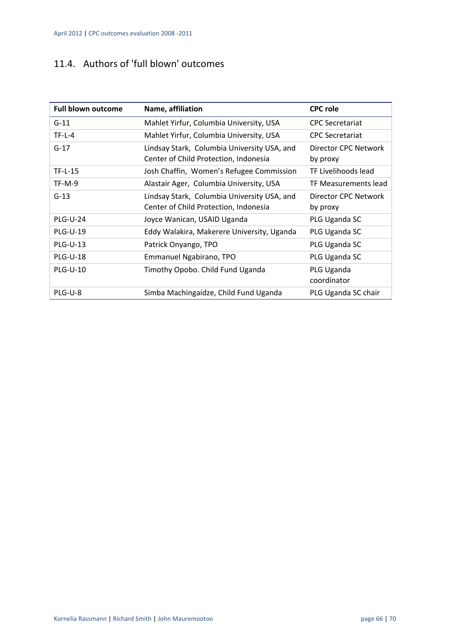## 11.4. Authors of 'full blown' outcomes

| <b>Full blown outcome</b> | Name, affiliation                                                                    | <b>CPC role</b>                  |
|---------------------------|--------------------------------------------------------------------------------------|----------------------------------|
| $G-11$                    | Mahlet Yirfur, Columbia University, USA                                              | <b>CPC Secretariat</b>           |
| $TF-L-4$                  | Mahlet Yirfur, Columbia University, USA                                              | <b>CPC Secretariat</b>           |
| $G-17$                    | Lindsay Stark, Columbia University USA, and<br>Center of Child Protection, Indonesia | Director CPC Network<br>by proxy |
| <b>TF-L-15</b>            | Josh Chaffin, Women's Refugee Commission                                             | TF Livelihoods lead              |
| $TF-M-9$                  | Alastair Ager, Columbia University, USA                                              | TF Measurements lead             |
| $G-13$                    | Lindsay Stark, Columbia University USA, and<br>Center of Child Protection, Indonesia | Director CPC Network<br>by proxy |
| <b>PLG-U-24</b>           | Joyce Wanican, USAID Uganda                                                          | PLG Uganda SC                    |
| <b>PLG-U-19</b>           | Eddy Walakira, Makerere University, Uganda                                           | PLG Uganda SC                    |
| <b>PLG-U-13</b>           | Patrick Onyango, TPO                                                                 | PLG Uganda SC                    |
| <b>PLG-U-18</b>           | Emmanuel Ngabirano, TPO                                                              | PLG Uganda SC                    |
| <b>PLG-U-10</b>           | Timothy Opobo. Child Fund Uganda                                                     | PLG Uganda<br>coordinator        |
| PLG-U-8                   | Simba Machingaidze, Child Fund Uganda                                                | PLG Uganda SC chair              |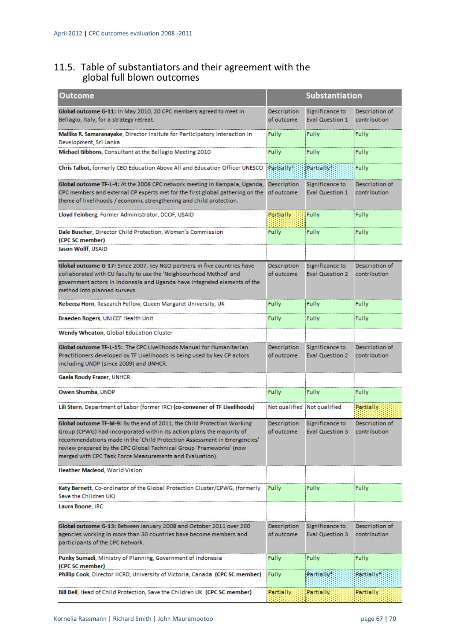### 11.5. Table of substantiators and their agreement with the global full blown outcomes

| <b>Outcome</b>                                                                                                                                  |                           | <b>Substantiation</b>                     |                                |
|-------------------------------------------------------------------------------------------------------------------------------------------------|---------------------------|-------------------------------------------|--------------------------------|
| Global outcome G-11: In May 2010, 20 CPC members agreed to meet in<br>Bellagio, Italy, for a strategy retreat.                                  | Description<br>of outcome | Significance to<br><b>Eval Question 1</b> | Description of<br>contribution |
| Mallika R. Samaranayake, Director Insitute for Participatory Interaction in<br>Development, Sri Lanka                                           | Fully                     | Fully                                     | Fully                          |
| Michael Gibbons, Consultant at the Bellagio Meeting 2010                                                                                        | Fully                     | Fully                                     | Fully                          |
| Chris Talbot, formerly CEO Education Above All and Education Officer UNESCO                                                                     | Partially*                | Partially*                                | Fully                          |
| Global outcome TF-L-4: At the 2008 CPC network meeting in Kampala, Uganda,                                                                      | Description               | Significance to                           | Description of                 |
| CPC members and external CP experts met for the first global gathering on the                                                                   | of outcome                | <b>Eval Question 1</b>                    | contribution                   |
| theme of livelihoods / economic strengthening and child protection.                                                                             |                           |                                           |                                |
| Lloyd Feinberg, Former Administrator, DCOF, USAID                                                                                               | Partially                 | Fully                                     | Fully                          |
| Dale Buscher, Director Child Protection, Women's Commission                                                                                     | <b>Fully</b>              | Fully                                     | Fully                          |
| (CPC SC member)<br>Jason Wolff, USAID                                                                                                           |                           |                                           |                                |
|                                                                                                                                                 |                           |                                           |                                |
| Global outcome G-17: Since 2007, key NGO partners in five countries have                                                                        | Description               | Significance to                           | Description of                 |
| collaborated with CU faculty to use the 'Neighbourhood Method' and                                                                              | of outcome                | <b>Eval Question 2</b>                    | contribution                   |
| government actors in Indonesia and Uganda have integrated elements of the                                                                       |                           |                                           |                                |
| method into planned surveys.                                                                                                                    |                           |                                           |                                |
| Rebecca Horn, Research Fellow, Queen Margaret University, UK                                                                                    | Fully                     | Fully                                     | Fully                          |
| Braeden Rogers, UNICEF Health Unit                                                                                                              | Fully                     | Fully                                     | Fully                          |
| <b>Wendy Wheaton, Global Education Cluster</b>                                                                                                  |                           |                                           |                                |
| Global outcome TF-L-15: The CPC Livelihoods Manual for Humanitarian                                                                             | Description               | Significance to                           | Description of                 |
| Practitioners developed by TF Livelihoods is being used by key CP actors                                                                        | of outcome                | <b>Eval Question 2</b>                    | contribution                   |
| including UNDP (since 2009) and UNHCR.                                                                                                          |                           |                                           |                                |
| Gaela Roudy Frazer, UNHCR                                                                                                                       |                           |                                           |                                |
| Owen Shumba, UNDP                                                                                                                               | Fully                     | Fully                                     | Fully                          |
| Lili Stern, Department of Labor (former IRC) (co-convener of TF Livelihoods)                                                                    |                           | Not qualified Not qualified               | Partially                      |
| Global outcome TF-M-9: By the end of 2011, the Child Protection Working                                                                         | Description               | Significance to                           | Description of                 |
| Group (CPWG) had incorporated within its action plans the majority of                                                                           | of outcome                | <b>Eval Question 3</b>                    | contribution                   |
| recommendations made in the 'Child Protection Assessment in Emergencies'<br>review prepared by the CPC Global Technical Group 'Frameworks' (now |                           |                                           |                                |
| merged with CPC Task Force Measurements and Evaluation).                                                                                        |                           |                                           |                                |
|                                                                                                                                                 |                           |                                           |                                |
| <b>Heather Macleod, World Vision</b>                                                                                                            |                           |                                           |                                |
| <b>Katy Barnett</b> , Co-ordinator of the Global Protection Cluster/CPWG, (formerly                                                             | Fully                     | Fully                                     | Fully                          |
| Save the Children UK)                                                                                                                           |                           |                                           |                                |
| Laura Boone, IRC                                                                                                                                |                           |                                           |                                |
| Global outcome G-13: Between January 2008 and October 2011 over 260                                                                             | Description               | Significance to                           | Description of                 |
| agencies working in more than 30 countries have become members and                                                                              | of outcome                | <b>Eval Question 3</b>                    | contribution                   |
| participants of the CPC Network.                                                                                                                |                           |                                           |                                |
| Punky Sumadi, Ministry of Planning, Government of Indonesia                                                                                     | Fully                     | Fully                                     | Fully                          |
| (CPC SC member)                                                                                                                                 |                           |                                           |                                |
| Phillip Cook, Director IICRD, University of Victoria, Canada (CPC SC member)                                                                    | Fully                     | Partially*                                | Partially*                     |
| Bill Bell, Head of Child Protection, Save the Children UK (CPC SC member)                                                                       | Partially                 | Partially                                 | Partially                      |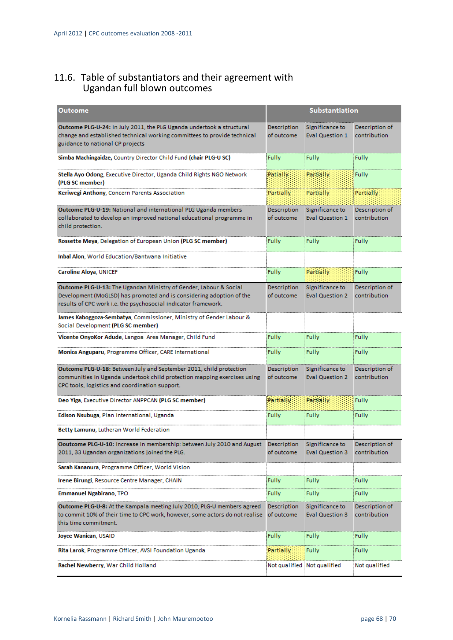## 11.6. Table of substantiators and their agreement with Ugandan full blown outcomes

| <b>Outcome</b>                                                                                                                                                                                              |                           | Substantiation                            |                                |
|-------------------------------------------------------------------------------------------------------------------------------------------------------------------------------------------------------------|---------------------------|-------------------------------------------|--------------------------------|
| Outcome PLG-U-24: In July 2011, the PLG Uganda undertook a structural<br>change and established technical working committees to provide technical<br>guidance to national CP projects                       | Description<br>of outcome | Significance to<br><b>Eval Question 1</b> | Description of<br>contribution |
| Simba Machingaidze, Country Director Child Fund (chair PLG-U SC)                                                                                                                                            | <b>Fully</b>              | Fully                                     | Fully                          |
| Stella Ayo Odong, Executive Director, Uganda Child Rights NGO Network<br>(PLG SC member)                                                                                                                    | Patially                  | Partially                                 | Fully                          |
| Keriwegi Anthony, Concern Parents Association                                                                                                                                                               | Partially                 | Partially                                 | Partially                      |
| Outcome PLG-U-19: National and international PLG Uganda members<br>collaborated to develop an improved national educational programme in<br>child protection.                                               | Description<br>of outcome | Significance to<br><b>Eval Question 1</b> | Description of<br>contribution |
| Rossette Meya, Delegation of European Union (PLG SC member)                                                                                                                                                 | <b>Fully</b>              | <b>Fully</b>                              | <b>Fully</b>                   |
| Inbal Alon, World Education/Bantwana Initiative                                                                                                                                                             |                           |                                           |                                |
| Caroline Aloya, UNICEF                                                                                                                                                                                      | <b>Fully</b>              | <b>Partially</b>                          | <b>Fully</b>                   |
| Outcome PLG-U-13: The Ugandan Ministry of Gender, Labour & Social<br>Development (MoGLSD) has promoted and is considering adoption of the<br>results of CPC work i.e. the psychosocial indicator framework. | Description<br>of outcome | Significance to<br><b>Eval Question 2</b> | Description of<br>contribution |
| James Kaboggoza-Sembatya, Commissioner, Ministry of Gender Labour &<br>Social Development (PLG SC member)                                                                                                   |                           |                                           |                                |
| Vicente OnyoKor Adude, Langoa Area Manager, Child Fund                                                                                                                                                      | Fully                     | Fully                                     | Fully                          |
| Monica Anguparu, Programme Officer, CARE International                                                                                                                                                      | <b>Fully</b>              | Fully                                     | Fully                          |
| Outcome PLG-U-18: Between July and September 2011, child protection<br>communities in Uganda undertook child protection mapping exercises using<br>CPC tools, logistics and coordination support.           | Description<br>of outcome | Significance to<br><b>Eval Question 2</b> | Description of<br>contribution |
| Deo Yiga, Executive Director ANPPCAN (PLG SC member)                                                                                                                                                        | Partially                 | Partially                                 | Fully                          |
| Edison Nsubuga, Plan International, Uganda                                                                                                                                                                  | <b>Fully</b>              | Fully                                     | Fully                          |
| Betty Lamunu, Lutheran World Federation                                                                                                                                                                     |                           |                                           |                                |
| Ooutcome PLG-U-10: Increase in membership: between July 2010 and August<br>2011, 33 Ugandan organizations joined the PLG.                                                                                   | Description<br>of outcome | Significance to<br><b>Eval Question 3</b> | Description of<br>contribution |
| Sarah Kananura, Programme Officer, World Vision                                                                                                                                                             |                           |                                           |                                |
| Irene Birungi, Resource Centre Manager, CHAIN                                                                                                                                                               | <b>Fully</b>              | <b>Fully</b>                              | Fully                          |
| <b>Emmanuel Ngabirano, TPO</b>                                                                                                                                                                              | <b>Fully</b>              | <b>Fully</b>                              | Fully                          |
| Outcome PLG-U-8: At the Kampala meeting July 2010, PLG-U members agreed<br>to commit 10% of their time to CPC work, however, some actors do not realise<br>this time commitment.                            | Description<br>of outcome | Significance to<br><b>Eval Question 3</b> | Description of<br>contribution |
| Joyce Wanican, USAID                                                                                                                                                                                        | <b>Fully</b>              | Fully                                     | Fully                          |
| Rita Larok, Programme Officer, AVSI Foundation Uganda                                                                                                                                                       | Partially                 | Fully                                     | Fully                          |
| Rachel Newberry, War Child Holland                                                                                                                                                                          |                           | Not qualified Not qualified               | Not qualified                  |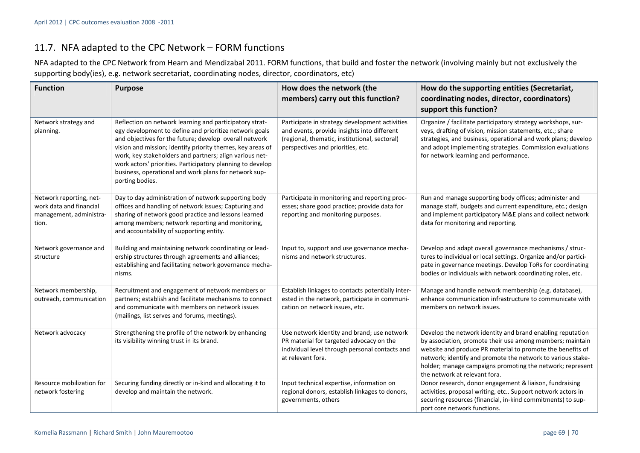## 11.7. NFA adapted to the CPC Network – FORM functions

NFA adapted to the CPC Network from Hearn and Mendizabal 2011. FORM functions, that build and foster the network (involving mainly but not exclusively the supporting body(ies), e.g. network secretariat, coordinating nodes, director, coordinators, etc)

| <b>Function</b>                                                                        | <b>Purpose</b>                                                                                                                                                                                                                                                                                                                                                                                                                                 | How does the network (the<br>members) carry out this function?                                                                                                                      | How do the supporting entities (Secretariat,<br>coordinating nodes, director, coordinators)<br>support this function?                                                                                                                                                                                                                              |
|----------------------------------------------------------------------------------------|------------------------------------------------------------------------------------------------------------------------------------------------------------------------------------------------------------------------------------------------------------------------------------------------------------------------------------------------------------------------------------------------------------------------------------------------|-------------------------------------------------------------------------------------------------------------------------------------------------------------------------------------|----------------------------------------------------------------------------------------------------------------------------------------------------------------------------------------------------------------------------------------------------------------------------------------------------------------------------------------------------|
| Network strategy and<br>planning.                                                      | Reflection on network learning and participatory strat-<br>egy development to define and prioritize network goals<br>and objectives for the future; develop overall network<br>vision and mission; identify priority themes, key areas of<br>work, key stakeholders and partners; align various net-<br>work actors' priorities. Participatory planning to develop<br>business, operational and work plans for network sup-<br>porting bodies. | Participate in strategy development activities<br>and events, provide insights into different<br>(regional, thematic, institutional, sectoral)<br>perspectives and priorities, etc. | Organize / facilitate participatory strategy workshops, sur-<br>veys, drafting of vision, mission statements, etc.; share<br>strategies, and business, operational and work plans; develop<br>and adopt implementing strategies. Commission evaluations<br>for network learning and performance.                                                   |
| Network reporting, net-<br>work data and financial<br>management, administra-<br>tion. | Day to day administration of network supporting body<br>offices and handling of network issues; Capturing and<br>sharing of network good practice and lessons learned<br>among members; network reporting and monitoring,<br>and accountability of supporting entity.                                                                                                                                                                          | Participate in monitoring and reporting proc-<br>esses; share good practice; provide data for<br>reporting and monitoring purposes.                                                 | Run and manage supporting body offices; administer and<br>manage staff, budgets and current expenditure, etc.; design<br>and implement participatory M&E plans and collect network<br>data for monitoring and reporting.                                                                                                                           |
| Network governance and<br>structure                                                    | Building and maintaining network coordinating or lead-<br>ership structures through agreements and alliances;<br>establishing and facilitating network governance mecha-<br>nisms.                                                                                                                                                                                                                                                             | Input to, support and use governance mecha-<br>nisms and network structures.                                                                                                        | Develop and adapt overall governance mechanisms / struc-<br>tures to individual or local settings. Organize and/or partici-<br>pate in governance meetings. Develop ToRs for coordinating<br>bodies or individuals with network coordinating roles, etc.                                                                                           |
| Network membership,<br>outreach, communication                                         | Recruitment and engagement of network members or<br>partners; establish and facilitate mechanisms to connect<br>and communicate with members on network issues<br>(mailings, list serves and forums, meetings).                                                                                                                                                                                                                                | Establish linkages to contacts potentially inter-<br>ested in the network, participate in communi-<br>cation on network issues, etc.                                                | Manage and handle network membership (e.g. database),<br>enhance communication infrastructure to communicate with<br>members on network issues.                                                                                                                                                                                                    |
| Network advocacy                                                                       | Strengthening the profile of the network by enhancing<br>its visibility winning trust in its brand.                                                                                                                                                                                                                                                                                                                                            | Use network identity and brand; use network<br>PR material for targeted advocacy on the<br>individual level through personal contacts and<br>at relevant fora.                      | Develop the network identity and brand enabling reputation<br>by association, promote their use among members; maintain<br>website and produce PR material to promote the benefits of<br>network; identify and promote the network to various stake-<br>holder; manage campaigns promoting the network; represent<br>the network at relevant fora. |
| Resource mobilization for<br>network fostering                                         | Securing funding directly or in-kind and allocating it to<br>develop and maintain the network.                                                                                                                                                                                                                                                                                                                                                 | Input technical expertise, information on<br>regional donors, establish linkages to donors,<br>governments, others                                                                  | Donor research, donor engagement & liaison, fundraising<br>activities, proposal writing, etc Support network actors in<br>securing resources (financial, in-kind commitments) to sup-<br>port core network functions.                                                                                                                              |